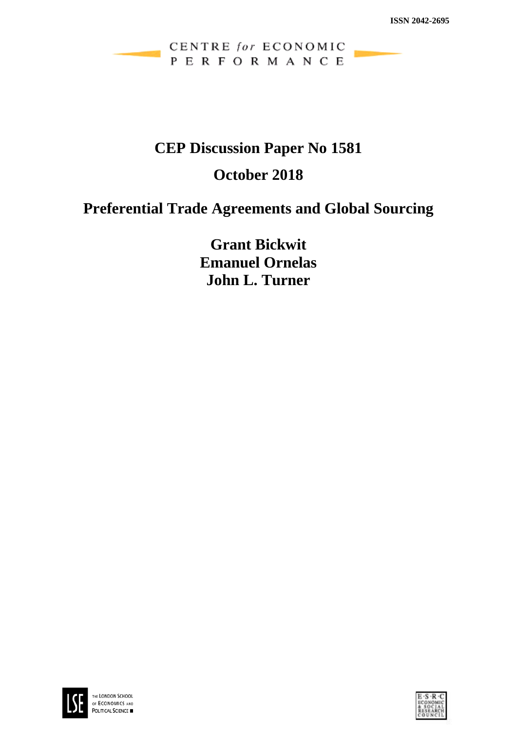

## **CEP Discussion Paper No 1581**

# **October 2018**

# **Preferential Trade Agreements and Global Sourcing**

**Grant Bickwit Emanuel Ornelas John L. Turner**



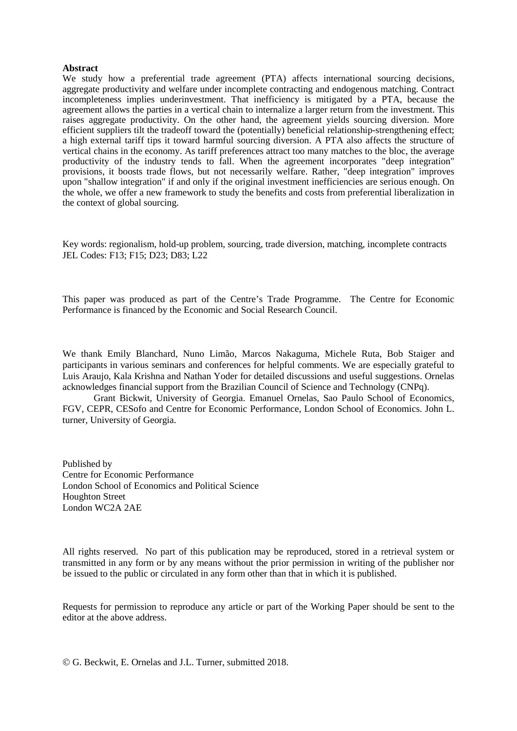#### **Abstract**

We study how a preferential trade agreement (PTA) affects international sourcing decisions, aggregate productivity and welfare under incomplete contracting and endogenous matching. Contract incompleteness implies underinvestment. That inefficiency is mitigated by a PTA, because the agreement allows the parties in a vertical chain to internalize a larger return from the investment. This raises aggregate productivity. On the other hand, the agreement yields sourcing diversion. More efficient suppliers tilt the tradeoff toward the (potentially) beneficial relationship-strengthening effect; a high external tariff tips it toward harmful sourcing diversion. A PTA also affects the structure of vertical chains in the economy. As tariff preferences attract too many matches to the bloc, the average productivity of the industry tends to fall. When the agreement incorporates "deep integration" provisions, it boosts trade flows, but not necessarily welfare. Rather, "deep integration" improves upon "shallow integration" if and only if the original investment inefficiencies are serious enough. On the whole, we offer a new framework to study the benefits and costs from preferential liberalization in the context of global sourcing.

Key words: regionalism, hold-up problem, sourcing, trade diversion, matching, incomplete contracts JEL Codes: F13; F15; D23; D83; L22

This paper was produced as part of the Centre's Trade Programme. The Centre for Economic Performance is financed by the Economic and Social Research Council.

We thank Emily Blanchard, Nuno Limão, Marcos Nakaguma, Michele Ruta, Bob Staiger and participants in various seminars and conferences for helpful comments. We are especially grateful to Luis Araujo, Kala Krishna and Nathan Yoder for detailed discussions and useful suggestions. Ornelas acknowledges financial support from the Brazilian Council of Science and Technology (CNPq).

Grant Bickwit, University of Georgia. Emanuel Ornelas, Sao Paulo School of Economics, FGV, CEPR, CESofo and Centre for Economic Performance, London School of Economics. John L. turner, University of Georgia.

Published by Centre for Economic Performance London School of Economics and Political Science Houghton Street London WC2A 2AE

All rights reserved. No part of this publication may be reproduced, stored in a retrieval system or transmitted in any form or by any means without the prior permission in writing of the publisher nor be issued to the public or circulated in any form other than that in which it is published.

Requests for permission to reproduce any article or part of the Working Paper should be sent to the editor at the above address.

G. Beckwit, E. Ornelas and J.L. Turner, submitted 2018.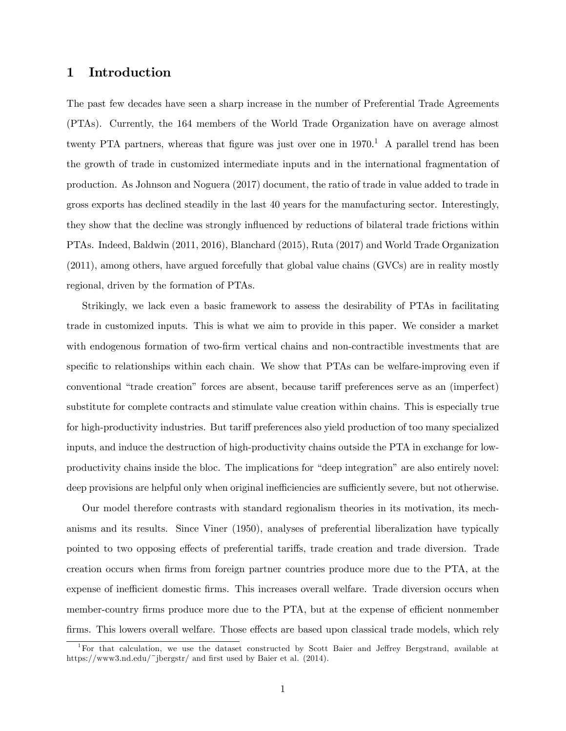## 1 Introduction

The past few decades have seen a sharp increase in the number of Preferential Trade Agreements (PTAs). Currently, the 164 members of the World Trade Organization have on average almost twenty PTA partners, whereas that figure was just over one in  $1970<sup>1</sup>$  A parallel trend has been the growth of trade in customized intermediate inputs and in the international fragmentation of production. As Johnson and Noguera (2017) document, the ratio of trade in value added to trade in gross exports has declined steadily in the last 40 years for the manufacturing sector. Interestingly, they show that the decline was strongly ináuenced by reductions of bilateral trade frictions within PTAs. Indeed, Baldwin (2011, 2016), Blanchard (2015), Ruta (2017) and World Trade Organization (2011), among others, have argued forcefully that global value chains (GVCs) are in reality mostly regional, driven by the formation of PTAs.

Strikingly, we lack even a basic framework to assess the desirability of PTAs in facilitating trade in customized inputs. This is what we aim to provide in this paper. We consider a market with endogenous formation of two-firm vertical chains and non-contractible investments that are specific to relationships within each chain. We show that PTAs can be welfare-improving even if conventional "trade creation" forces are absent, because tariff preferences serve as an (imperfect) substitute for complete contracts and stimulate value creation within chains. This is especially true for high-productivity industries. But tariff preferences also yield production of too many specialized inputs, and induce the destruction of high-productivity chains outside the PTA in exchange for lowproductivity chains inside the bloc. The implications for "deep integration" are also entirely novel: deep provisions are helpful only when original inefficiencies are sufficiently severe, but not otherwise.

Our model therefore contrasts with standard regionalism theories in its motivation, its mechanisms and its results. Since Viner (1950), analyses of preferential liberalization have typically pointed to two opposing effects of preferential tariffs, trade creation and trade diversion. Trade creation occurs when Örms from foreign partner countries produce more due to the PTA, at the expense of inefficient domestic firms. This increases overall welfare. Trade diversion occurs when member-country firms produce more due to the PTA, but at the expense of efficient nonmember firms. This lowers overall welfare. Those effects are based upon classical trade models, which rely

<sup>&</sup>lt;sup>1</sup>For that calculation, we use the dataset constructed by Scott Baier and Jeffrey Bergstrand, available at https://www3.nd.edu/~jbergstr/ and first used by Baier et al.  $(2014)$ .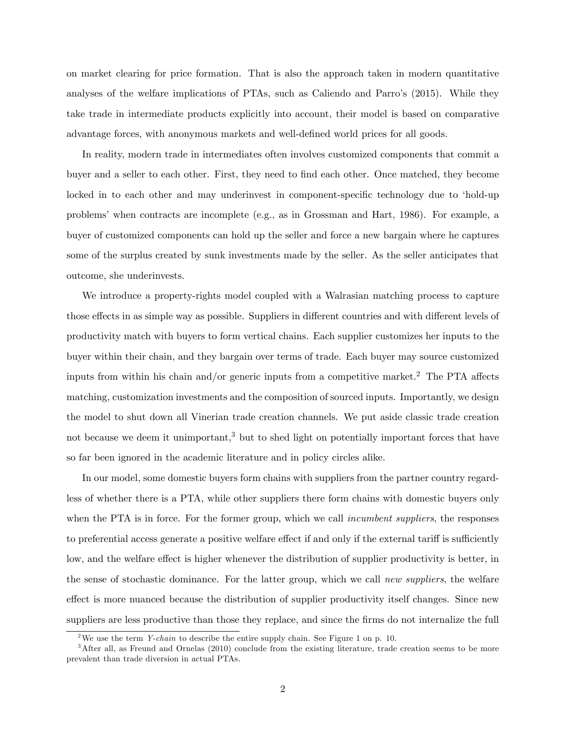on market clearing for price formation. That is also the approach taken in modern quantitative analyses of the welfare implications of PTAs, such as Caliendo and Parro's (2015). While they take trade in intermediate products explicitly into account, their model is based on comparative advantage forces, with anonymous markets and well-defined world prices for all goods.

In reality, modern trade in intermediates often involves customized components that commit a buyer and a seller to each other. First, they need to Önd each other. Once matched, they become locked in to each other and may underinvest in component-specific technology due to 'hold-up problemsíwhen contracts are incomplete (e.g., as in Grossman and Hart, 1986). For example, a buyer of customized components can hold up the seller and force a new bargain where he captures some of the surplus created by sunk investments made by the seller. As the seller anticipates that outcome, she underinvests.

We introduce a property-rights model coupled with a Walrasian matching process to capture those effects in as simple way as possible. Suppliers in different countries and with different levels of productivity match with buyers to form vertical chains. Each supplier customizes her inputs to the buyer within their chain, and they bargain over terms of trade. Each buyer may source customized inputs from within his chain and/or generic inputs from a competitive market.<sup>2</sup> The PTA affects matching, customization investments and the composition of sourced inputs. Importantly, we design the model to shut down all Vinerian trade creation channels. We put aside classic trade creation not because we deem it unimportant,<sup>3</sup> but to shed light on potentially important forces that have so far been ignored in the academic literature and in policy circles alike.

In our model, some domestic buyers form chains with suppliers from the partner country regardless of whether there is a PTA, while other suppliers there form chains with domestic buyers only when the PTA is in force. For the former group, which we call *incumbent suppliers*, the responses to preferential access generate a positive welfare effect if and only if the external tariff is sufficiently low, and the welfare effect is higher whenever the distribution of supplier productivity is better, in the sense of stochastic dominance. For the latter group, which we call new suppliers, the welfare effect is more nuanced because the distribution of supplier productivity itself changes. Since new suppliers are less productive than those they replace, and since the firms do not internalize the full

<sup>&</sup>lt;sup>2</sup>We use the term *Y-chain* to describe the entire supply chain. See Figure 1 on p. 10.

<sup>&</sup>lt;sup>3</sup>After all, as Freund and Ornelas (2010) conclude from the existing literature, trade creation seems to be more prevalent than trade diversion in actual PTAs.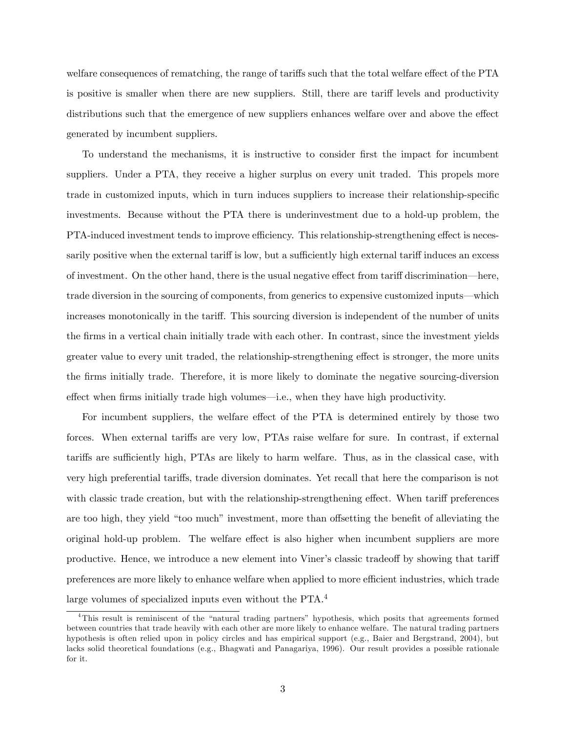welfare consequences of rematching, the range of tariffs such that the total welfare effect of the PTA is positive is smaller when there are new suppliers. Still, there are tariff levels and productivity distributions such that the emergence of new suppliers enhances welfare over and above the effect generated by incumbent suppliers.

To understand the mechanisms, it is instructive to consider first the impact for incumbent suppliers. Under a PTA, they receive a higher surplus on every unit traded. This propels more trade in customized inputs, which in turn induces suppliers to increase their relationship-specific investments. Because without the PTA there is underinvestment due to a hold-up problem, the PTA-induced investment tends to improve efficiency. This relationship-strengthening effect is necessarily positive when the external tariff is low, but a sufficiently high external tariff induces an excess of investment. On the other hand, there is the usual negative effect from tariff discrimination—here, trade diversion in the sourcing of components, from generics to expensive customized inputs—which increases monotonically in the tariff. This sourcing diversion is independent of the number of units the Örms in a vertical chain initially trade with each other. In contrast, since the investment yields greater value to every unit traded, the relationship-strengthening effect is stronger, the more units the Örms initially trade. Therefore, it is more likely to dominate the negative sourcing-diversion  $\theta$  effect when firms initially trade high volumes—i.e., when they have high productivity.

For incumbent suppliers, the welfare effect of the PTA is determined entirely by those two forces. When external tariffs are very low, PTAs raise welfare for sure. In contrast, if external tariffs are sufficiently high, PTAs are likely to harm welfare. Thus, as in the classical case, with very high preferential tariffs, trade diversion dominates. Yet recall that here the comparison is not with classic trade creation, but with the relationship-strengthening effect. When tariff preferences are too high, they yield "too much" investment, more than offsetting the benefit of alleviating the original hold-up problem. The welfare effect is also higher when incumbent suppliers are more productive. Hence, we introduce a new element into Viner's classic tradeoff by showing that tariff preferences are more likely to enhance welfare when applied to more efficient industries, which trade large volumes of specialized inputs even without the PTA.<sup>4</sup>

<sup>&</sup>lt;sup>4</sup>This result is reminiscent of the "natural trading partners" hypothesis, which posits that agreements formed between countries that trade heavily with each other are more likely to enhance welfare. The natural trading partners hypothesis is often relied upon in policy circles and has empirical support (e.g., Baier and Bergstrand, 2004), but lacks solid theoretical foundations (e.g., Bhagwati and Panagariya, 1996). Our result provides a possible rationale for it.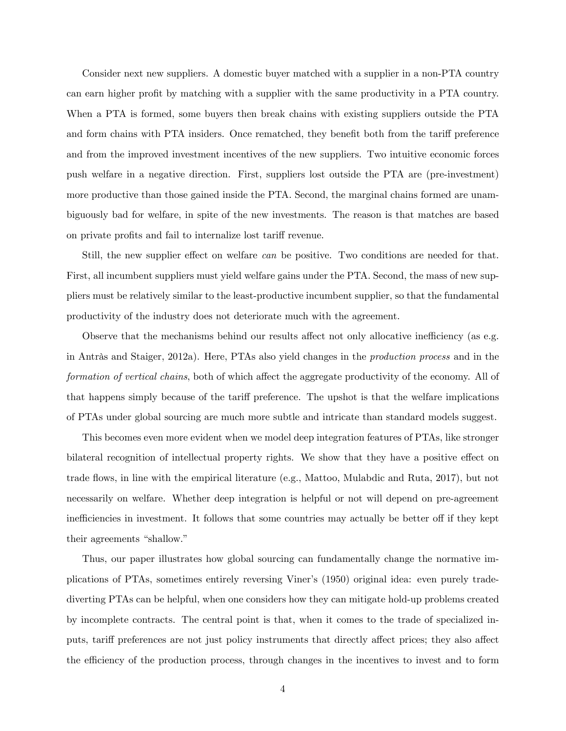Consider next new suppliers. A domestic buyer matched with a supplier in a non-PTA country can earn higher profit by matching with a supplier with the same productivity in a PTA country. When a PTA is formed, some buyers then break chains with existing suppliers outside the PTA and form chains with PTA insiders. Once rematched, they benefit both from the tariff preference and from the improved investment incentives of the new suppliers. Two intuitive economic forces push welfare in a negative direction. First, suppliers lost outside the PTA are (pre-investment) more productive than those gained inside the PTA. Second, the marginal chains formed are unambiguously bad for welfare, in spite of the new investments. The reason is that matches are based on private profits and fail to internalize lost tariff revenue.

Still, the new supplier effect on welfare *can* be positive. Two conditions are needed for that. First, all incumbent suppliers must yield welfare gains under the PTA. Second, the mass of new suppliers must be relatively similar to the least-productive incumbent supplier, so that the fundamental productivity of the industry does not deteriorate much with the agreement.

Observe that the mechanisms behind our results affect not only allocative inefficiency (as e.g. in Antràs and Staiger, 2012a). Here, PTAs also yield changes in the *production process* and in the formation of vertical chains, both of which affect the aggregate productivity of the economy. All of that happens simply because of the tariff preference. The upshot is that the welfare implications of PTAs under global sourcing are much more subtle and intricate than standard models suggest.

This becomes even more evident when we model deep integration features of PTAs, like stronger bilateral recognition of intellectual property rights. We show that they have a positive effect on trade áows, in line with the empirical literature (e.g., Mattoo, Mulabdic and Ruta, 2017), but not necessarily on welfare. Whether deep integration is helpful or not will depend on pre-agreement inefficiencies in investment. It follows that some countries may actually be better off if they kept their agreements "shallow."

Thus, our paper illustrates how global sourcing can fundamentally change the normative implications of PTAs, sometimes entirely reversing Vinerís (1950) original idea: even purely tradediverting PTAs can be helpful, when one considers how they can mitigate hold-up problems created by incomplete contracts. The central point is that, when it comes to the trade of specialized inputs, tariff preferences are not just policy instruments that directly affect prices; they also affect the efficiency of the production process, through changes in the incentives to invest and to form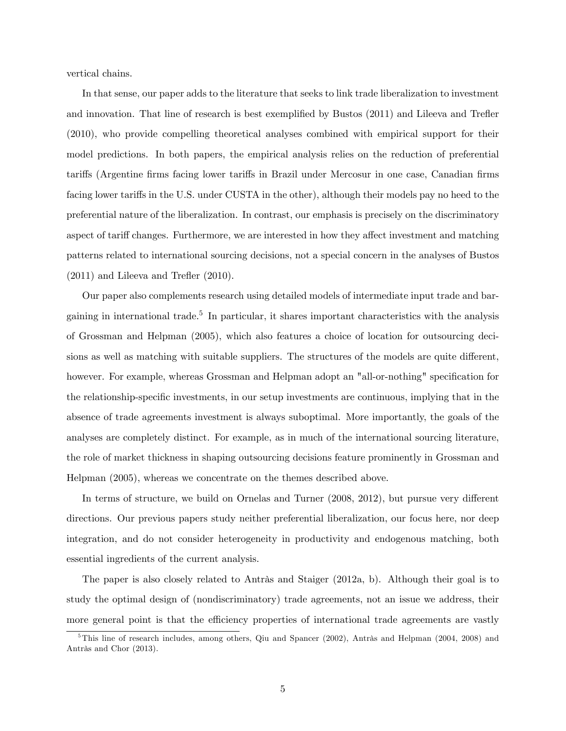vertical chains.

In that sense, our paper adds to the literature that seeks to link trade liberalization to investment and innovation. That line of research is best exemplified by Bustos (2011) and Lileeva and Trefler (2010), who provide compelling theoretical analyses combined with empirical support for their model predictions. In both papers, the empirical analysis relies on the reduction of preferential tariffs (Argentine firms facing lower tariffs in Brazil under Mercosur in one case, Canadian firms facing lower tariffs in the U.S. under CUSTA in the other), although their models pay no heed to the preferential nature of the liberalization. In contrast, our emphasis is precisely on the discriminatory aspect of tariff changes. Furthermore, we are interested in how they affect investment and matching patterns related to international sourcing decisions, not a special concern in the analyses of Bustos  $(2011)$  and Lileeva and Trefler  $(2010)$ .

Our paper also complements research using detailed models of intermediate input trade and bargaining in international trade.<sup>5</sup> In particular, it shares important characteristics with the analysis of Grossman and Helpman (2005), which also features a choice of location for outsourcing decisions as well as matching with suitable suppliers. The structures of the models are quite different, however. For example, whereas Grossman and Helpman adopt an "all-or-nothing" specification for the relationship-specific investments, in our setup investments are continuous, implying that in the absence of trade agreements investment is always suboptimal. More importantly, the goals of the analyses are completely distinct. For example, as in much of the international sourcing literature, the role of market thickness in shaping outsourcing decisions feature prominently in Grossman and Helpman (2005), whereas we concentrate on the themes described above.

In terms of structure, we build on Ornelas and Turner  $(2008, 2012)$ , but pursue very different directions. Our previous papers study neither preferential liberalization, our focus here, nor deep integration, and do not consider heterogeneity in productivity and endogenous matching, both essential ingredients of the current analysis.

The paper is also closely related to Antràs and Staiger  $(2012a, b)$ . Although their goal is to study the optimal design of (nondiscriminatory) trade agreements, not an issue we address, their more general point is that the efficiency properties of international trade agreements are vastly

 $5$ This line of research includes, among others, Qiu and Spancer (2002), Antràs and Helpman (2004, 2008) and Antràs and Chor (2013).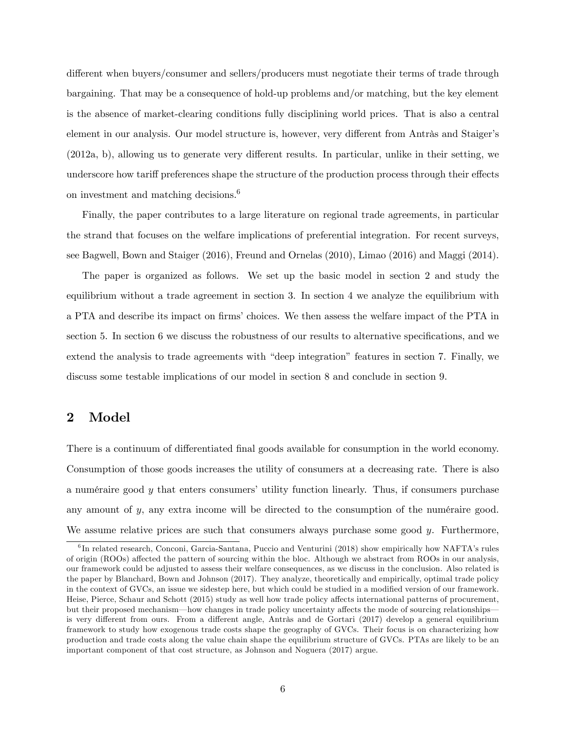different when buyers/consumer and sellers/producers must negotiate their terms of trade through bargaining. That may be a consequence of hold-up problems and/or matching, but the key element is the absence of market-clearing conditions fully disciplining world prices. That is also a central element in our analysis. Our model structure is, however, very different from Antràs and Staiger's  $(2012a, b)$ , allowing us to generate very different results. In particular, unlike in their setting, we underscore how tariff preferences shape the structure of the production process through their effects on investment and matching decisions.<sup>6</sup>

Finally, the paper contributes to a large literature on regional trade agreements, in particular the strand that focuses on the welfare implications of preferential integration. For recent surveys, see Bagwell, Bown and Staiger (2016), Freund and Ornelas (2010), Limao (2016) and Maggi (2014).

The paper is organized as follows. We set up the basic model in section 2 and study the equilibrium without a trade agreement in section 3. In section 4 we analyze the equilibrium with a PTA and describe its impact on firms' choices. We then assess the welfare impact of the PTA in section 5. In section 6 we discuss the robustness of our results to alternative specifications, and we extend the analysis to trade agreements with "deep integration" features in section 7. Finally, we discuss some testable implications of our model in section 8 and conclude in section 9.

## 2 Model

There is a continuum of differentiated final goods available for consumption in the world economy. Consumption of those goods increases the utility of consumers at a decreasing rate. There is also a numéraire good  $y$  that enters consumers' utility function linearly. Thus, if consumers purchase any amount of  $y$ , any extra income will be directed to the consumption of the numéraire good. We assume relative prices are such that consumers always purchase some good  $y$ . Furthermore,

<sup>&</sup>lt;sup>6</sup>In related research, Conconi, Garcia-Santana, Puccio and Venturini (2018) show empirically how NAFTA's rules of origin (ROOs) affected the pattern of sourcing within the bloc. Although we abstract from ROOs in our analysis, our framework could be adjusted to assess their welfare consequences, as we discuss in the conclusion. Also related is the paper by Blanchard, Bown and Johnson (2017). They analyze, theoretically and empirically, optimal trade policy in the context of GVCs, an issue we sidestep here, but which could be studied in a modified version of our framework. Heise, Pierce, Schaur and Schott (2015) study as well how trade policy affects international patterns of procurement, but their proposed mechanism—how changes in trade policy uncertainty affects the mode of sourcing relationshipsis very different from ours. From a different angle, Antràs and de Gortari (2017) develop a general equilibrium framework to study how exogenous trade costs shape the geography of GVCs. Their focus is on characterizing how production and trade costs along the value chain shape the equilibrium structure of GVCs. PTAs are likely to be an important component of that cost structure, as Johnson and Noguera (2017) argue.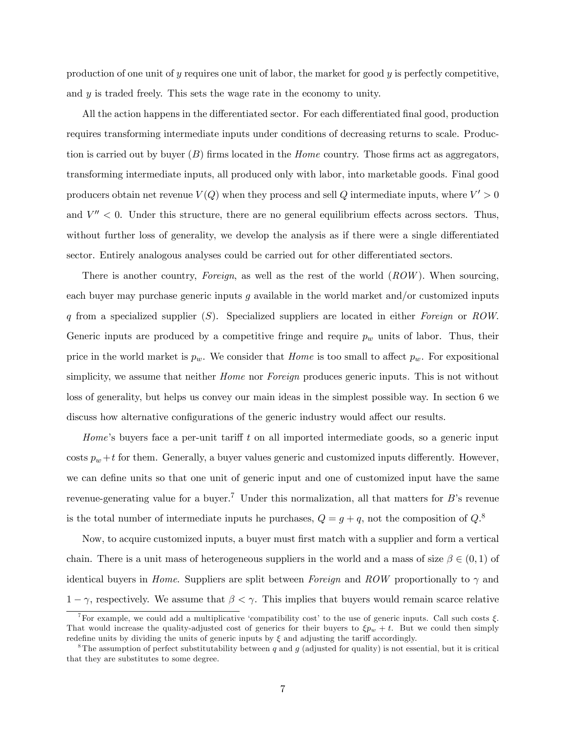production of one unit of y requires one unit of labor, the market for good  $y$  is perfectly competitive, and y is traded freely. This sets the wage rate in the economy to unity.

All the action happens in the differentiated sector. For each differentiated final good, production requires transforming intermediate inputs under conditions of decreasing returns to scale. Production is carried out by buyer  $(B)$  firms located in the *Home* country. Those firms act as aggregators, transforming intermediate inputs, all produced only with labor, into marketable goods. Final good producers obtain net revenue  $V(Q)$  when they process and sell  $Q$  intermediate inputs, where  $V' > 0$ and  $V'' < 0$ . Under this structure, there are no general equilibrium effects across sectors. Thus, without further loss of generality, we develop the analysis as if there were a single differentiated sector. Entirely analogous analyses could be carried out for other differentiated sectors.

There is another country, Foreign, as well as the rest of the world  $(ROW)$ . When sourcing, each buyer may purchase generic inputs  $g$  available in the world market and/or customized inputs q from a specialized supplier  $(S)$ . Specialized suppliers are located in either Foreign or ROW. Generic inputs are produced by a competitive fringe and require  $p_w$  units of labor. Thus, their price in the world market is  $p_w$ . We consider that *Home* is too small to affect  $p_w$ . For expositional simplicity, we assume that neither *Home* nor *Foreign* produces generic inputs. This is not without loss of generality, but helps us convey our main ideas in the simplest possible way. In section 6 we discuss how alternative configurations of the generic industry would affect our results.

Home's buyers face a per-unit tariff  $t$  on all imported intermediate goods, so a generic input costs  $p_w + t$  for them. Generally, a buyer values generic and customized inputs differently. However, we can define units so that one unit of generic input and one of customized input have the same revenue-generating value for a buyer.<sup>7</sup> Under this normalization, all that matters for B's revenue is the total number of intermediate inputs he purchases,  $Q = g + q$ , not the composition of  $Q$ <sup>8</sup>.

Now, to acquire customized inputs, a buyer must first match with a supplier and form a vertical chain. There is a unit mass of heterogeneous suppliers in the world and a mass of size  $\beta \in (0,1)$  of identical buyers in *Home.* Suppliers are split between *Foreign* and ROW proportionally to  $\gamma$  and  $1-\gamma$ , respectively. We assume that  $\beta < \gamma$ . This implies that buyers would remain scarce relative

<sup>&</sup>lt;sup>7</sup>For example, we could add a multiplicative 'compatibility cost' to the use of generic inputs. Call such costs  $\xi$ . That would increase the quality-adjusted cost of generics for their buyers to  $\xi p_w + t$ . But we could then simply redefine units by dividing the units of generic inputs by  $\xi$  and adjusting the tariff accordingly.

<sup>&</sup>lt;sup>8</sup>The assumption of perfect substitutability between q and q (adjusted for quality) is not essential, but it is critical that they are substitutes to some degree.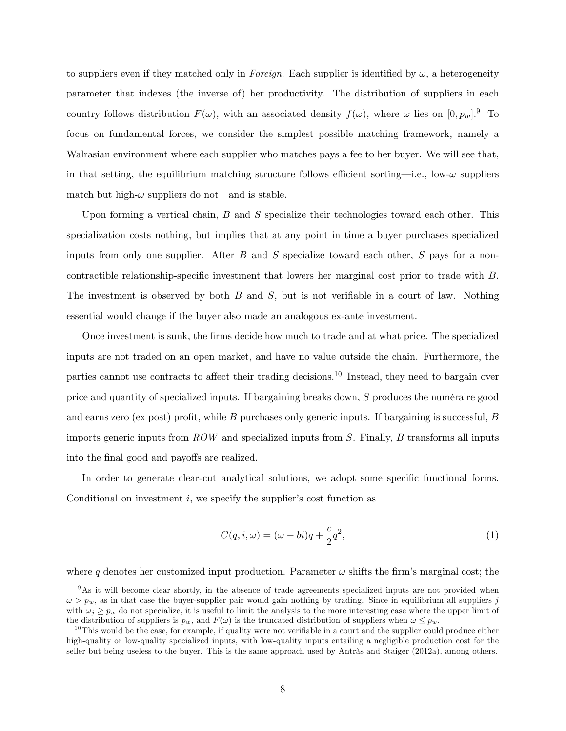to suppliers even if they matched only in Foreign. Each supplier is identified by  $\omega$ , a heterogeneity parameter that indexes (the inverse of) her productivity. The distribution of suppliers in each country follows distribution  $F(\omega)$ , with an associated density  $f(\omega)$ , where  $\omega$  lies on  $[0, p_w]$ . To focus on fundamental forces, we consider the simplest possible matching framework, namely a Walrasian environment where each supplier who matches pays a fee to her buyer. We will see that, in that setting, the equilibrium matching structure follows efficient sorting—i.e., low- $\omega$  suppliers match but high- $\omega$  suppliers do not—and is stable.

Upon forming a vertical chain,  $B$  and  $S$  specialize their technologies toward each other. This specialization costs nothing, but implies that at any point in time a buyer purchases specialized inputs from only one supplier. After  $B$  and  $S$  specialize toward each other,  $S$  pays for a noncontractible relationship-specific investment that lowers her marginal cost prior to trade with B. The investment is observed by both  $B$  and  $S$ , but is not verifiable in a court of law. Nothing essential would change if the buyer also made an analogous ex-ante investment.

Once investment is sunk, the Örms decide how much to trade and at what price. The specialized inputs are not traded on an open market, and have no value outside the chain. Furthermore, the parties cannot use contracts to affect their trading decisions.<sup>10</sup> Instead, they need to bargain over price and quantity of specialized inputs. If bargaining breaks down,  $S$  produces the numéraire good and earns zero (ex post) profit, while  $B$  purchases only generic inputs. If bargaining is successful,  $B$ imports generic inputs from  $ROW$  and specialized inputs from  $S$ . Finally,  $B$  transforms all inputs into the final good and payoffs are realized.

In order to generate clear-cut analytical solutions, we adopt some specific functional forms. Conditional on investment  $i$ , we specify the supplier's cost function as

$$
C(q, i, \omega) = (\omega - bi)q + \frac{c}{2}q^2,
$$
\n(1)

where q denotes her customized input production. Parameter  $\omega$  shifts the firm's marginal cost; the

<sup>&</sup>lt;sup>9</sup>As it will become clear shortly, in the absence of trade agreements specialized inputs are not provided when  $\omega > p_w$ , as in that case the buyer-supplier pair would gain nothing by trading. Since in equilibrium all suppliers j with  $\omega_i > p_w$  do not specialize, it is useful to limit the analysis to the more interesting case where the upper limit of the distribution of suppliers is  $p_w$ , and  $F(\omega)$  is the truncated distribution of suppliers when  $\omega \leq p_w$ .

 $10$ This would be the case, for example, if quality were not verifiable in a court and the supplier could produce either high-quality or low-quality specialized inputs, with low-quality inputs entailing a negligible production cost for the seller but being useless to the buyer. This is the same approach used by Antràs and Staiger (2012a), among others.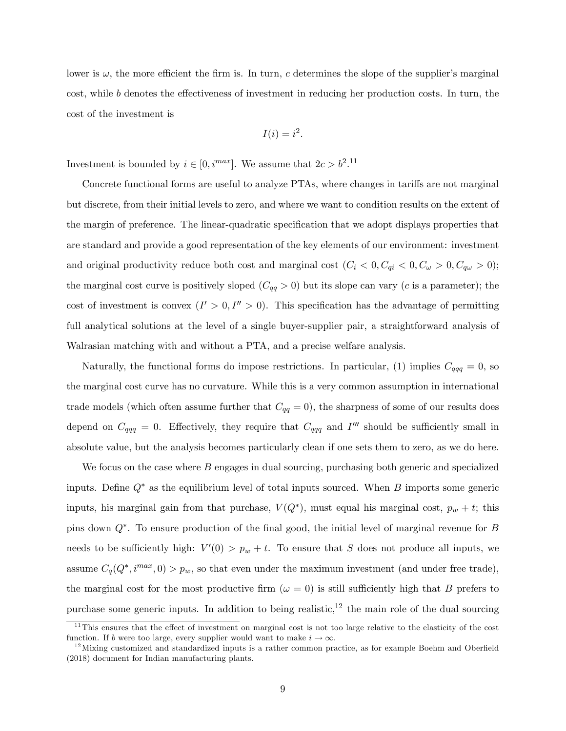lower is  $\omega$ , the more efficient the firm is. In turn, c determines the slope of the supplier's marginal cost, while b denotes the effectiveness of investment in reducing her production costs. In turn, the cost of the investment is

$$
I(i) = i^2.
$$

Investment is bounded by  $i \in [0, i^{max}]$ . We assume that  $2c > b^2$ .<sup>11</sup>

Concrete functional forms are useful to analyze PTAs, where changes in tariffs are not marginal but discrete, from their initial levels to zero, and where we want to condition results on the extent of the margin of preference. The linear-quadratic specification that we adopt displays properties that are standard and provide a good representation of the key elements of our environment: investment and original productivity reduce both cost and marginal cost  $(C_i < 0, C_{qi} < 0, C_{\omega} > 0, C_{q\omega} > 0)$ ; the marginal cost curve is positively sloped  $(C_{qq} > 0)$  but its slope can vary (c is a parameter); the cost of investment is convex  $(I' > 0, I'' > 0)$ . This specification has the advantage of permitting full analytical solutions at the level of a single buyer-supplier pair, a straightforward analysis of Walrasian matching with and without a PTA, and a precise welfare analysis.

Naturally, the functional forms do impose restrictions. In particular, (1) implies  $C_{qqq} = 0$ , so the marginal cost curve has no curvature. While this is a very common assumption in international trade models (which often assume further that  $C_{qq} = 0$ ), the sharpness of some of our results does depend on  $C_{qqq} = 0$ . Effectively, they require that  $C_{qqq}$  and  $I'''$  should be sufficiently small in absolute value, but the analysis becomes particularly clean if one sets them to zero, as we do here.

We focus on the case where  $B$  engages in dual sourcing, purchasing both generic and specialized inputs. Define  $Q^*$  as the equilibrium level of total inputs sourced. When B imports some generic inputs, his marginal gain from that purchase,  $V(Q^*)$ , must equal his marginal cost,  $p_w + t$ ; this pins down  $Q^*$ . To ensure production of the final good, the initial level of marginal revenue for B needs to be sufficiently high:  $V'(0) > p_w + t$ . To ensure that S does not produce all inputs, we assume  $C_q(Q^*, i^{max}, 0) > p_w$ , so that even under the maximum investment (and under free trade), the marginal cost for the most productive firm ( $\omega = 0$ ) is still sufficiently high that B prefers to purchase some generic inputs. In addition to being realistic,<sup>12</sup> the main role of the dual sourcing

 $11$ This ensures that the effect of investment on marginal cost is not too large relative to the elasticity of the cost function. If b were too large, every supplier would want to make  $i \to \infty$ .

 $12$  Mixing customized and standardized inputs is a rather common practice, as for example Boehm and Oberfield (2018) document for Indian manufacturing plants.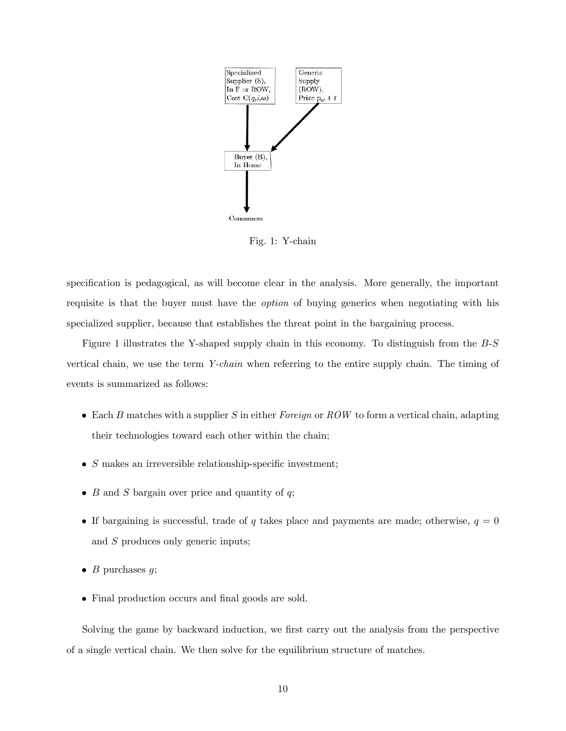

Fig. 1: Y-chain

specification is pedagogical, as will become clear in the analysis. More generally, the important requisite is that the buyer must have the option of buying generics when negotiating with his specialized supplier, because that establishes the threat point in the bargaining process.

Figure 1 illustrates the Y-shaped supply chain in this economy. To distinguish from the B-S vertical chain, we use the term Y-chain when referring to the entire supply chain. The timing of events is summarized as follows:

- $\bullet$  Each B matches with a supplier S in either Foreign or ROW to form a vertical chain, adapting their technologies toward each other within the chain;
- $\bullet$  S makes an irreversible relationship-specific investment;
- $\bullet$  B and S bargain over price and quantity of q;
- If bargaining is successful, trade of q takes place and payments are made; otherwise,  $q = 0$ and S produces only generic inputs;
- $\bullet$  B purchases q;
- Final production occurs and final goods are sold.

Solving the game by backward induction, we first carry out the analysis from the perspective of a single vertical chain. We then solve for the equilibrium structure of matches.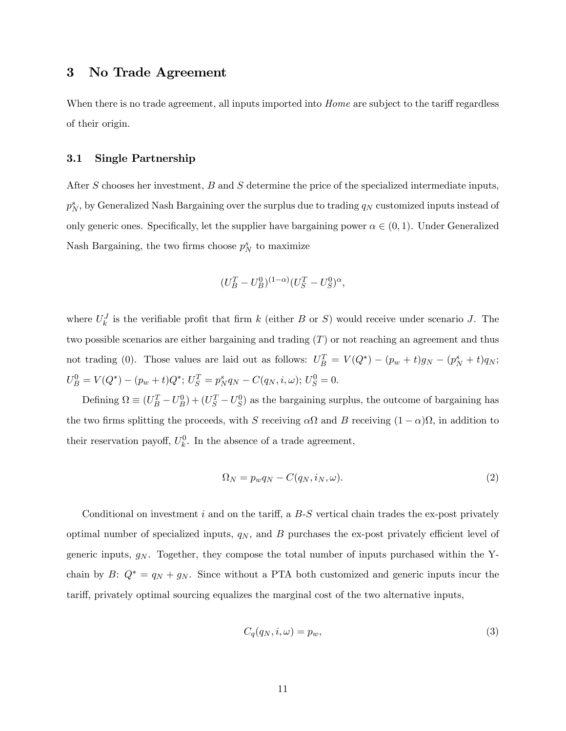## 3 No Trade Agreement

When there is no trade agreement, all inputs imported into *Home* are subject to the tariff regardless of their origin.

#### 3.1 Single Partnership

After S chooses her investment, B and S determine the price of the specialized intermediate inputs,  $p_N^s$ , by Generalized Nash Bargaining over the surplus due to trading  $q_N$  customized inputs instead of only generic ones. Specifically, let the supplier have bargaining power  $\alpha \in (0,1)$ . Under Generalized Nash Bargaining, the two firms choose  $p_N^s$  to maximize

$$
(U_B^T - U_B^0)^{(1-\alpha)} (U_S^T - U_S^0)^{\alpha},
$$

where  $U_k^J$  is the verifiable profit that firm k (either B or S) would receive under scenario J. The two possible scenarios are either bargaining and trading  $(T)$  or not reaching an agreement and thus not trading (0). Those values are laid out as follows:  $U_B^T = V(Q^*) - (p_w + t)g_N - (p_N^s + t)q_N$ ;  $U_B^0 = V(Q^*) - (p_w + t)Q^*$ ;  $U_S^T = p_N^s q_N - C(q_N, i, \omega)$ ;  $U_S^0 = 0$ .

Defining  $\Omega \equiv (U_B^T - U_B^0) + (U_S^T - U_S^0)$  as the bargaining surplus, the outcome of bargaining has the two firms splitting the proceeds, with S receiving  $\alpha \Omega$  and B receiving  $(1 - \alpha) \Omega$ , in addition to their reservation payoff,  $U_k^0$ . In the absence of a trade agreement,

$$
\Omega_N = p_w q_N - C(q_N, i_N, \omega). \tag{2}
$$

Conditional on investment i and on the tariff, a  $B-S$  vertical chain trades the ex-post privately optimal number of specialized inputs,  $q_N$ , and B purchases the ex-post privately efficient level of generic inputs,  $g_N$ . Together, they compose the total number of inputs purchased within the Ychain by B:  $Q^* = q_N + g_N$ . Since without a PTA both customized and generic inputs incur the tariff, privately optimal sourcing equalizes the marginal cost of the two alternative inputs,

$$
C_q(q_N, i, \omega) = p_w,\tag{3}
$$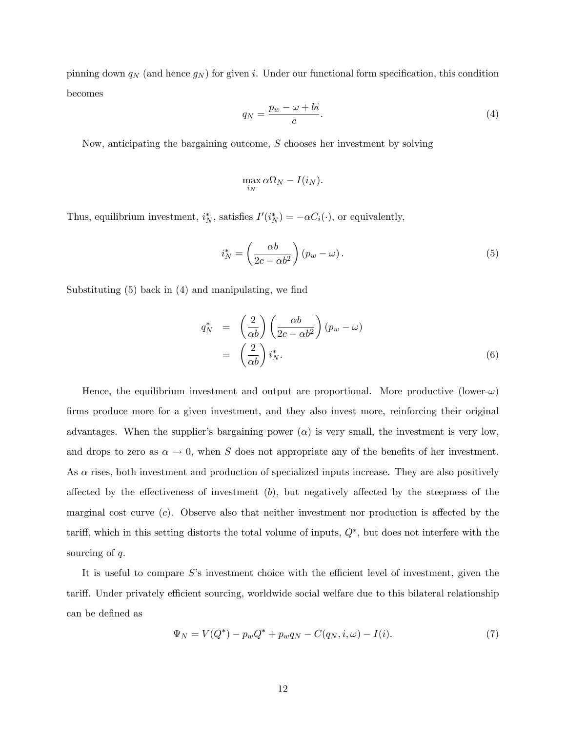pinning down  $q_N$  (and hence  $g_N$ ) for given i. Under our functional form specification, this condition becomes

$$
q_N = \frac{p_w - \omega + bi}{c}.\tag{4}
$$

Now, anticipating the bargaining outcome, S chooses her investment by solving

$$
\max_{i_N} \alpha \Omega_N - I(i_N).
$$

Thus, equilibrium investment,  $i_N^*$ , satisfies  $I'(i_N^*) = -\alpha C_i(\cdot)$ , or equivalently,

$$
i_N^* = \left(\frac{\alpha b}{2c - \alpha b^2}\right)(p_w - \omega). \tag{5}
$$

Substituting  $(5)$  back in  $(4)$  and manipulating, we find

$$
q_N^* = \left(\frac{2}{\alpha b}\right) \left(\frac{\alpha b}{2c - \alpha b^2}\right) (p_w - \omega)
$$
  
= 
$$
\left(\frac{2}{\alpha b}\right) i_N^*.
$$
 (6)

Hence, the equilibrium investment and output are proportional. More productive (lower- $\omega$ ) firms produce more for a given investment, and they also invest more, reinforcing their original advantages. When the supplier's bargaining power  $(\alpha)$  is very small, the investment is very low, and drops to zero as  $\alpha \to 0$ , when S does not appropriate any of the benefits of her investment. As  $\alpha$  rises, both investment and production of specialized inputs increase. They are also positively affected by the effectiveness of investment  $(b)$ , but negatively affected by the steepness of the marginal cost curve  $(c)$ . Observe also that neither investment nor production is affected by the tariff, which in this setting distorts the total volume of inputs,  $Q^*$ , but does not interfere with the sourcing of  $q$ .

It is useful to compare  $S$ 's investment choice with the efficient level of investment, given the tariff. Under privately efficient sourcing, worldwide social welfare due to this bilateral relationship can be defined as

$$
\Psi_N = V(Q^*) - p_w Q^* + p_w q_N - C(q_N, i, \omega) - I(i). \tag{7}
$$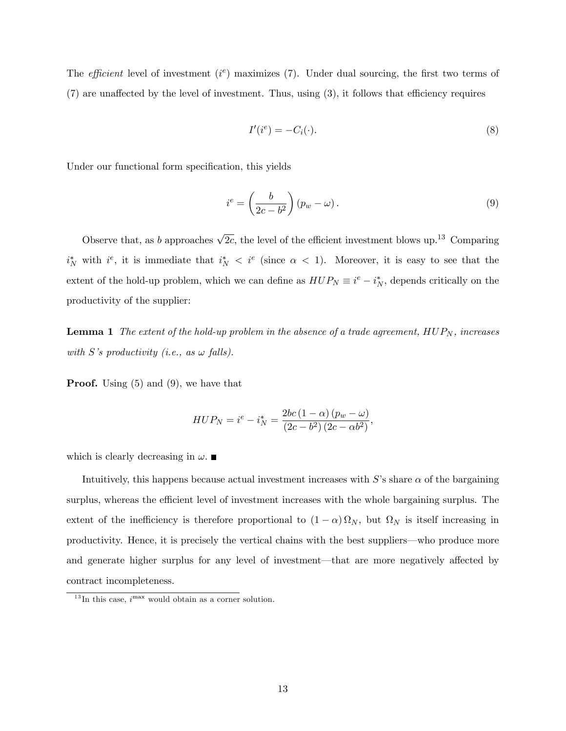The *efficient* level of investment  $(i^e)$  maximizes  $(7)$ . Under dual sourcing, the first two terms of  $(7)$  are unaffected by the level of investment. Thus, using  $(3)$ , it follows that efficiency requires

$$
I'(i^e) = -C_i(\cdot). \tag{8}
$$

Under our functional form specification, this yields

$$
i^e = \left(\frac{b}{2c - b^2}\right)(p_w - \omega). \tag{9}
$$

Observe that, as b approaches  $\sqrt{2c}$ , the level of the efficient investment blows up.<sup>13</sup> Comparing  $i_N^*$  with  $i^e$ , it is immediate that  $i_N^* < i^e$  (since  $\alpha < 1$ ). Moreover, it is easy to see that the extent of the hold-up problem, which we can define as  $HUP_N \equiv i^e - i^*_N$ , depends critically on the productivity of the supplier:

**Lemma 1** The extent of the hold-up problem in the absence of a trade agreement,  $HUP_N$ , increases with S's productivity (i.e., as  $\omega$  falls).

**Proof.** Using  $(5)$  and  $(9)$ , we have that

$$
HUP_N = i^e - i^*_N = \frac{2bc\left(1-\alpha\right)\left(p_w - \omega\right)}{\left(2c - b^2\right)\left(2c - \alpha b^2\right)},
$$

which is clearly decreasing in  $\omega$ .

Intuitively, this happens because actual investment increases with  $S$ 's share  $\alpha$  of the bargaining surplus, whereas the efficient level of investment increases with the whole bargaining surplus. The extent of the inefficiency is therefore proportional to  $(1 - \alpha) \Omega_N$ , but  $\Omega_N$  is itself increasing in productivity. Hence, it is precisely the vertical chains with the best suppliers—who produce more and generate higher surplus for any level of investment—that are more negatively affected by contract incompleteness.

 $^{13}$ In this case,  $i^{max}$  would obtain as a corner solution.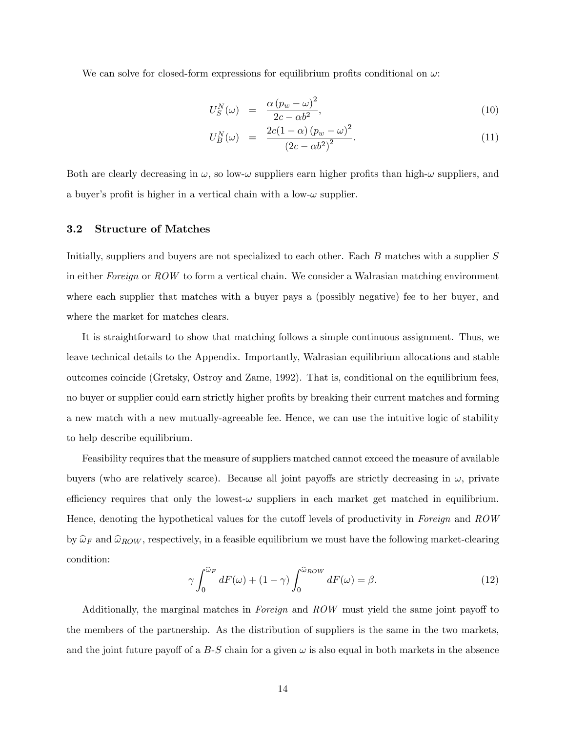We can solve for closed-form expressions for equilibrium profits conditional on  $\omega$ :

$$
U_S^N(\omega) = \frac{\alpha (p_w - \omega)^2}{2c - \alpha b^2},\tag{10}
$$

$$
U_B^N(\omega) = \frac{2c(1-\alpha)(p_w - \omega)^2}{(2c - \alpha b^2)^2}.
$$
 (11)

Both are clearly decreasing in  $\omega$ , so low- $\omega$  suppliers earn higher profits than high- $\omega$  suppliers, and a buyer's profit is higher in a vertical chain with a low- $\omega$  supplier.

#### 3.2 Structure of Matches

Initially, suppliers and buyers are not specialized to each other. Each B matches with a supplier S in either Foreign or ROW to form a vertical chain. We consider a Walrasian matching environment where each supplier that matches with a buyer pays a (possibly negative) fee to her buyer, and where the market for matches clears.

It is straightforward to show that matching follows a simple continuous assignment. Thus, we leave technical details to the Appendix. Importantly, Walrasian equilibrium allocations and stable outcomes coincide (Gretsky, Ostroy and Zame, 1992). That is, conditional on the equilibrium fees, no buyer or supplier could earn strictly higher profits by breaking their current matches and forming a new match with a new mutually-agreeable fee. Hence, we can use the intuitive logic of stability to help describe equilibrium.

Feasibility requires that the measure of suppliers matched cannot exceed the measure of available buyers (who are relatively scarce). Because all joint payoffs are strictly decreasing in  $\omega$ , private efficiency requires that only the lowest- $\omega$  suppliers in each market get matched in equilibrium. Hence, denoting the hypothetical values for the cutoff levels of productivity in Foreign and  $ROW$ by  $\hat{\omega}_F$  and  $\hat{\omega}_{ROW}$ , respectively, in a feasible equilibrium we must have the following market-clearing condition:

$$
\gamma \int_0^{\widehat{\omega}_F} dF(\omega) + (1 - \gamma) \int_0^{\widehat{\omega}_{ROW}} dF(\omega) = \beta. \tag{12}
$$

Additionally, the marginal matches in Foreign and  $ROW$  must yield the same joint payoff to the members of the partnership. As the distribution of suppliers is the same in the two markets, and the joint future payoff of a B-S chain for a given  $\omega$  is also equal in both markets in the absence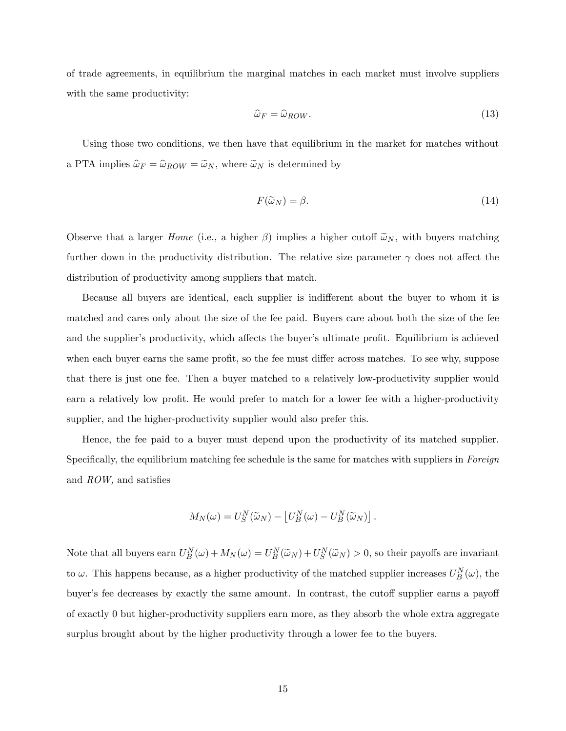of trade agreements, in equilibrium the marginal matches in each market must involve suppliers with the same productivity:

$$
\widehat{\omega}_F = \widehat{\omega}_{ROW}.\tag{13}
$$

Using those two conditions, we then have that equilibrium in the market for matches without a PTA implies  $\hat{\omega}_F = \hat{\omega}_{ROW} = \tilde{\omega}_N$ , where  $\tilde{\omega}_N$  is determined by

$$
F(\tilde{\omega}_N) = \beta. \tag{14}
$$

Observe that a larger *Home* (i.e., a higher  $\beta$ ) implies a higher cutoff  $\tilde{\omega}_N$ , with buyers matching further down in the productivity distribution. The relative size parameter  $\gamma$  does not affect the distribution of productivity among suppliers that match.

Because all buyers are identical, each supplier is indifferent about the buyer to whom it is matched and cares only about the size of the fee paid. Buyers care about both the size of the fee and the supplier's productivity, which affects the buyer's ultimate profit. Equilibrium is achieved when each buyer earns the same profit, so the fee must differ across matches. To see why, suppose that there is just one fee. Then a buyer matched to a relatively low-productivity supplier would earn a relatively low profit. He would prefer to match for a lower fee with a higher-productivity supplier, and the higher-productivity supplier would also prefer this.

Hence, the fee paid to a buyer must depend upon the productivity of its matched supplier. Specifically, the equilibrium matching fee schedule is the same for matches with suppliers in Foreign and  $ROW$ , and satisfies

$$
M_N(\omega) = U_S^N(\widetilde{\omega}_N) - \left[U_B^N(\omega) - U_B^N(\widetilde{\omega}_N)\right].
$$

Note that all buyers earn  $U_B^N(\omega) + M_N(\omega) = U_B^N(\widetilde{\omega}_N) + U_S^N(\widetilde{\omega}_N) > 0$ , so their payoffs are invariant to  $\omega$ . This happens because, as a higher productivity of the matched supplier increases  $U_B^N(\omega)$ , the buyer's fee decreases by exactly the same amount. In contrast, the cutoff supplier earns a payoff of exactly 0 but higher-productivity suppliers earn more, as they absorb the whole extra aggregate surplus brought about by the higher productivity through a lower fee to the buyers.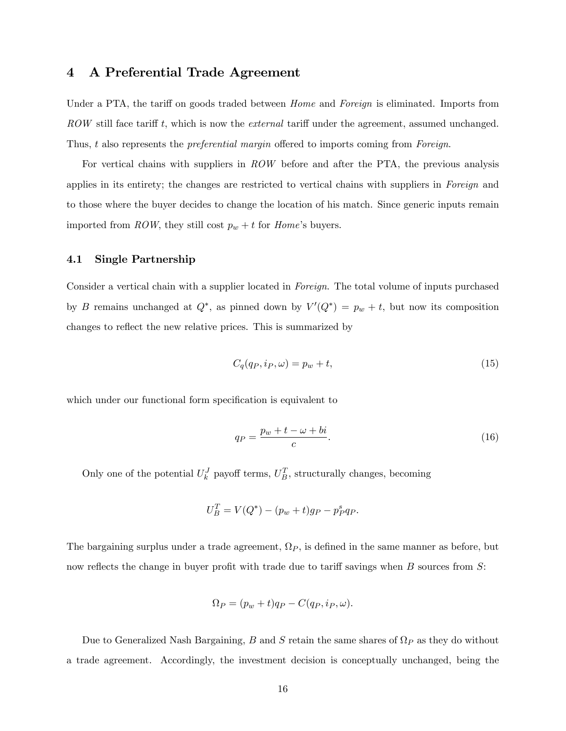## 4 A Preferential Trade Agreement

Under a PTA, the tariff on goods traded between *Home* and *Foreign* is eliminated. Imports from ROW still face tariff t, which is now the *external* tariff under the agreement, assumed unchanged. Thus,  $t$  also represents the *preferential margin* offered to imports coming from *Foreign*.

For vertical chains with suppliers in ROW before and after the PTA, the previous analysis applies in its entirety; the changes are restricted to vertical chains with suppliers in Foreign and to those where the buyer decides to change the location of his match. Since generic inputs remain imported from ROW, they still cost  $p_w + t$  for Home's buyers.

#### 4.1 Single Partnership

Consider a vertical chain with a supplier located in Foreign. The total volume of inputs purchased by B remains unchanged at  $Q^*$ , as pinned down by  $V'(Q^*) = p_w + t$ , but now its composition changes to reflect the new relative prices. This is summarized by

$$
C_q(q_P, i_P, \omega) = p_w + t,\tag{15}
$$

which under our functional form specification is equivalent to

$$
q_P = \frac{p_w + t - \omega + bi}{c}.\tag{16}
$$

Only one of the potential  $U_k^J$  payoff terms,  $U_B^T$ , structurally changes, becoming

$$
U_B^T = V(Q^*) - (p_w + t)g_P - p_P^s q_P.
$$

The bargaining surplus under a trade agreement,  $\Omega_P$ , is defined in the same manner as before, but now reflects the change in buyer profit with trade due to tariff savings when  $B$  sources from  $S$ :

$$
\Omega_P = (p_w + t)qp - C(q_P, i_P, \omega).
$$

Due to Generalized Nash Bargaining, B and S retain the same shares of  $\Omega_P$  as they do without a trade agreement. Accordingly, the investment decision is conceptually unchanged, being the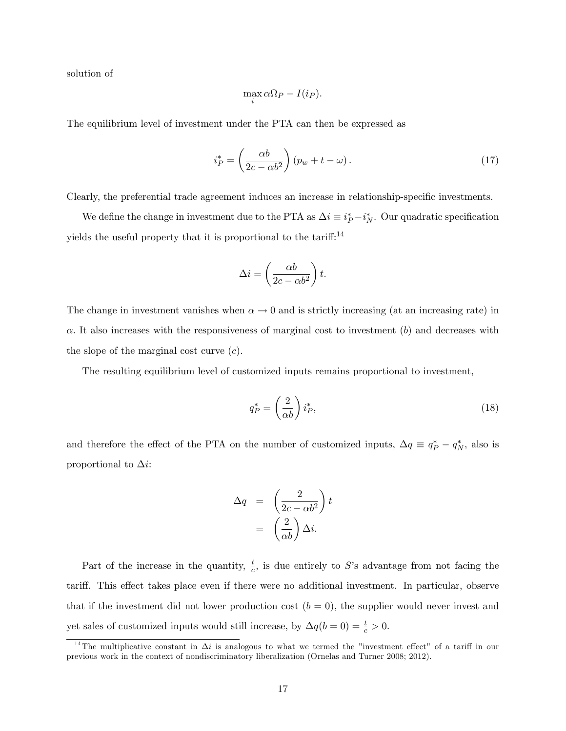solution of

$$
\max_i \alpha \Omega_P - I(i_P).
$$

The equilibrium level of investment under the PTA can then be expressed as

$$
i_P^* = \left(\frac{\alpha b}{2c - \alpha b^2}\right) (p_w + t - \omega). \tag{17}
$$

Clearly, the preferential trade agreement induces an increase in relationship-specific investments.

We define the change in investment due to the PTA as  $\Delta i \equiv i_P^* - i_N^*$ . Our quadratic specification yields the useful property that it is proportional to the tariff: $^{14}$ 

$$
\Delta i = \left( \frac{\alpha b}{2c - \alpha b^2} \right) t.
$$

The change in investment vanishes when  $\alpha \to 0$  and is strictly increasing (at an increasing rate) in  $\alpha$ . It also increases with the responsiveness of marginal cost to investment  $(b)$  and decreases with the slope of the marginal cost curve  $(c)$ .

The resulting equilibrium level of customized inputs remains proportional to investment,

$$
q_P^* = \left(\frac{2}{\alpha b}\right) i_P^*,\tag{18}
$$

and therefore the effect of the PTA on the number of customized inputs,  $\Delta q \equiv q_P^* - q_N^*$ , also is proportional to  $\Delta i$ :

$$
\Delta q = \left(\frac{2}{2c - \alpha b^2}\right)t
$$

$$
= \left(\frac{2}{\alpha b}\right)\Delta i.
$$

Part of the increase in the quantity,  $\frac{t}{c}$ , is due entirely to S's advantage from not facing the tariff. This effect takes place even if there were no additional investment. In particular, observe that if the investment did not lower production cost  $(b = 0)$ , the supplier would never invest and yet sales of customized inputs would still increase, by  $\Delta q(b=0) = \frac{t}{c} > 0$ .

<sup>&</sup>lt;sup>14</sup>The multiplicative constant in  $\Delta i$  is analogous to what we termed the "investment effect" of a tariff in our previous work in the context of nondiscriminatory liberalization (Ornelas and Turner 2008; 2012).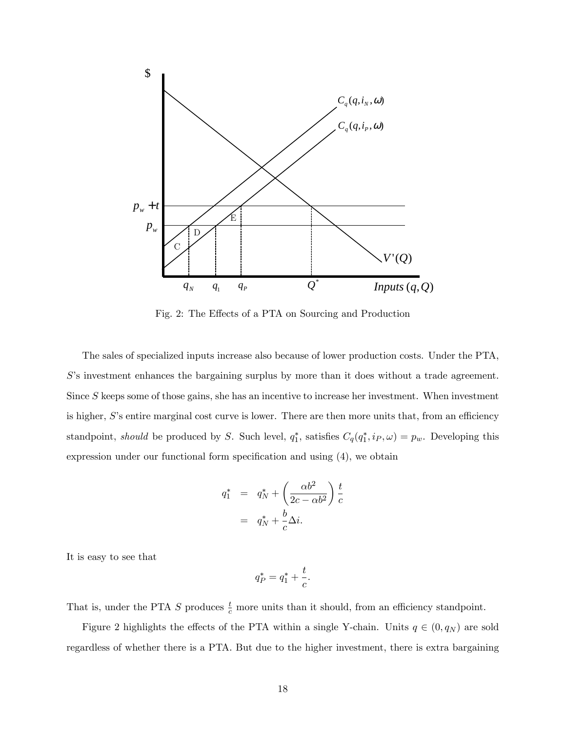

Fig. 2: The Effects of a PTA on Sourcing and Production

The sales of specialized inputs increase also because of lower production costs. Under the PTA, S's investment enhances the bargaining surplus by more than it does without a trade agreement. Since S keeps some of those gains, she has an incentive to increase her investment. When investment is higher,  $S$ 's entire marginal cost curve is lower. There are then more units that, from an efficiency standpoint, should be produced by S. Such level,  $q_1^*$ , satisfies  $C_q(q_1^*, i_P, \omega) = p_w$ . Developing this expression under our functional form specification and using  $(4)$ , we obtain

$$
q_1^* = q_N^* + \left(\frac{\alpha b^2}{2c - \alpha b^2}\right) \frac{t}{c}
$$

$$
= q_N^* + \frac{b}{c} \Delta i.
$$

It is easy to see that

$$
q_P^* = q_1^* + \frac{t}{c}.
$$

That is, under the PTA S produces  $\frac{t}{c}$  more units than it should, from an efficiency standpoint.

Figure 2 highlights the effects of the PTA within a single Y-chain. Units  $q \in (0, q_N)$  are sold regardless of whether there is a PTA. But due to the higher investment, there is extra bargaining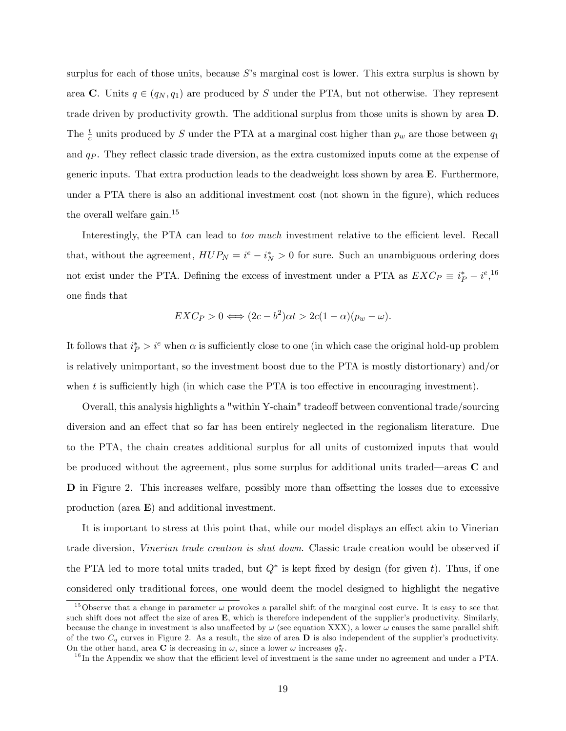surplus for each of those units, because  $S$ 's marginal cost is lower. This extra surplus is shown by area C. Units  $q \in (q_N, q_1)$  are produced by S under the PTA, but not otherwise. They represent trade driven by productivity growth. The additional surplus from those units is shown by area D. The  $\frac{t}{c}$  units produced by S under the PTA at a marginal cost higher than  $p_w$  are those between  $q_1$ and  $q_P$ . They reflect classic trade diversion, as the extra customized inputs come at the expense of generic inputs. That extra production leads to the deadweight loss shown by area E. Furthermore, under a PTA there is also an additional investment cost (not shown in the figure), which reduces the overall welfare gain.<sup>15</sup>

Interestingly, the PTA can lead to *too much* investment relative to the efficient level. Recall that, without the agreement,  $HUP_N = i^e - i^*_N > 0$  for sure. Such an unambiguous ordering does not exist under the PTA. Defining the excess of investment under a PTA as  $EXC_P \equiv i_P^* - i^e,$ <sup>16</sup> one Önds that

$$
EXC_P > 0 \Longleftrightarrow (2c - b^2)\alpha t > 2c(1 - \alpha)(p_w - \omega).
$$

It follows that  $i_P^* > i^e$  when  $\alpha$  is sufficiently close to one (in which case the original hold-up problem is relatively unimportant, so the investment boost due to the PTA is mostly distortionary) and/or when t is sufficiently high (in which case the PTA is too effective in encouraging investment).

Overall, this analysis highlights a "within Y-chain" tradeo§ between conventional trade/sourcing diversion and an effect that so far has been entirely neglected in the regionalism literature. Due to the PTA, the chain creates additional surplus for all units of customized inputs that would be produced without the agreement, plus some surplus for additional units traded—areas  $C$  and D in Figure 2. This increases welfare, possibly more than offsetting the losses due to excessive production (area E) and additional investment.

It is important to stress at this point that, while our model displays an effect akin to Vinerian trade diversion, Vinerian trade creation is shut down. Classic trade creation would be observed if the PTA led to more total units traded, but  $Q^*$  is kept fixed by design (for given t). Thus, if one considered only traditional forces, one would deem the model designed to highlight the negative

<sup>&</sup>lt;sup>15</sup>Observe that a change in parameter  $\omega$  provokes a parallel shift of the marginal cost curve. It is easy to see that such shift does not affect the size of area  $E$ , which is therefore independent of the supplier's productivity. Similarly, because the change in investment is also unaffected by  $\omega$  (see equation XXX), a lower  $\omega$  causes the same parallel shift of the two  $C_q$  curves in Figure 2. As a result, the size of area  $\bf{D}$  is also independent of the supplier's productivity. On the other hand, area **C** is decreasing in  $\omega$ , since a lower  $\omega$  increases  $q_N^*$ .

 $16$  In the Appendix we show that the efficient level of investment is the same under no agreement and under a PTA.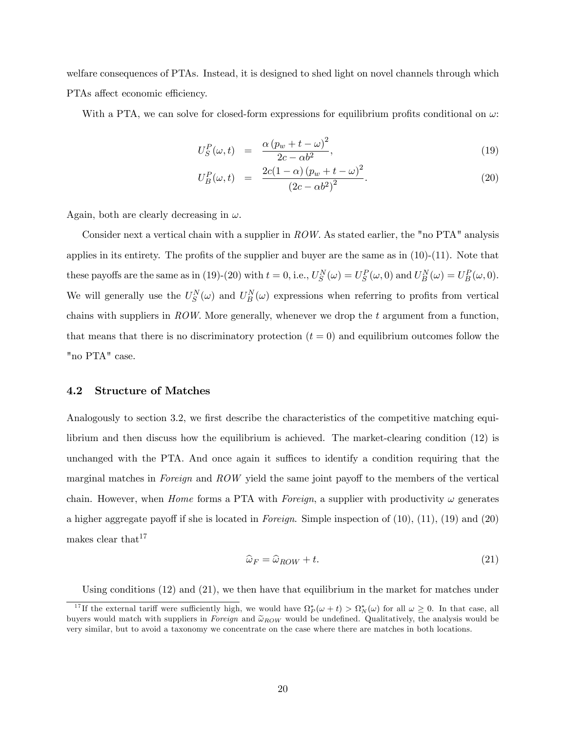welfare consequences of PTAs. Instead, it is designed to shed light on novel channels through which PTAs affect economic efficiency.

With a PTA, we can solve for closed-form expressions for equilibrium profits conditional on  $\omega$ :

$$
U_S^P(\omega, t) = \frac{\alpha (p_w + t - \omega)^2}{2c - \alpha b^2}, \qquad (19)
$$

$$
U_B^P(\omega, t) = \frac{2c(1-\alpha)(p_w + t - \omega)^2}{(2c - \alpha b^2)^2}.
$$
 (20)

Again, both are clearly decreasing in  $\omega$ .

Consider next a vertical chain with a supplier in ROW. As stated earlier, the "no PTA" analysis applies in its entirety. The profits of the supplier and buyer are the same as in  $(10)-(11)$ . Note that these payoffs are the same as in (19)-(20) with  $t = 0$ , i.e.,  $U_S^N(\omega) = U_S^P(\omega, 0)$  and  $U_B^N(\omega) = U_B^P(\omega, 0)$ . We will generally use the  $U_S^N(\omega)$  and  $U_B^N(\omega)$  expressions when referring to profits from vertical chains with suppliers in ROW. More generally, whenever we drop the t argument from a function. that means that there is no discriminatory protection  $(t = 0)$  and equilibrium outcomes follow the "no PTA" case.

#### 4.2 Structure of Matches

Analogously to section 3.2, we first describe the characteristics of the competitive matching equilibrium and then discuss how the equilibrium is achieved. The market-clearing condition (12) is unchanged with the PTA. And once again it suffices to identify a condition requiring that the marginal matches in Foreign and ROW yield the same joint payoff to the members of the vertical chain. However, when *Home* forms a PTA with *Foreign*, a supplier with productivity  $\omega$  generates a higher aggregate payoff if she is located in Foreign. Simple inspection of  $(10)$ ,  $(11)$ ,  $(19)$  and  $(20)$ makes clear that  $17$ 

$$
\widehat{\omega}_F = \widehat{\omega}_{ROW} + t. \tag{21}
$$

Using conditions (12) and (21), we then have that equilibrium in the market for matches under

<sup>&</sup>lt;sup>17</sup>If the external tariff were sufficiently high, we would have  $\Omega_P^*(\omega + t) > \Omega_N^*(\omega)$  for all  $\omega \geq 0$ . In that case, all buyers would match with suppliers in Foreign and  $\tilde{\omega}_{ROW}$  would be undefined. Qualitatively, the analysis would be very similar, but to avoid a taxonomy we concentrate on the case where there are matches in both locations.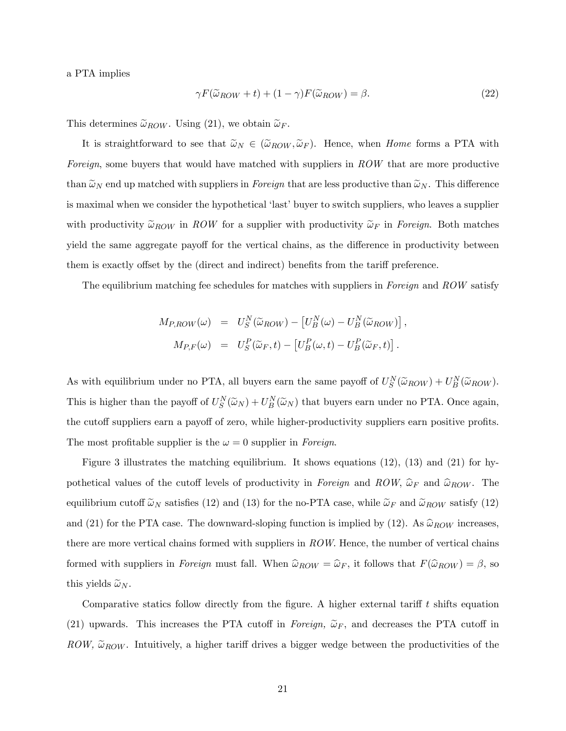a PTA implies

$$
\gamma F(\tilde{\omega}_{ROW} + t) + (1 - \gamma) F(\tilde{\omega}_{ROW}) = \beta. \tag{22}
$$

This determines  $\tilde{\omega}_{ROW}$ . Using (21), we obtain  $\tilde{\omega}_F$ .

It is straightforward to see that  $\tilde{\omega}_N \in (\tilde{\omega}_{ROW}, \tilde{\omega}_F)$ . Hence, when Home forms a PTA with Foreign, some buyers that would have matched with suppliers in ROW that are more productive than  $\tilde{\omega}_N$  end up matched with suppliers in *Foreign* that are less productive than  $\tilde{\omega}_N$ . This difference is maximal when we consider the hypothetical 'last' buyer to switch suppliers, who leaves a supplier with productivity  $\tilde{\omega}_{ROW}$  in ROW for a supplier with productivity  $\tilde{\omega}_{F}$  in Foreign. Both matches yield the same aggregate payoff for the vertical chains, as the difference in productivity between them is exactly offset by the (direct and indirect) benefits from the tariff preference.

The equilibrium matching fee schedules for matches with suppliers in Foreign and ROW satisfy

$$
M_{P,ROW}(\omega) = U_S^N(\widetilde{\omega}_{ROW}) - [U_B^N(\omega) - U_B^N(\widetilde{\omega}_{ROW})],
$$
  

$$
M_{P,F}(\omega) = U_S^P(\widetilde{\omega}_F, t) - [U_B^P(\omega, t) - U_B^P(\widetilde{\omega}_F, t)].
$$

As with equilibrium under no PTA, all buyers earn the same payoff of  $U_S^N(\tilde{\omega}_{ROW}) + U_B^N(\tilde{\omega}_{ROW})$ . This is higher than the payoff of  $U_S^N(\tilde{\omega}_N) + U_B^N(\tilde{\omega}_N)$  that buyers earn under no PTA. Once again, the cutoff suppliers earn a payoff of zero, while higher-productivity suppliers earn positive profits. The most profitable supplier is the  $\omega = 0$  supplier in Foreign.

Figure 3 illustrates the matching equilibrium. It shows equations (12), (13) and (21) for hypothetical values of the cutoff levels of productivity in Foreign and ROW,  $\hat{\omega}_F$  and  $\hat{\omega}_{ROW}$ . The equilibrium cutoff  $\tilde{\omega}_N$  satisfies (12) and (13) for the no-PTA case, while  $\tilde{\omega}_F$  and  $\tilde{\omega}_{ROW}$  satisfy (12) and (21) for the PTA case. The downward-sloping function is implied by (12). As  $\widehat{\omega}_{ROW}$  increases, there are more vertical chains formed with suppliers in ROW. Hence, the number of vertical chains formed with suppliers in Foreign must fall. When  $\hat{\omega}_{ROW} = \hat{\omega}_F$ , it follows that  $F(\hat{\omega}_{ROW}) = \beta$ , so this yields  $\tilde{\omega}_N$ .

Comparative statics follow directly from the figure. A higher external tariff  $t$  shifts equation (21) upwards. This increases the PTA cutoff in Foreign,  $\tilde{\omega}_F$ , and decreases the PTA cutoff in ROW,  $\tilde{\omega}_{ROW}$ . Intuitively, a higher tariff drives a bigger wedge between the productivities of the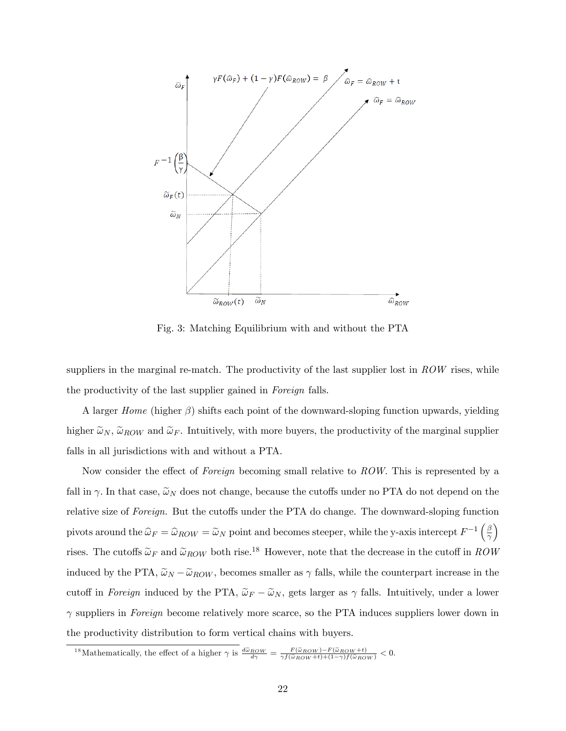

Fig. 3: Matching Equilibrium with and without the PTA

suppliers in the marginal re-match. The productivity of the last supplier lost in  $ROW$  rises, while the productivity of the last supplier gained in Foreign falls.

A larger *Home* (higher  $\beta$ ) shifts each point of the downward-sloping function upwards, yielding higher  $\tilde{\omega}_N$ ,  $\tilde{\omega}_{ROW}$  and  $\tilde{\omega}_F$ . Intuitively, with more buyers, the productivity of the marginal supplier falls in all jurisdictions with and without a PTA.

Now consider the effect of Foreign becoming small relative to  $ROW$ . This is represented by a fall in  $\gamma$ . In that case,  $\tilde{\omega}_N$  does not change, because the cutoffs under no PTA do not depend on the relative size of Foreign. But the cutoffs under the PTA do change. The downward-sloping function pivots around the  $\hat{\omega}_F = \hat{\omega}_{ROW} = \tilde{\omega}_N$  point and becomes steeper, while the y-axis intercept  $F^{-1} \left(\frac{\beta}{\gamma}\right)$  $\overline{\gamma}$  $\overline{ }$ rises. The cutoffs  $\tilde{\omega}_F$  and  $\tilde{\omega}_{ROW}$  both rise.<sup>18</sup> However, note that the decrease in the cutoff in ROW induced by the PTA,  $\tilde{\omega}_N - \tilde{\omega}_{ROW}$ , becomes smaller as  $\gamma$  falls, while the counterpart increase in the cutoff in Foreign induced by the PTA,  $\tilde{\omega}_F - \tilde{\omega}_N$ , gets larger as  $\gamma$  falls. Intuitively, under a lower  $\gamma$  suppliers in Foreign become relatively more scarce, so the PTA induces suppliers lower down in the productivity distribution to form vertical chains with buyers.

<sup>&</sup>lt;sup>18</sup>Mathematically, the effect of a higher  $\gamma$  is  $\frac{d\tilde{\omega}_{ROW}}{d\gamma} = \frac{F(\tilde{\omega}_{ROW}) - F(\tilde{\omega}_{ROW} + t)}{\gamma f(\tilde{\omega}_{ROW} + t) + (1 - \gamma)f(\tilde{\omega}_{ROW})} < 0.$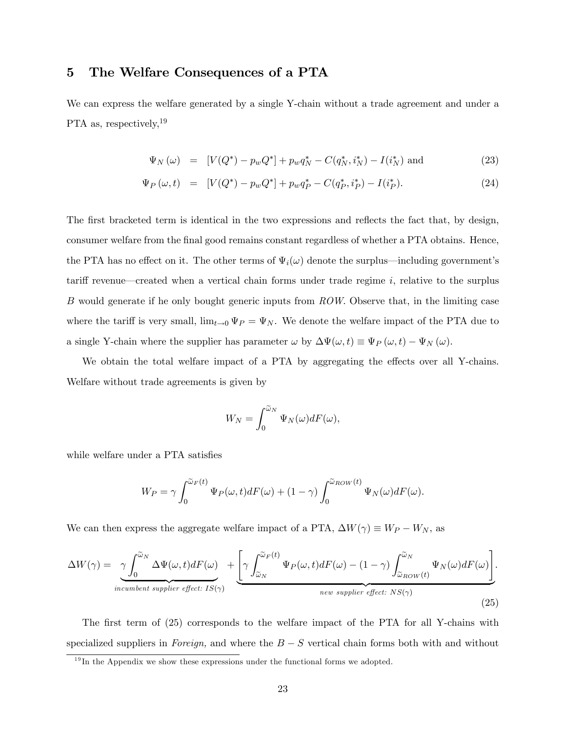## 5 The Welfare Consequences of a PTA

We can express the welfare generated by a single Y-chain without a trade agreement and under a PTA as, respectively,  $19$ 

$$
\Psi_N(\omega) = [V(Q^*) - p_w Q^*] + p_w q_N^* - C(q_N^*, i_N^*) - I(i_N^*) \text{ and } (23)
$$

$$
\Psi_P(\omega, t) = [V(Q^*) - p_w Q^*] + p_w q_P^* - C(q_P^*, i_P^*) - I(i_P^*). \tag{24}
$$

The first bracketed term is identical in the two expressions and reflects the fact that, by design, consumer welfare from the final good remains constant regardless of whether a PTA obtains. Hence, the PTA has no effect on it. The other terms of  $\Psi_i(\omega)$  denote the surplus—including government's tariff revenue—created when a vertical chain forms under trade regime  $i$ , relative to the surplus B would generate if he only bought generic inputs from ROW. Observe that, in the limiting case where the tariff is very small,  $\lim_{t\to 0} \Psi_P = \Psi_N$ . We denote the welfare impact of the PTA due to a single Y-chain where the supplier has parameter  $\omega$  by  $\Delta \Psi(\omega, t) \equiv \Psi_P(\omega, t) - \Psi_N(\omega)$ .

We obtain the total welfare impact of a PTA by aggregating the effects over all Y-chains. Welfare without trade agreements is given by

$$
W_N = \int_0^{\widetilde{\omega}_N} \Psi_N(\omega) dF(\omega),
$$

while welfare under a PTA satisfies

$$
W_P = \gamma \int_0^{\widetilde{\omega}_F(t)} \Psi_P(\omega, t) dF(\omega) + (1 - \gamma) \int_0^{\widetilde{\omega}_{ROW}(t)} \Psi_N(\omega) dF(\omega).
$$

We can then express the aggregate welfare impact of a PTA,  $\Delta W(\gamma) \equiv W_P - W_N$ , as

$$
\Delta W(\gamma) = \underbrace{\gamma \int_0^{\widetilde{\omega}_N} \Delta \Psi(\omega, t) dF(\omega)}_{\text{incumbent supplier effect: } IS(\gamma)} + \underbrace{\left[ \gamma \int_{\widetilde{\omega}_N}^{\widetilde{\omega}_F(t)} \Psi_P(\omega, t) dF(\omega) - (1 - \gamma) \int_{\widetilde{\omega}_{ROW}(t)}^{\widetilde{\omega}_N} \Psi_N(\omega) dF(\omega) \right]}_{\text{new supplier effect: } NS(\gamma)}.
$$
\n(25)

The first term of (25) corresponds to the welfare impact of the PTA for all Y-chains with specialized suppliers in Foreign, and where the  $B-S$  vertical chain forms both with and without

 $19$ In the Appendix we show these expressions under the functional forms we adopted.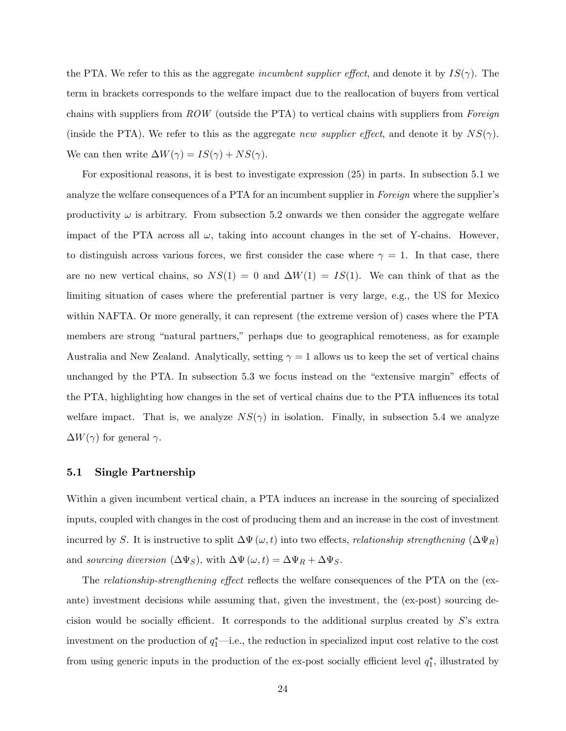the PTA. We refer to this as the aggregate *incumbent supplier effect*, and denote it by  $IS(\gamma)$ . The term in brackets corresponds to the welfare impact due to the reallocation of buyers from vertical chains with suppliers from  $ROW$  (outside the PTA) to vertical chains with suppliers from Foreign (inside the PTA). We refer to this as the aggregate new supplier effect, and denote it by  $NS(\gamma)$ . We can then write  $\Delta W(\gamma) = IS(\gamma) + NS(\gamma)$ .

For expositional reasons, it is best to investigate expression (25) in parts. In subsection 5.1 we analyze the welfare consequences of a PTA for an incumbent supplier in Foreign where the supplier's productivity  $\omega$  is arbitrary. From subsection 5.2 onwards we then consider the aggregate welfare impact of the PTA across all  $\omega$ , taking into account changes in the set of Y-chains. However, to distinguish across various forces, we first consider the case where  $\gamma = 1$ . In that case, there are no new vertical chains, so  $NS(1) = 0$  and  $\Delta W(1) = IS(1)$ . We can think of that as the limiting situation of cases where the preferential partner is very large, e.g., the US for Mexico within NAFTA. Or more generally, it can represent (the extreme version of) cases where the PTA members are strong "natural partners," perhaps due to geographical remoteness, as for example Australia and New Zealand. Analytically, setting  $\gamma = 1$  allows us to keep the set of vertical chains unchanged by the PTA. In subsection  $5.3$  we focus instead on the "extensive margin" effects of the PTA, highlighting how changes in the set of vertical chains due to the PTA influences its total welfare impact. That is, we analyze  $NS(\gamma)$  in isolation. Finally, in subsection 5.4 we analyze  $\Delta W(\gamma)$  for general  $\gamma$ .

#### 5.1 Single Partnership

Within a given incumbent vertical chain, a PTA induces an increase in the sourcing of specialized inputs, coupled with changes in the cost of producing them and an increase in the cost of investment incurred by S. It is instructive to split  $\Delta \Psi(\omega, t)$  into two effects, relationship strengthening  $(\Delta \Psi_R)$ and sourcing diversion  $(\Delta \Psi_S)$ , with  $\Delta \Psi(\omega, t) = \Delta \Psi_R + \Delta \Psi_S$ .

The relationship-strengthening effect reflects the welfare consequences of the PTA on the (exante) investment decisions while assuming that, given the investment, the (ex-post) sourcing decision would be socially efficient. It corresponds to the additional surplus created by  $S$ 's extra investment on the production of  $q_1^*$ —i.e., the reduction in specialized input cost relative to the cost from using generic inputs in the production of the ex-post socially efficient level  $q_1^*$ , illustrated by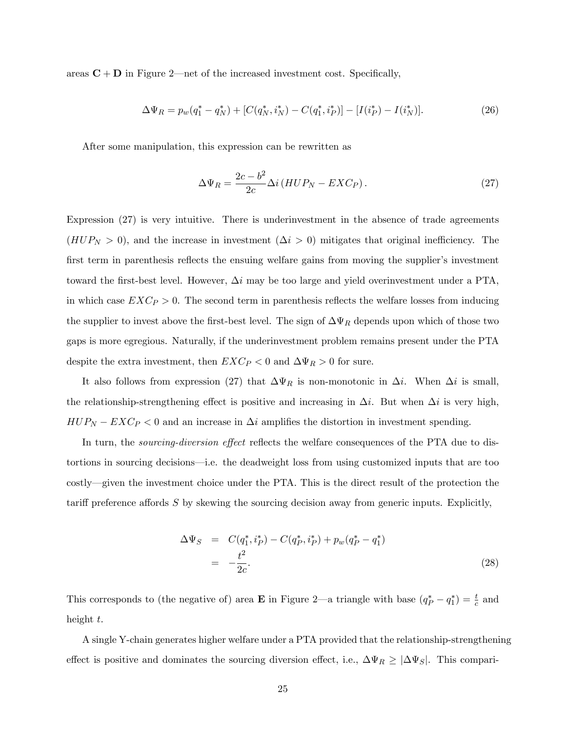areas  $C + D$  in Figure 2—net of the increased investment cost. Specifically,

$$
\Delta\Psi_R = p_w(q_1^* - q_N^*) + [C(q_N^*, i_N^*) - C(q_1^*, i_P^*)] - [I(i_P^*) - I(i_N^*)].\tag{26}
$$

After some manipulation, this expression can be rewritten as

$$
\Delta\Psi_R = \frac{2c - b^2}{2c} \Delta i \left( HUP_N - EXC_P \right). \tag{27}
$$

Expression (27) is very intuitive. There is underinvestment in the absence of trade agreements  $(HUP_N > 0)$ , and the increase in investment  $(\Delta i > 0)$  mitigates that original inefficiency. The first term in parenthesis reflects the ensuing welfare gains from moving the supplier's investment toward the first-best level. However,  $\Delta i$  may be too large and yield overinvestment under a PTA, in which case  $EXC_P > 0$ . The second term in parenthesis reflects the welfare losses from inducing the supplier to invest above the first-best level. The sign of  $\Delta\Psi_R$  depends upon which of those two gaps is more egregious. Naturally, if the underinvestment problem remains present under the PTA despite the extra investment, then  $EXC_P < 0$  and  $\Delta \Psi_R > 0$  for sure.

It also follows from expression (27) that  $\Delta \Psi_R$  is non-monotonic in  $\Delta i$ . When  $\Delta i$  is small, the relationship-strengthening effect is positive and increasing in  $\Delta i$ . But when  $\Delta i$  is very high,  $HUP_N - EXC_P < 0$  and an increase in  $\Delta i$  amplifies the distortion in investment spending.

In turn, the *sourcing-diversion effect* reflects the welfare consequences of the PTA due to distortions in sourcing decisions—i.e. the deadweight loss from using customized inputs that are too costly—given the investment choice under the PTA. This is the direct result of the protection the tariff preference affords  $S$  by skewing the sourcing decision away from generic inputs. Explicitly,

$$
\Delta\Psi_S = C(q_1^*, i_P^*) - C(q_P^*, i_P^*) + p_w(q_P^* - q_1^*)
$$
  
= 
$$
-\frac{t^2}{2c}.
$$
 (28)

This corresponds to (the negative of) area **E** in Figure 2—a triangle with base  $(q_P^* - q_1^*) = \frac{t}{c}$  and height  $t$ .

A single Y-chain generates higher welfare under a PTA provided that the relationship-strengthening effect is positive and dominates the sourcing diversion effect, i.e.,  $\Delta\Psi_R \geq |\Delta\Psi_S|$ . This compari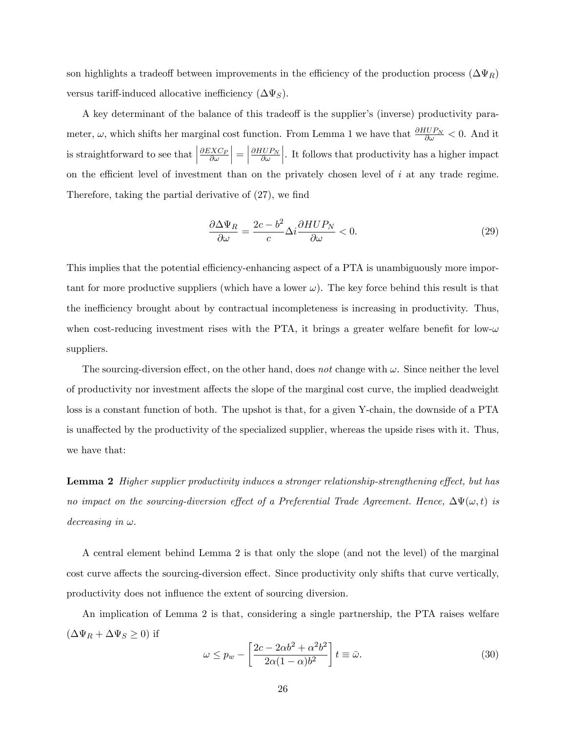son highlights a tradeoff between improvements in the efficiency of the production process  $(\Delta \Psi_R)$ versus tariff-induced allocative inefficiency  $(\Delta \Psi_S)$ .

A key determinant of the balance of this tradeoff is the supplier's (inverse) productivity parameter,  $\omega$ , which shifts her marginal cost function. From Lemma 1 we have that  $\frac{\partial HUP_N}{\partial \omega} < 0$ . And it is straightforward to see that  $\Big|$  $\frac{\partial EXC_F}{\partial \omega}$  $\Big| = \Big|$  $\frac{\partial HUP_N}{\partial \omega}$   . It follows that productivity has a higher impact on the efficient level of investment than on the privately chosen level of  $i$  at any trade regime. Therefore, taking the partial derivative of  $(27)$ , we find

$$
\frac{\partial \Delta \Psi_R}{\partial \omega} = \frac{2c - b^2}{c} \Delta i \frac{\partial HUP_N}{\partial \omega} < 0. \tag{29}
$$

This implies that the potential efficiency-enhancing aspect of a PTA is unambiguously more important for more productive suppliers (which have a lower  $\omega$ ). The key force behind this result is that the inefficiency brought about by contractual incompleteness is increasing in productivity. Thus, when cost-reducing investment rises with the PTA, it brings a greater welfare benefit for low- $\omega$ suppliers.

The sourcing-diversion effect, on the other hand, does not change with  $\omega$ . Since neither the level of productivity nor investment affects the slope of the marginal cost curve, the implied deadweight loss is a constant function of both. The upshot is that, for a given Y-chain, the downside of a PTA is unaffected by the productivity of the specialized supplier, whereas the upside rises with it. Thus, we have that:

**Lemma 2** Higher supplier productivity induces a stronger relationship-strengthening effect, but has no impact on the sourcing-diversion effect of a Preferential Trade Agreement. Hence,  $\Delta\Psi(\omega, t)$  is decreasing in  $\omega$ .

A central element behind Lemma 2 is that only the slope (and not the level) of the marginal cost curve affects the sourcing-diversion effect. Since productivity only shifts that curve vertically, productivity does not influence the extent of sourcing diversion.

An implication of Lemma 2 is that, considering a single partnership, the PTA raises welfare  $(\Delta \Psi_R + \Delta \Psi_S \ge 0)$  if

$$
\omega \le p_w - \left[ \frac{2c - 2\alpha b^2 + \alpha^2 b^2}{2\alpha (1 - \alpha)b^2} \right] t \equiv \bar{\omega}.
$$
\n(30)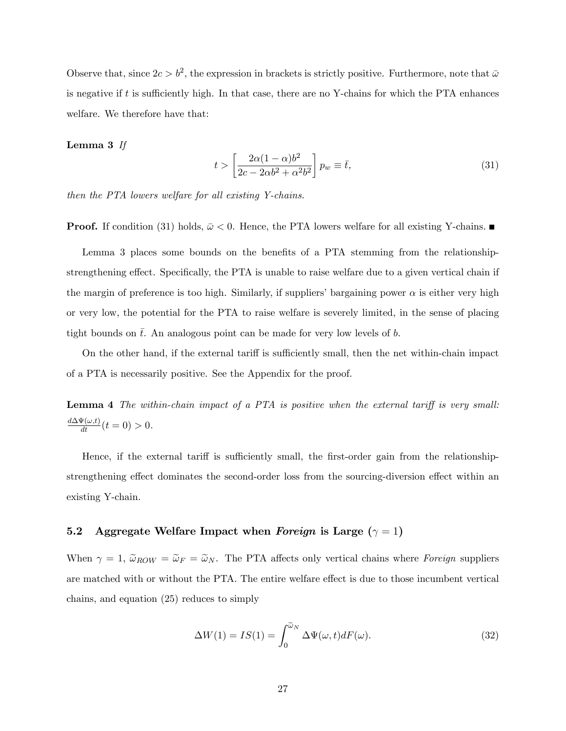Observe that, since  $2c > b^2$ , the expression in brackets is strictly positive. Furthermore, note that  $\bar{\omega}$ is negative if  $t$  is sufficiently high. In that case, there are no Y-chains for which the PTA enhances welfare. We therefore have that:

#### Lemma 3 If

$$
t > \left[\frac{2\alpha(1-\alpha)b^2}{2c - 2\alpha b^2 + \alpha^2 b^2}\right] p_w \equiv \bar{t},\tag{31}
$$

then the PTA lowers welfare for all existing Y-chains.

**Proof.** If condition (31) holds,  $\bar{\omega} < 0$ . Hence, the PTA lowers welfare for all existing Y-chains.

Lemma 3 places some bounds on the benefits of a PTA stemming from the relationshipstrengthening effect. Specifically, the PTA is unable to raise welfare due to a given vertical chain if the margin of preference is too high. Similarly, if suppliers' bargaining power  $\alpha$  is either very high or very low, the potential for the PTA to raise welfare is severely limited, in the sense of placing tight bounds on  $\bar{t}$ . An analogous point can be made for very low levels of b.

On the other hand, if the external tariff is sufficiently small, then the net within-chain impact of a PTA is necessarily positive. See the Appendix for the proof.

**Lemma 4** The within-chain impact of a PTA is positive when the external tariff is very small:  $\frac{d\Delta\Psi(\omega,t)}{dt}(t=0) > 0.$ 

Hence, if the external tariff is sufficiently small, the first-order gain from the relationshipstrengthening effect dominates the second-order loss from the sourcing-diversion effect within an existing Y-chain.

## 5.2 Aggregate Welfare Impact when Foreign is Large  $(\gamma = 1)$

When  $\gamma = 1$ ,  $\tilde{\omega}_{ROW} = \tilde{\omega}_F = \tilde{\omega}_N$ . The PTA affects only vertical chains where Foreign suppliers are matched with or without the PTA. The entire welfare effect is due to those incumbent vertical chains, and equation (25) reduces to simply

$$
\Delta W(1) = IS(1) = \int_0^{\tilde{\omega}_N} \Delta \Psi(\omega, t) dF(\omega).
$$
 (32)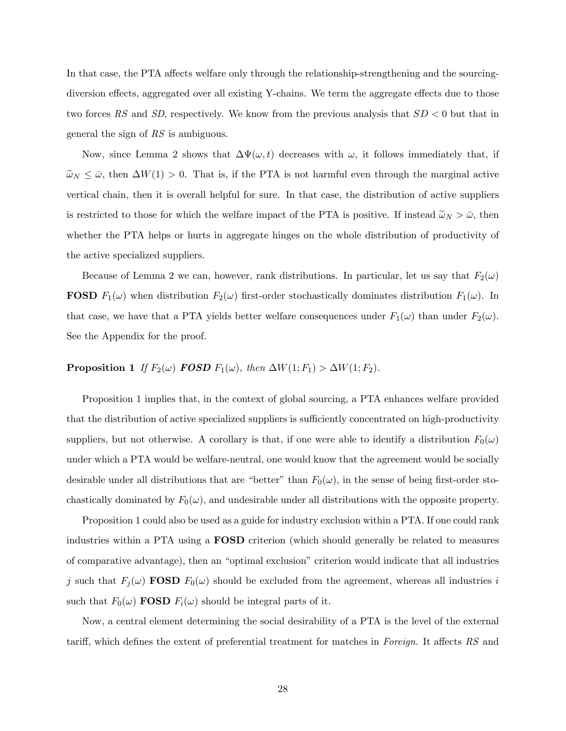In that case, the PTA affects welfare only through the relationship-strengthening and the sourcingdiversion effects, aggregated over all existing Y-chains. We term the aggregate effects due to those two forces RS and SD, respectively. We know from the previous analysis that  $SD < 0$  but that in general the sign of RS is ambiguous.

Now, since Lemma 2 shows that  $\Delta \Psi(\omega, t)$  decreases with  $\omega$ , it follows immediately that, if  $\tilde{\omega}_N \leq \bar{\omega}$ , then  $\Delta W(1) > 0$ . That is, if the PTA is not harmful even through the marginal active vertical chain, then it is overall helpful for sure. In that case, the distribution of active suppliers is restricted to those for which the welfare impact of the PTA is positive. If instead  $\tilde{\omega}_N > \bar{\omega}$ , then whether the PTA helps or hurts in aggregate hinges on the whole distribution of productivity of the active specialized suppliers.

Because of Lemma 2 we can, however, rank distributions. In particular, let us say that  $F_2(\omega)$ **FOSD**  $F_1(\omega)$  when distribution  $F_2(\omega)$  first-order stochastically dominates distribution  $F_1(\omega)$ . In that case, we have that a PTA yields better welfare consequences under  $F_1(\omega)$  than under  $F_2(\omega)$ . See the Appendix for the proof.

## **Proposition 1** If  $F_2(\omega)$  **FOSD**  $F_1(\omega)$ , then  $\Delta W(1; F_1) > \Delta W(1; F_2)$ .

Proposition 1 implies that, in the context of global sourcing, a PTA enhances welfare provided that the distribution of active specialized suppliers is sufficiently concentrated on high-productivity suppliers, but not otherwise. A corollary is that, if one were able to identify a distribution  $F_0(\omega)$ under which a PTA would be welfare-neutral, one would know that the agreement would be socially desirable under all distributions that are "better" than  $F_0(\omega)$ , in the sense of being first-order stochastically dominated by  $F_0(\omega)$ , and undesirable under all distributions with the opposite property.

Proposition 1 could also be used as a guide for industry exclusion within a PTA. If one could rank industries within a PTA using a FOSD criterion (which should generally be related to measures of comparative advantage), then an "optimal exclusion" criterion would indicate that all industries j such that  $F_j(\omega)$  FOSD  $F_0(\omega)$  should be excluded from the agreement, whereas all industries i such that  $F_0(\omega)$  **FOSD**  $F_i(\omega)$  should be integral parts of it.

Now, a central element determining the social desirability of a PTA is the level of the external tariff, which defines the extent of preferential treatment for matches in Foreign. It affects  $RS$  and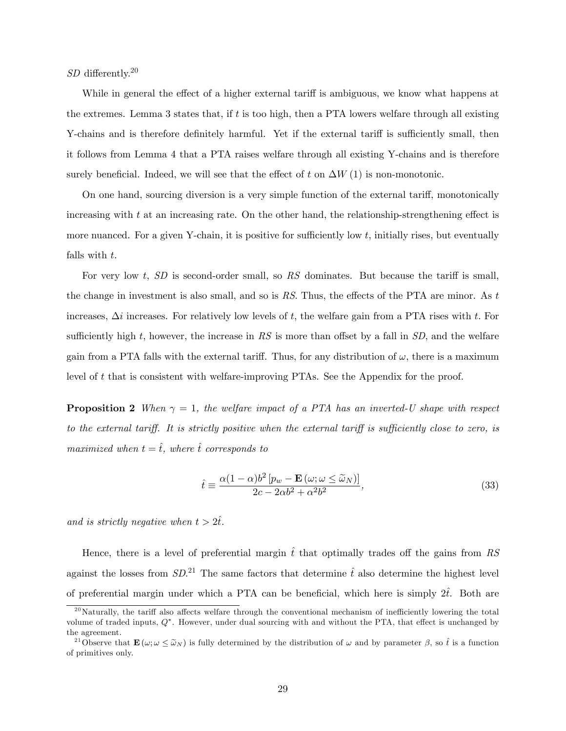$SD$  differently.<sup>20</sup>

While in general the effect of a higher external tariff is ambiguous, we know what happens at the extremes. Lemma 3 states that, if t is too high, then a PTA lowers welfare through all existing Y-chains and is therefore definitely harmful. Yet if the external tariff is sufficiently small, then it follows from Lemma 4 that a PTA raises welfare through all existing Y-chains and is therefore surely beneficial. Indeed, we will see that the effect of t on  $\Delta W(1)$  is non-monotonic.

On one hand, sourcing diversion is a very simple function of the external tariff, monotonically increasing with  $t$  at an increasing rate. On the other hand, the relationship-strengthening effect is more nuanced. For a given Y-chain, it is positive for sufficiently low  $t$ , initially rises, but eventually falls with t.

For very low t,  $SD$  is second-order small, so RS dominates. But because the tariff is small, the change in investment is also small, and so is  $RS$ . Thus, the effects of the PTA are minor. As t increases,  $\Delta i$  increases. For relatively low levels of t, the welfare gain from a PTA rises with t. For sufficiently high t, however, the increase in RS is more than offset by a fall in  $SD$ , and the welfare gain from a PTA falls with the external tariff. Thus, for any distribution of  $\omega$ , there is a maximum level of t that is consistent with welfare-improving PTAs. See the Appendix for the proof.

**Proposition 2** When  $\gamma = 1$ , the welfare impact of a PTA has an inverted-U shape with respect to the external tariff. It is strictly positive when the external tariff is sufficiently close to zero, is maximized when  $t = \hat{t}$ , where  $\hat{t}$  corresponds to

$$
\hat{t} \equiv \frac{\alpha (1 - \alpha) b^2 \left[ p_w - \mathbf{E} \left( \omega; \omega \le \tilde{\omega}_N \right) \right]}{2c - 2\alpha b^2 + \alpha^2 b^2},\tag{33}
$$

and is strictly negative when  $t > 2t$ .

Hence, there is a level of preferential margin  $\hat{t}$  that optimally trades off the gains from RS against the losses from  $SD^{21}$  The same factors that determine  $\hat{t}$  also determine the highest level of preferential margin under which a PTA can be beneficial, which here is simply  $2\hat{t}$ . Both are

 $^{20}$ Naturally, the tariff also affects welfare through the conventional mechanism of inefficiently lowering the total volume of traded inputs,  $Q^*$ . However, under dual sourcing with and without the PTA, that effect is unchanged by the agreement.

<sup>&</sup>lt;sup>21</sup>Observe that  $\mathbf{E}(\omega; \omega \leq \tilde{\omega}_N)$  is fully determined by the distribution of  $\omega$  and by parameter  $\beta$ , so  $\hat{t}$  is a function of primitives only.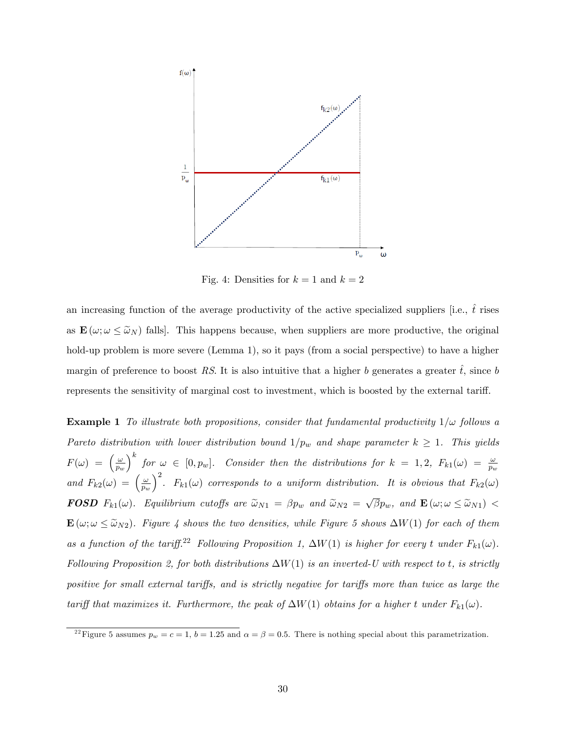

Fig. 4: Densities for  $k = 1$  and  $k = 2$ 

an increasing function of the average productivity of the active specialized suppliers [i.e.,  $\hat{t}$  rises as  $\mathbf{E}(\omega; \omega \leq \tilde{\omega}_N)$  falls. This happens because, when suppliers are more productive, the original hold-up problem is more severe (Lemma 1), so it pays (from a social perspective) to have a higher margin of preference to boost RS. It is also intuitive that a higher b generates a greater t, since b represents the sensitivity of marginal cost to investment, which is boosted by the external tariff.

**Example 1** To illustrate both propositions, consider that fundamental productivity  $1/\omega$  follows a Pareto distribution with lower distribution bound  $1/p_w$  and shape parameter  $k \ge 1$ . This yields  $F(\omega) = \left(\frac{\omega}{n}\right)$  $\overline{p_w}$  $\Big)^k$  for  $\omega \in [0, p_w]$ . Consider then the distributions for  $k = 1, 2, F_{k1}(\omega) = \frac{\omega}{p_w}$ and  $F_{k2}(\omega) = \left(\frac{\omega}{n_{\text{H}}} \right)$  $\overline{p_w}$  $\int^2$ .  $F_{k1}(\omega)$  corresponds to a uniform distribution. It is obvious that  $F_{k2}(\omega)$ **FOSD**  $F_{k1}(\omega)$ . Equilibrium cutoffs are  $\widetilde{\omega}_{N1} = \beta p_w$  and  $\widetilde{\omega}_{N2} = \sqrt{\beta} p_w$ , and  $\mathbf{E}(\omega; \omega \leq \widetilde{\omega}_{N1})$  $\mathbf{E}(\omega; \omega \leq \tilde{\omega}_{N2})$ . Figure 4 shows the two densities, while Figure 5 shows  $\Delta W(1)$  for each of them as a function of the tariff.<sup>22</sup> Following Proposition 1,  $\Delta W(1)$  is higher for every t under  $F_{k1}(\omega)$ . Following Proposition 2, for both distributions  $\Delta W(1)$  is an inverted-U with respect to t, is strictly positive for small external tariffs, and is strictly negative for tariffs more than twice as large the tariff that maximizes it. Furthermore, the peak of  $\Delta W(1)$  obtains for a higher t under  $F_{k1}(\omega)$ .

<sup>&</sup>lt;sup>22</sup> Figure 5 assumes  $p_w = c = 1$ ,  $b = 1.25$  and  $\alpha = \beta = 0.5$ . There is nothing special about this parametrization.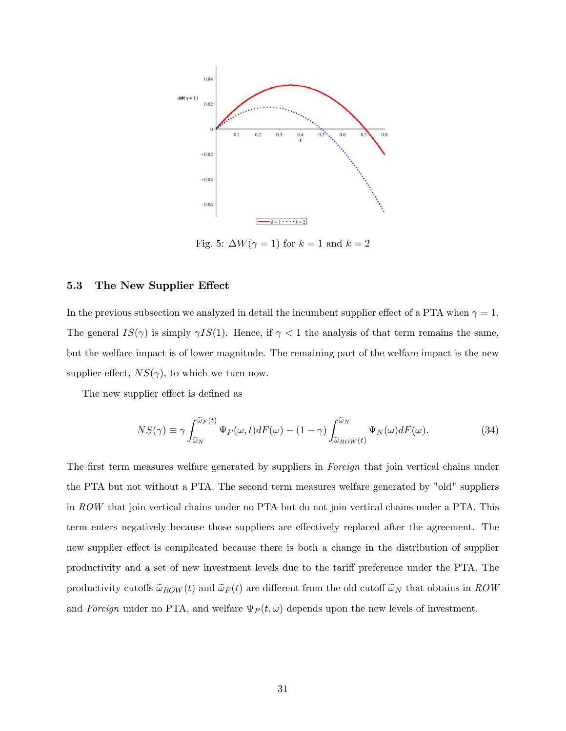

Fig. 5:  $\Delta W(\gamma = 1)$  for  $k = 1$  and  $k = 2$ 

#### 5.3 The New Supplier Effect

In the previous subsection we analyzed in detail the incumbent supplier effect of a PTA when  $\gamma = 1$ . The general  $IS(\gamma)$  is simply  $\gamma IS(1)$ . Hence, if  $\gamma < 1$  the analysis of that term remains the same, but the welfare impact is of lower magnitude. The remaining part of the welfare impact is the new supplier effect,  $NS(\gamma)$ , to which we turn now.

The new supplier effect is defined as

$$
NS(\gamma) \equiv \gamma \int_{\tilde{\omega}_N}^{\tilde{\omega}_F(t)} \Psi_P(\omega, t) dF(\omega) - (1 - \gamma) \int_{\tilde{\omega}_{ROW}(t)}^{\tilde{\omega}_N} \Psi_N(\omega) dF(\omega).
$$
 (34)

The first term measures welfare generated by suppliers in Foreign that join vertical chains under the PTA but not without a PTA. The second term measures welfare generated by "old" suppliers in ROW that join vertical chains under no PTA but do not join vertical chains under a PTA. This term enters negatively because those suppliers are effectively replaced after the agreement. The new supplier effect is complicated because there is both a change in the distribution of supplier productivity and a set of new investment levels due to the tariff preference under the PTA. The productivity cutoffs  $\tilde{\omega}_{ROW}(t)$  and  $\tilde{\omega}_{F}(t)$  are different from the old cutoff  $\tilde{\omega}_{N}$  that obtains in ROW and Foreign under no PTA, and welfare  $\Psi_P(t,\omega)$  depends upon the new levels of investment.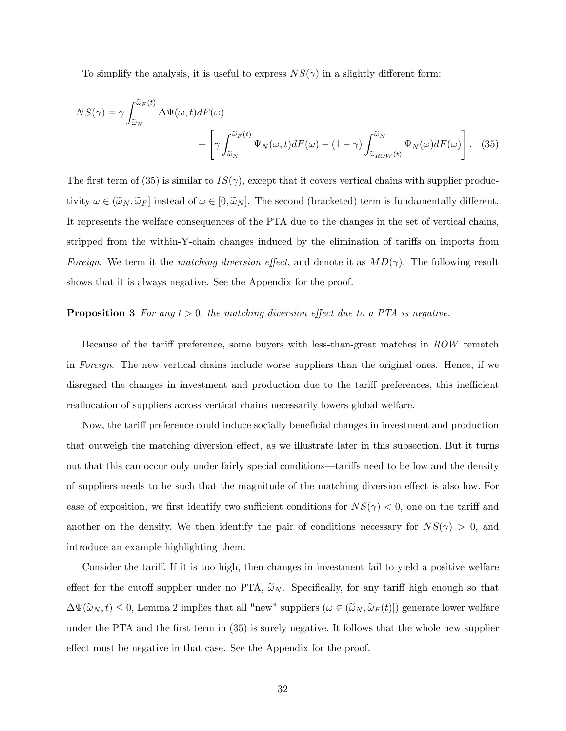To simplify the analysis, it is useful to express  $NS(\gamma)$  in a slightly different form:

$$
NS(\gamma) \equiv \gamma \int_{\tilde{\omega}_N}^{\tilde{\omega}_F(t)} \Delta \Psi(\omega, t) dF(\omega) + \left[ \gamma \int_{\tilde{\omega}_N}^{\tilde{\omega}_F(t)} \Psi_N(\omega, t) dF(\omega) - (1 - \gamma) \int_{\tilde{\omega}_{ROW}(t)}^{\tilde{\omega}_N} \Psi_N(\omega) dF(\omega) \right].
$$
 (35)

The first term of (35) is similar to  $IS(\gamma)$ , except that it covers vertical chains with supplier productivity  $\omega \in (\tilde{\omega}_N, \tilde{\omega}_F]$  instead of  $\omega \in [0, \tilde{\omega}_N]$ . The second (bracketed) term is fundamentally different. It represents the welfare consequences of the PTA due to the changes in the set of vertical chains, stripped from the within-Y-chain changes induced by the elimination of tariffs on imports from Foreign. We term it the matching diversion effect, and denote it as  $MD(\gamma)$ . The following result shows that it is always negative. See the Appendix for the proof.

#### **Proposition 3** For any  $t > 0$ , the matching diversion effect due to a PTA is negative.

Because of the tariff preference, some buyers with less-than-great matches in  $\mathbb{R}OW$  rematch in Foreign. The new vertical chains include worse suppliers than the original ones. Hence, if we disregard the changes in investment and production due to the tariff preferences, this inefficient reallocation of suppliers across vertical chains necessarily lowers global welfare.

Now, the tariff preference could induce socially beneficial changes in investment and production that outweigh the matching diversion effect, as we illustrate later in this subsection. But it turns out that this can occur only under fairly special conditions—tariffs need to be low and the density of suppliers needs to be such that the magnitude of the matching diversion effect is also low. For ease of exposition, we first identify two sufficient conditions for  $NS(\gamma) < 0$ , one on the tariff and another on the density. We then identify the pair of conditions necessary for  $NS(\gamma) > 0$ , and introduce an example highlighting them.

Consider the tariff. If it is too high, then changes in investment fail to yield a positive welfare effect for the cutoff supplier under no PTA,  $\tilde{\omega}_N$ . Specifically, for any tariff high enough so that  $\Delta\Psi(\tilde{\omega}_N,t) \leq 0$ , Lemma 2 implies that all "new" suppliers  $(\omega \in (\tilde{\omega}_N, \tilde{\omega}_F(t)])$  generate lower welfare under the PTA and the first term in  $(35)$  is surely negative. It follows that the whole new supplier effect must be negative in that case. See the Appendix for the proof.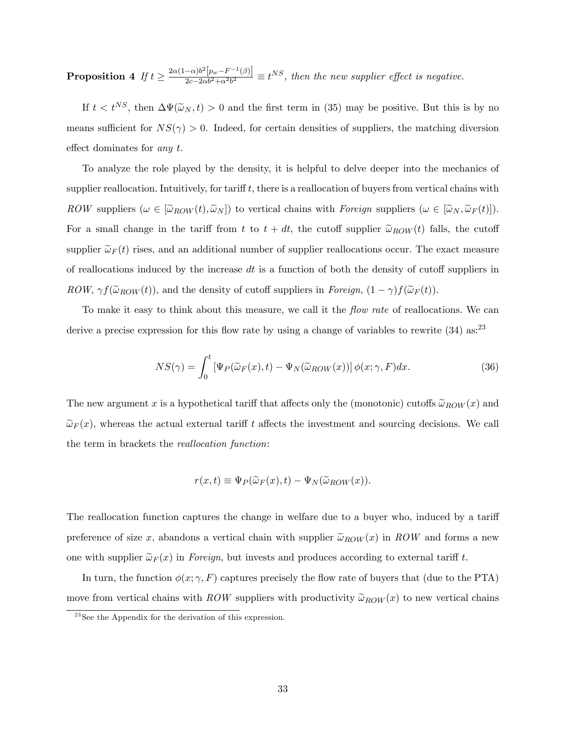$\textbf{Proposition 4} \ \textit{ If } t \geq \frac{2\alpha(1-\alpha)b^2\left[p_w-F^{-1}(\beta)\right]}{2c-2\alpha b^2+\alpha^2b^2}$  $\frac{-\alpha\rho^{\alpha}[p_w - F^{(-\beta)}]}{2c-2\alpha b^2 + \alpha^2 b^2} \equiv t^{NS}$ , then the new supplier effect is negative.

If  $t < t^{NS}$ , then  $\Delta \Psi(\tilde{\omega}_N, t) > 0$  and the first term in (35) may be positive. But this is by no means sufficient for  $NS(\gamma) > 0$ . Indeed, for certain densities of suppliers, the matching diversion effect dominates for any  $t$ .

To analyze the role played by the density, it is helpful to delve deeper into the mechanics of supplier reallocation. Intuitively, for tariff  $t$ , there is a reallocation of buyers from vertical chains with ROW suppliers  $(\omega \in [\tilde{\omega}_{ROW}(t), \tilde{\omega}_{N}])$  to vertical chains with Foreign suppliers  $(\omega \in [\tilde{\omega}_{N}, \tilde{\omega}_{F}(t)])$ . For a small change in the tariff from t to  $t + dt$ , the cutoff supplier  $\tilde{\omega}_{ROW}(t)$  falls, the cutoff supplier  $\tilde{\omega}_F(t)$  rises, and an additional number of supplier reallocations occur. The exact measure of reallocations induced by the increase  $dt$  is a function of both the density of cutoff suppliers in ROW,  $\gamma f(\tilde{\omega}_{ROW}(t))$ , and the density of cutoff suppliers in Foreign,  $(1 - \gamma)f(\tilde{\omega}_F(t))$ .

To make it easy to think about this measure, we call it the *flow rate* of reallocations. We can derive a precise expression for this flow rate by using a change of variables to rewrite  $(34)$  as:<sup>23</sup>

$$
NS(\gamma) = \int_0^t \left[ \Psi_P(\widetilde{\omega}_F(x), t) - \Psi_N(\widetilde{\omega}_{ROW}(x)) \right] \phi(x; \gamma, F) dx.
$$
 (36)

The new argument x is a hypothetical tariff that affects only the (monotonic) cutoffs  $\tilde{\omega}_{ROW}(x)$  and  $\tilde{\omega}_F(x)$ , whereas the actual external tariff t affects the investment and sourcing decisions. We call the term in brackets the reallocation function:

$$
r(x,t) \equiv \Psi_P(\widetilde{\omega}_F(x),t) - \Psi_N(\widetilde{\omega}_{ROW}(x)).
$$

The reallocation function captures the change in welfare due to a buyer who, induced by a tariff preference of size x, abandons a vertical chain with supplier  $\tilde{\omega}_{ROW}(x)$  in ROW and forms a new one with supplier  $\tilde{\omega}_F(x)$  in Foreign, but invests and produces according to external tariff t.

In turn, the function  $\phi(x; \gamma, F)$  captures precisely the flow rate of buyers that (due to the PTA) move from vertical chains with ROW suppliers with productivity  $\tilde{\omega}_{ROW}(x)$  to new vertical chains

 $^{23}$ See the Appendix for the derivation of this expression.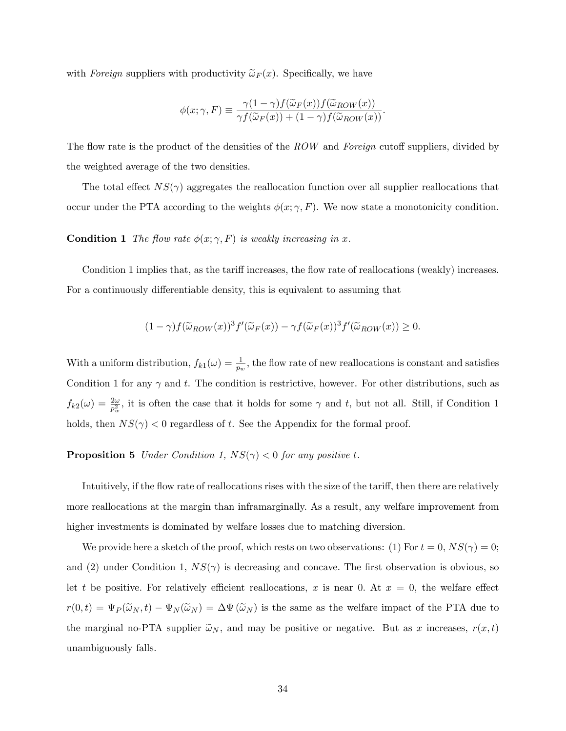with Foreign suppliers with productivity  $\tilde{\omega}_F(x)$ . Specifically, we have

$$
\phi(x;\gamma,F) \equiv \frac{\gamma(1-\gamma)f(\widetilde{\omega}_F(x))f(\widetilde{\omega}_{ROW}(x))}{\gamma f(\widetilde{\omega}_F(x)) + (1-\gamma)f(\widetilde{\omega}_{ROW}(x))}.
$$

The flow rate is the product of the densities of the  $ROW$  and Foreign cutoff suppliers, divided by the weighted average of the two densities.

The total effect  $NS(\gamma)$  aggregates the reallocation function over all supplier reallocations that occur under the PTA according to the weights  $\phi(x; \gamma, F)$ . We now state a monotonicity condition.

#### **Condition 1** The flow rate  $\phi(x; \gamma, F)$  is weakly increasing in x.

Condition 1 implies that, as the tariff increases, the flow rate of reallocations (weakly) increases. For a continuously differentiable density, this is equivalent to assuming that

$$
(1 - \gamma) f(\widetilde{\omega}_{ROW}(x))^3 f'(\widetilde{\omega}_F(x)) - \gamma f(\widetilde{\omega}_F(x))^3 f'(\widetilde{\omega}_{ROW}(x)) \ge 0.
$$

With a uniform distribution,  $f_{k1}(\omega) = \frac{1}{p_w}$ , the flow rate of new reallocations is constant and satisfies Condition 1 for any  $\gamma$  and t. The condition is restrictive, however. For other distributions, such as  $f_{k2}(\omega) = \frac{2\omega}{p_w^2}$ , it is often the case that it holds for some  $\gamma$  and t, but not all. Still, if Condition 1 holds, then  $NS(\gamma) < 0$  regardless of t. See the Appendix for the formal proof.

## **Proposition 5** Under Condition 1,  $NS(\gamma) < 0$  for any positive t.

Intuitively, if the flow rate of reallocations rises with the size of the tariff, then there are relatively more reallocations at the margin than inframarginally. As a result, any welfare improvement from higher investments is dominated by welfare losses due to matching diversion.

We provide here a sketch of the proof, which rests on two observations: (1) For  $t = 0$ ,  $NS(\gamma) = 0$ ; and (2) under Condition 1,  $NS(\gamma)$  is decreasing and concave. The first observation is obvious, so let t be positive. For relatively efficient reallocations, x is near 0. At  $x = 0$ , the welfare effect  $r(0,t) = \Psi_P(\tilde{\omega}_N,t) - \Psi_N(\tilde{\omega}_N) = \Delta \Psi(\tilde{\omega}_N)$  is the same as the welfare impact of the PTA due to the marginal no-PTA supplier  $\tilde{\omega}_N$ , and may be positive or negative. But as x increases,  $r(x, t)$ unambiguously falls.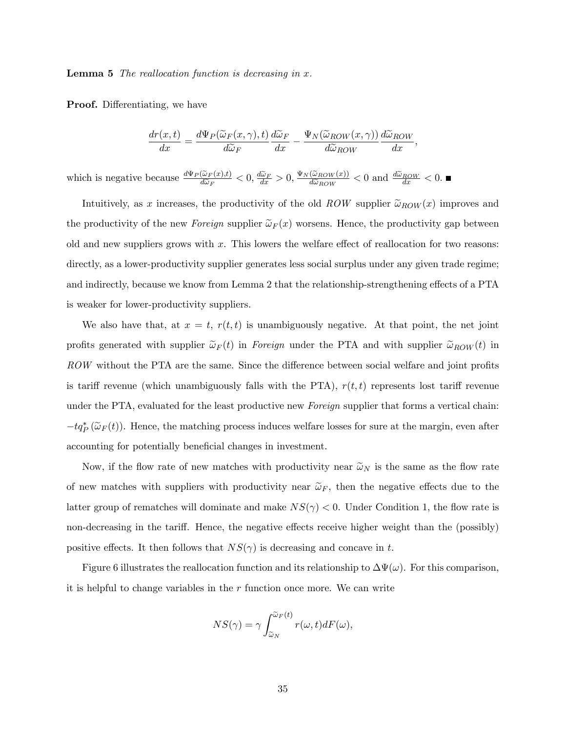**Lemma 5** The reallocation function is decreasing in  $x$ .

**Proof.** Differentiating, we have

$$
\frac{dr(x,t)}{dx} = \frac{d\Psi_P(\widetilde{\omega}_F(x,\gamma),t)}{d\widetilde{\omega}_F}\frac{d\widetilde{\omega}_F}{dx} - \frac{\Psi_N(\widetilde{\omega}_{ROW}(x,\gamma))}{d\widetilde{\omega}_{ROW}}\frac{d\widetilde{\omega}_{ROW}}{dx},
$$

which is negative because  $\frac{d\Psi_P(\tilde{\omega}_F(x),t)}{d\tilde{\omega}_F} < 0$ ,  $\frac{d\tilde{\omega}_F}{dx} > 0$ ,  $\frac{\Psi_N(\tilde{\omega}_{ROW}(x))}{d\tilde{\omega}_{ROW}}$  $\frac{(\tilde{\omega}_{ROW}(x))}{d\tilde{\omega}_{ROW}} < 0$  and  $\frac{d\tilde{\omega}_{ROW}}{dx} < 0$ .

Intuitively, as x increases, the productivity of the old ROW supplier  $\tilde{\omega}_{ROW}(x)$  improves and the productivity of the new Foreign supplier  $\tilde{\omega}_F(x)$  worsens. Hence, the productivity gap between old and new suppliers grows with  $x$ . This lowers the welfare effect of reallocation for two reasons: directly, as a lower-productivity supplier generates less social surplus under any given trade regime; and indirectly, because we know from Lemma 2 that the relationship-strengthening effects of a PTA is weaker for lower-productivity suppliers.

We also have that, at  $x = t$ ,  $r(t, t)$  is unambiguously negative. At that point, the net joint profits generated with supplier  $\tilde{\omega}_F(t)$  in Foreign under the PTA and with supplier  $\tilde{\omega}_{ROW}(t)$  in ROW without the PTA are the same. Since the difference between social welfare and joint profits is tariff revenue (which unambiguously falls with the PTA),  $r(t, t)$  represents lost tariff revenue under the PTA, evaluated for the least productive new Foreign supplier that forms a vertical chain:  $-tq_{P}^{*}(\widetilde{\omega}_{F}(t))$ . Hence, the matching process induces welfare losses for sure at the margin, even after accounting for potentially beneficial changes in investment.

Now, if the flow rate of new matches with productivity near  $\tilde{\omega}_N$  is the same as the flow rate of new matches with suppliers with productivity near  $\tilde{\omega}_F$ , then the negative effects due to the latter group of rematches will dominate and make  $NS(\gamma) < 0$ . Under Condition 1, the flow rate is non-decreasing in the tariff. Hence, the negative effects receive higher weight than the (possibly) positive effects. It then follows that  $NS(\gamma)$  is decreasing and concave in t.

Figure 6 illustrates the reallocation function and its relationship to  $\Delta\Psi(\omega)$ . For this comparison, it is helpful to change variables in the  $r$  function once more. We can write

$$
NS(\gamma) = \gamma \int_{\widetilde{\omega}_N}^{\widetilde{\omega}_F(t)} r(\omega, t) dF(\omega),
$$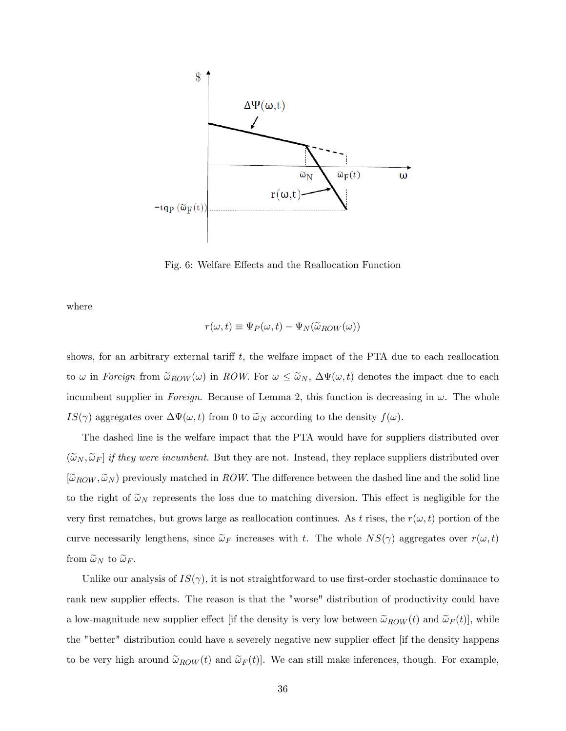

Fig. 6: Welfare Effects and the Reallocation Function

where

$$
r(\omega, t) \equiv \Psi_P(\omega, t) - \Psi_N(\tilde{\omega}_{ROW}(\omega))
$$

shows, for an arbitrary external tariff  $t$ , the welfare impact of the PTA due to each reallocation to  $\omega$  in Foreign from  $\tilde{\omega}_{ROW}(\omega)$  in ROW. For  $\omega \leq \tilde{\omega}_N$ ,  $\Delta \Psi(\omega, t)$  denotes the impact due to each incumbent supplier in Foreign. Because of Lemma 2, this function is decreasing in  $\omega$ . The whole  $IS(\gamma)$  aggregates over  $\Delta \Psi(\omega, t)$  from 0 to  $\tilde{\omega}_N$  according to the density  $f(\omega)$ .

The dashed line is the welfare impact that the PTA would have for suppliers distributed over  $(\tilde{\omega}_N, \tilde{\omega}_F]$  if they were incumbent. But they are not. Instead, they replace suppliers distributed over  $[\tilde{\omega}_{ROW}, \tilde{\omega}_{N}]$  previously matched in ROW. The difference between the dashed line and the solid line to the right of  $\tilde{\omega}_N$  represents the loss due to matching diversion. This effect is negligible for the very first rematches, but grows large as reallocation continues. As t rises, the  $r(\omega, t)$  portion of the curve necessarily lengthens, since  $\tilde{\omega}_F$  increases with t. The whole  $NS(\gamma)$  aggregates over  $r(\omega, t)$ from  $\widetilde{\omega}_N$  to  $\widetilde{\omega}_F$ .

Unlike our analysis of  $IS(\gamma)$ , it is not straightforward to use first-order stochastic dominance to rank new supplier effects. The reason is that the "worse" distribution of productivity could have a low-magnitude new supplier effect [if the density is very low between  $\tilde{\omega}_{ROW}(t)$  and  $\tilde{\omega}_{F}(t)$ ], while the "better" distribution could have a severely negative new supplier effect [if the density happens to be very high around  $\tilde{\omega}_{ROW}(t)$  and  $\tilde{\omega}_{F}(t)$ . We can still make inferences, though. For example,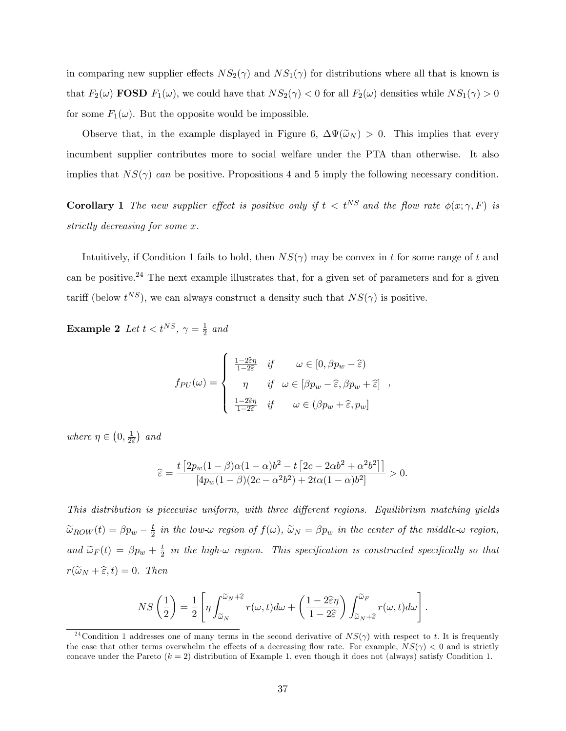in comparing new supplier effects  $NS_2(\gamma)$  and  $NS_1(\gamma)$  for distributions where all that is known is that  $F_2(\omega)$  **FOSD**  $F_1(\omega)$ , we could have that  $NS_2(\gamma) < 0$  for all  $F_2(\omega)$  densities while  $NS_1(\gamma) > 0$ for some  $F_1(\omega)$ . But the opposite would be impossible.

Observe that, in the example displayed in Figure 6,  $\Delta\Psi(\tilde{\omega}_N) > 0$ . This implies that every incumbent supplier contributes more to social welfare under the PTA than otherwise. It also implies that  $NS(\gamma)$  can be positive. Propositions 4 and 5 imply the following necessary condition.

**Corollary 1** The new supplier effect is positive only if  $t < t^{NS}$  and the flow rate  $\phi(x; \gamma, F)$  is strictly decreasing for some x.

Intuitively, if Condition 1 fails to hold, then  $NS(\gamma)$  may be convex in t for some range of t and can be positive.<sup>24</sup> The next example illustrates that, for a given set of parameters and for a given tariff (below  $t^{NS}$ ), we can always construct a density such that  $NS(\gamma)$  is positive.

Example 2 Let  $t < t^{NS}$ ,  $\gamma = \frac{1}{2}$  $rac{1}{2}$  and

$$
f_{PU}(\omega) = \begin{cases} \frac{1-2\widehat{\varepsilon}\eta}{1-2\widehat{\varepsilon}} & \text{if } \omega \in [0, \beta p_w - \widehat{\varepsilon}) \\ \eta & \text{if } \omega \in [\beta p_w - \widehat{\varepsilon}, \beta p_w + \widehat{\varepsilon}] \\ \frac{1-2\widehat{\varepsilon}\eta}{1-2\widehat{\varepsilon}} & \text{if } \omega \in (\beta p_w + \widehat{\varepsilon}, p_w] \end{cases}
$$

where  $\eta \in \left(0, \frac{1}{2\epsilon}\right)$  $2\widehat{\epsilon}$  $\big)$  and

$$
\widehat{\varepsilon} = \frac{t \left[ 2p_w(1-\beta)\alpha(1-\alpha)b^2 - t \left[ 2c - 2\alpha b^2 + \alpha^2 b^2 \right] \right]}{\left[ 4p_w(1-\beta)(2c - \alpha^2 b^2) + 2t\alpha(1-\alpha)b^2 \right]} > 0.
$$

This distribution is piecewise uniform, with three different regions. Equilibrium matching yields  $\widetilde{\omega}_{ROW}(t) = \beta p_w - \frac{t}{2}$  $\frac{t}{2}$  in the low- $\omega$  region of  $f(\omega)$ ,  $\widetilde{\omega}_N = \beta p_w$  in the center of the middle- $\omega$  region, and  $\widetilde{\omega}_F(t) = \beta p_w + \frac{t}{2}$  $\frac{t}{2}$  in the high- $\omega$  region. This specification is constructed specifically so that  $r(\widetilde{\omega}_N + \widehat{\epsilon}, t) = 0$ . Then

$$
NS\left(\frac{1}{2}\right) = \frac{1}{2} \left[ \eta \int_{\widetilde{\omega}_N}^{\widetilde{\omega}_N + \widehat{\varepsilon}} r(\omega, t) d\omega + \left( \frac{1 - 2\widehat{\varepsilon}\eta}{1 - 2\widehat{\varepsilon}} \right) \int_{\widetilde{\omega}_N + \widehat{\varepsilon}}^{\widetilde{\omega}_F} r(\omega, t) d\omega \right].
$$

<sup>&</sup>lt;sup>24</sup> Condition 1 addresses one of many terms in the second derivative of  $NS(\gamma)$  with respect to t. It is frequently the case that other terms overwhelm the effects of a decreasing flow rate. For example,  $NS(\gamma) < 0$  and is strictly concave under the Pareto  $(k = 2)$  distribution of Example 1, even though it does not (always) satisfy Condition 1.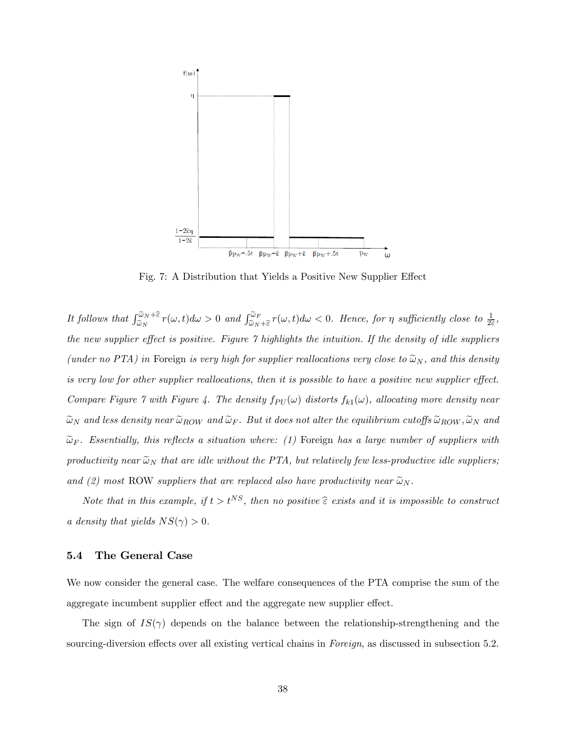

Fig. 7: A Distribution that Yields a Positive New Supplier Effect

It follows that  $\int_{\tilde{\omega}_N}^{\tilde{\omega}_N+\hat{\varepsilon}} r(\omega, t) d\omega > 0$  and  $\int_{\tilde{\omega}_N+\hat{\varepsilon}}^{\tilde{\omega}_F} r(\omega, t) d\omega < 0$ . Hence, for  $\eta$  sufficiently close to  $\frac{1}{2\hat{\varepsilon}}$ , the new supplier effect is positive. Figure  $\gamma$  highlights the intuition. If the density of idle suppliers (under no PTA) in Foreign is very high for supplier reallocations very close to  $\tilde{\omega}_N$ , and this density is very low for other supplier reallocations, then it is possible to have a positive new supplier effect. Compare Figure 7 with Figure 4. The density  $f_{PU}(\omega)$  distorts  $f_{k1}(\omega)$ , allocating more density near  $\tilde{\omega}_N$  and less density near  $\tilde{\omega}_{ROW}$  and  $\tilde{\omega}_F$ . But it does not alter the equilibrium cutoffs  $\tilde{\omega}_{ROW}, \tilde{\omega}_N$  and  $\widetilde{\omega}_F$ . Essentially, this reflects a situation where: (1) Foreign has a large number of suppliers with productivity near  $\tilde{\omega}_N$  that are idle without the PTA, but relatively few less-productive idle suppliers; and (2) most ROW suppliers that are replaced also have productivity near  $\tilde{\omega}_N$ .

Note that in this example, if  $t > t^{NS}$ , then no positive  $\hat{\epsilon}$  exists and it is impossible to construct a density that yields  $NS(\gamma) > 0$ .

#### 5.4 The General Case

We now consider the general case. The welfare consequences of the PTA comprise the sum of the aggregate incumbent supplier effect and the aggregate new supplier effect.

The sign of  $IS(\gamma)$  depends on the balance between the relationship-strengthening and the sourcing-diversion effects over all existing vertical chains in Foreign, as discussed in subsection 5.2.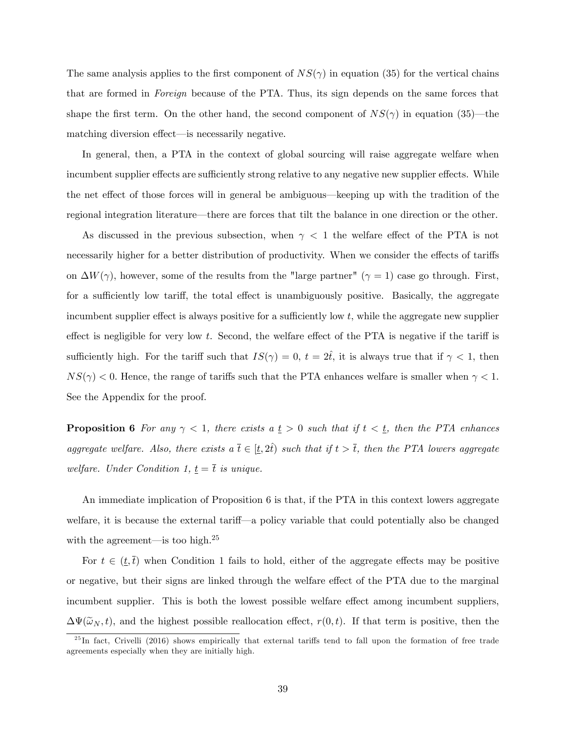The same analysis applies to the first component of  $NS(\gamma)$  in equation (35) for the vertical chains that are formed in Foreign because of the PTA. Thus, its sign depends on the same forces that shape the first term. On the other hand, the second component of  $NS(\gamma)$  in equation (35)—the matching diversion effect—is necessarily negative.

In general, then, a PTA in the context of global sourcing will raise aggregate welfare when incumbent supplier effects are sufficiently strong relative to any negative new supplier effects. While the net effect of those forces will in general be ambiguous—keeping up with the tradition of the regional integration literature—there are forces that tilt the balance in one direction or the other.

As discussed in the previous subsection, when  $\gamma$  < 1 the welfare effect of the PTA is not necessarily higher for a better distribution of productivity. When we consider the effects of tariffs on  $\Delta W(\gamma)$ , however, some of the results from the "large partner"  $(\gamma = 1)$  case go through. First, for a sufficiently low tariff, the total effect is unambiguously positive. Basically, the aggregate incumbent supplier effect is always positive for a sufficiently low t, while the aggregate new supplier effect is negligible for very low t. Second, the welfare effect of the PTA is negative if the tariff is sufficiently high. For the tariff such that  $IS(\gamma) = 0$ ,  $t = 2\hat{t}$ , it is always true that if  $\gamma < 1$ , then  $NS(\gamma)$  < 0. Hence, the range of tariffs such that the PTA enhances welfare is smaller when  $\gamma$  < 1. See the Appendix for the proof.

**Proposition 6** For any  $\gamma < 1$ , there exists a  $\underline{t} > 0$  such that if  $t < \underline{t}$ , then the PTA enhances aggregate welfare. Also, there exists a  $\bar{t} \in [t, 2\hat{t})$  such that if  $t > \bar{t}$ , then the PTA lowers aggregate welfare. Under Condition 1,  $\underline{t} = \overline{t}$  is unique.

An immediate implication of Proposition 6 is that, if the PTA in this context lowers aggregate welfare, it is because the external tariff—a policy variable that could potentially also be changed with the agreement—is too high. $25$ 

For  $t \in (\underline{t},\overline{t})$  when Condition 1 fails to hold, either of the aggregate effects may be positive or negative, but their signs are linked through the welfare effect of the PTA due to the marginal incumbent supplier. This is both the lowest possible welfare effect among incumbent suppliers.  $\Delta \Psi(\tilde{\omega}_N, t)$ , and the highest possible reallocation effect,  $r(0, t)$ . If that term is positive, then the

 $^{25}$ In fact, Crivelli (2016) shows empirically that external tariffs tend to fall upon the formation of free trade agreements especially when they are initially high.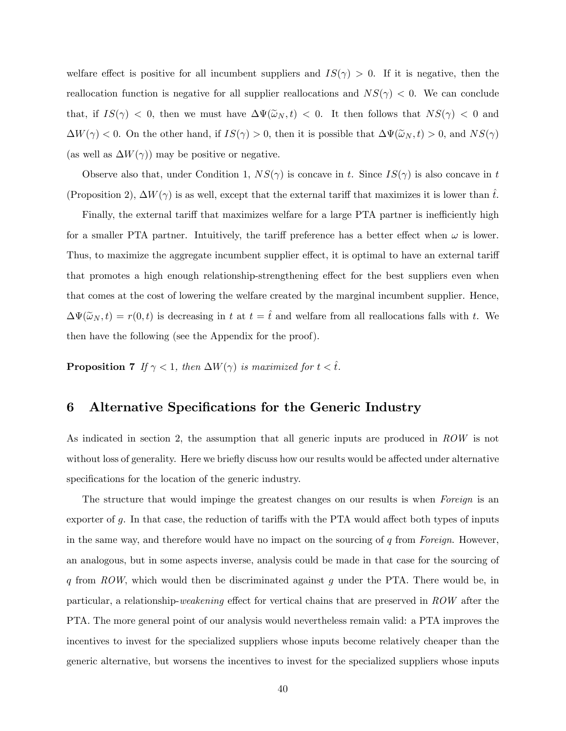welfare effect is positive for all incumbent suppliers and  $IS(\gamma) > 0$ . If it is negative, then the reallocation function is negative for all supplier reallocations and  $NS(\gamma) < 0$ . We can conclude that, if  $IS(\gamma) < 0$ , then we must have  $\Delta \Psi(\tilde{\omega}_N, t) < 0$ . It then follows that  $NS(\gamma) < 0$  and  $\Delta W(\gamma) < 0$ . On the other hand, if  $IS(\gamma) > 0$ , then it is possible that  $\Delta \Psi(\tilde{\omega}_N, t) > 0$ , and  $NS(\gamma)$ (as well as  $\Delta W(\gamma)$ ) may be positive or negative.

Observe also that, under Condition 1,  $NS(\gamma)$  is concave in t. Since  $IS(\gamma)$  is also concave in t (Proposition 2),  $\Delta W(\gamma)$  is as well, except that the external tariff that maximizes it is lower than  $\hat{t}$ .

Finally, the external tariff that maximizes welfare for a large PTA partner is inefficiently high for a smaller PTA partner. Intuitively, the tariff preference has a better effect when  $\omega$  is lower. Thus, to maximize the aggregate incumbent supplier effect, it is optimal to have an external tariff that promotes a high enough relationship-strengthening effect for the best suppliers even when that comes at the cost of lowering the welfare created by the marginal incumbent supplier. Hence,  $\Delta\Psi(\tilde{\omega}_N,t) = r(0,t)$  is decreasing in t at  $t = \hat{t}$  and welfare from all reallocations falls with t. We then have the following (see the Appendix for the proof).

**Proposition 7** If  $\gamma < 1$ , then  $\Delta W(\gamma)$  is maximized for  $t < \hat{t}$ .

## 6 Alternative Specifications for the Generic Industry

As indicated in section 2, the assumption that all generic inputs are produced in ROW is not without loss of generality. Here we briefly discuss how our results would be affected under alternative specifications for the location of the generic industry.

The structure that would impinge the greatest changes on our results is when Foreign is an exporter of  $g$ . In that case, the reduction of tariffs with the PTA would affect both types of inputs in the same way, and therefore would have no impact on the sourcing of  $q$  from Foreign. However, an analogous, but in some aspects inverse, analysis could be made in that case for the sourcing of q from  $ROW$ , which would then be discriminated against g under the PTA. There would be, in particular, a relationship-weakening effect for vertical chains that are preserved in  $ROW$  after the PTA. The more general point of our analysis would nevertheless remain valid: a PTA improves the incentives to invest for the specialized suppliers whose inputs become relatively cheaper than the generic alternative, but worsens the incentives to invest for the specialized suppliers whose inputs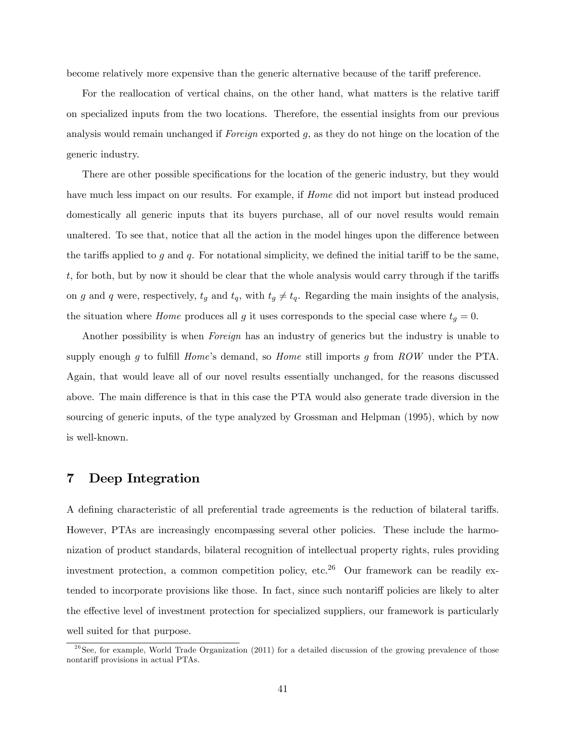become relatively more expensive than the generic alternative because of the tariff preference.

For the reallocation of vertical chains, on the other hand, what matters is the relative tariff on specialized inputs from the two locations. Therefore, the essential insights from our previous analysis would remain unchanged if Foreign exported g, as they do not hinge on the location of the generic industry.

There are other possible specifications for the location of the generic industry, but they would have much less impact on our results. For example, if *Home* did not import but instead produced domestically all generic inputs that its buyers purchase, all of our novel results would remain unaltered. To see that, notice that all the action in the model hinges upon the difference between the tariffs applied to g and q. For notational simplicity, we defined the initial tariff to be the same, t, for both, but by now it should be clear that the whole analysis would carry through if the tariffs on g and q were, respectively,  $t_g$  and  $t_q$ , with  $t_g \neq t_q$ . Regarding the main insights of the analysis, the situation where *Home* produces all g it uses corresponds to the special case where  $t_g = 0$ .

Another possibility is when *Foreign* has an industry of generics but the industry is unable to supply enough q to fulfill *Home*'s demand, so *Home* still imports q from  $ROW$  under the PTA. Again, that would leave all of our novel results essentially unchanged, for the reasons discussed above. The main difference is that in this case the PTA would also generate trade diversion in the sourcing of generic inputs, of the type analyzed by Grossman and Helpman (1995), which by now is well-known.

#### 7 Deep Integration

A defining characteristic of all preferential trade agreements is the reduction of bilateral tariffs. However, PTAs are increasingly encompassing several other policies. These include the harmonization of product standards, bilateral recognition of intellectual property rights, rules providing investment protection, a common competition policy, etc.<sup>26</sup> Our framework can be readily extended to incorporate provisions like those. In fact, since such nontariff policies are likely to alter the effective level of investment protection for specialized suppliers, our framework is particularly well suited for that purpose.

 $^{26}$ See, for example, World Trade Organization (2011) for a detailed discussion of the growing prevalence of those nontariff provisions in actual PTAs.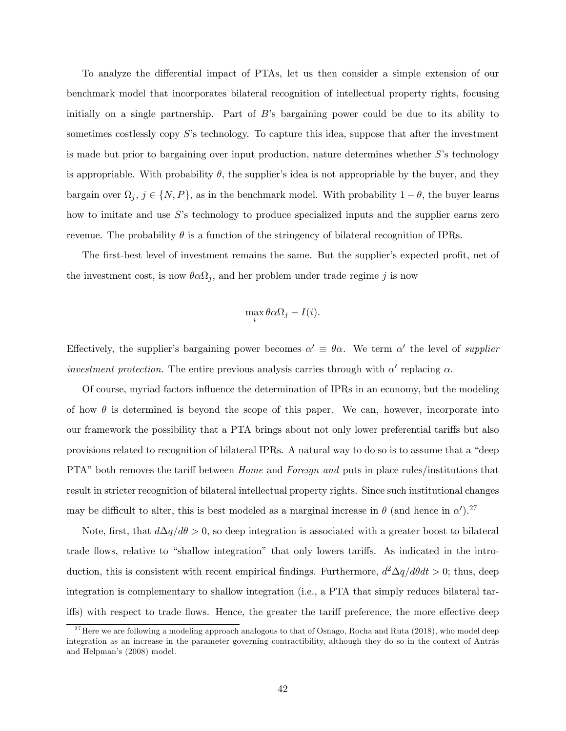To analyze the differential impact of PTAs, let us then consider a simple extension of our benchmark model that incorporates bilateral recognition of intellectual property rights, focusing initially on a single partnership. Part of  $B$ 's bargaining power could be due to its ability to sometimes costlessly copy  $S$ 's technology. To capture this idea, suppose that after the investment is made but prior to bargaining over input production, nature determines whether  $S$ 's technology is appropriable. With probability  $\theta$ , the supplier's idea is not appropriable by the buyer, and they bargain over  $\Omega_j$ ,  $j \in \{N, P\}$ , as in the benchmark model. With probability  $1 - \theta$ , the buyer learns how to imitate and use  $S$ 's technology to produce specialized inputs and the supplier earns zero revenue. The probability  $\theta$  is a function of the stringency of bilateral recognition of IPRs.

The first-best level of investment remains the same. But the supplier's expected profit, net of the investment cost, is now  $\theta \alpha \Omega_j$ , and her problem under trade regime j is now

$$
\max_i \theta \alpha \Omega_j - I(i).
$$

Effectively, the supplier's bargaining power becomes  $\alpha' \equiv \theta \alpha$ . We term  $\alpha'$  the level of *supplier* investment protection. The entire previous analysis carries through with  $\alpha'$  replacing  $\alpha$ .

Of course, myriad factors ináuence the determination of IPRs in an economy, but the modeling of how  $\theta$  is determined is beyond the scope of this paper. We can, however, incorporate into our framework the possibility that a PTA brings about not only lower preferential tariffs but also provisions related to recognition of bilateral IPRs. A natural way to do so is to assume that a "deep PTA" both removes the tariff between *Home* and *Foreign and* puts in place rules/institutions that result in stricter recognition of bilateral intellectual property rights. Since such institutional changes may be difficult to alter, this is best modeled as a marginal increase in  $\theta$  (and hence in  $\alpha'$ ).<sup>27</sup>

Note, first, that  $d\Delta q/d\theta > 0$ , so deep integration is associated with a greater boost to bilateral trade flows, relative to "shallow integration" that only lowers tariffs. As indicated in the introduction, this is consistent with recent empirical findings. Furthermore,  $d^2\Delta q/d\theta dt > 0$ ; thus, deep integration is complementary to shallow integration (i.e., a PTA that simply reduces bilateral tariffs) with respect to trade flows. Hence, the greater the tariff preference, the more effective deep

<sup>&</sup>lt;sup>27</sup> Here we are following a modeling approach analogous to that of Osnago, Rocha and Ruta (2018), who model deep integration as an increase in the parameter governing contractibility, although they do so in the context of Antràs and Helpman's (2008) model.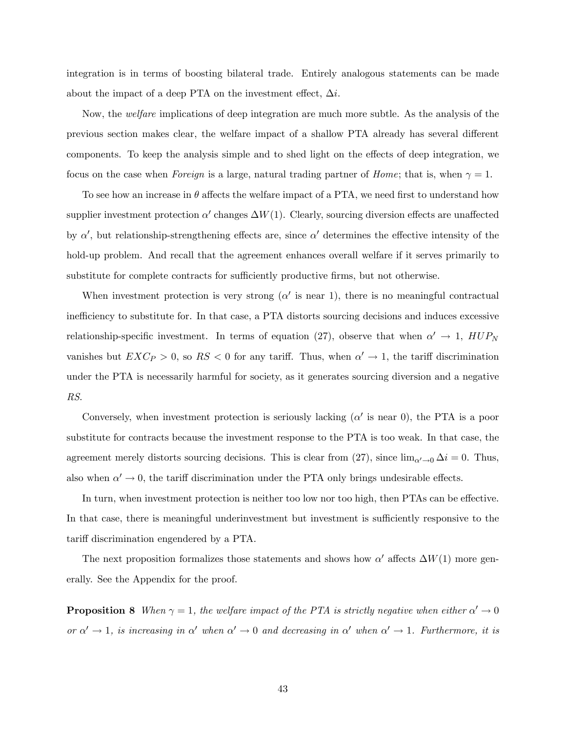integration is in terms of boosting bilateral trade. Entirely analogous statements can be made about the impact of a deep PTA on the investment effect,  $\Delta i$ .

Now, the *welfare* implications of deep integration are much more subtle. As the analysis of the previous section makes clear, the welfare impact of a shallow PTA already has several different components. To keep the analysis simple and to shed light on the effects of deep integration, we focus on the case when Foreign is a large, natural trading partner of Home; that is, when  $\gamma = 1$ .

To see how an increase in  $\theta$  affects the welfare impact of a PTA, we need first to understand how supplier investment protection  $\alpha'$  changes  $\Delta W(1)$ . Clearly, sourcing diversion effects are unaffected by  $\alpha'$ , but relationship-strengthening effects are, since  $\alpha'$  determines the effective intensity of the hold-up problem. And recall that the agreement enhances overall welfare if it serves primarily to substitute for complete contracts for sufficiently productive firms, but not otherwise.

When investment protection is very strong  $(\alpha'$  is near 1), there is no meaningful contractual inefficiency to substitute for. In that case, a PTA distorts sourcing decisions and induces excessive relationship-specific investment. In terms of equation (27), observe that when  $\alpha' \to 1$ ,  $HUP_N$ vanishes but  $EXC_P > 0$ , so  $RS < 0$  for any tariff. Thus, when  $\alpha' \to 1$ , the tariff discrimination under the PTA is necessarily harmful for society, as it generates sourcing diversion and a negative RS.

Conversely, when investment protection is seriously lacking  $(\alpha'$  is near 0), the PTA is a poor substitute for contracts because the investment response to the PTA is too weak. In that case, the agreement merely distorts sourcing decisions. This is clear from (27), since  $\lim_{\alpha' \to 0} \Delta i = 0$ . Thus, also when  $\alpha' \to 0$ , the tariff discrimination under the PTA only brings undesirable effects.

In turn, when investment protection is neither too low nor too high, then PTAs can be effective. In that case, there is meaningful underinvestment but investment is sufficiently responsive to the tariff discrimination engendered by a PTA.

The next proposition formalizes those statements and shows how  $\alpha'$  affects  $\Delta W(1)$  more generally. See the Appendix for the proof.

**Proposition 8** When  $\gamma = 1$ , the welfare impact of the PTA is strictly negative when either  $\alpha' \to 0$ or  $\alpha' \to 1$ , is increasing in  $\alpha'$  when  $\alpha' \to 0$  and decreasing in  $\alpha'$  when  $\alpha' \to 1$ . Furthermore, it is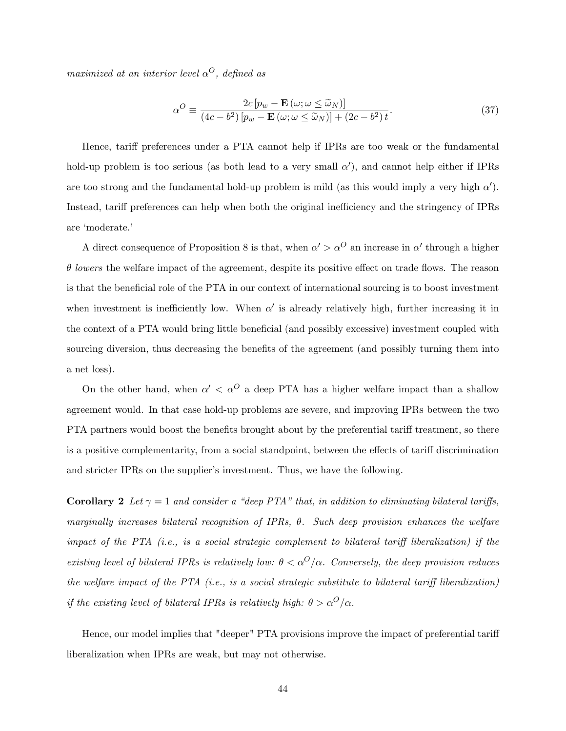maximized at an interior level  $\alpha^O$ , defined as

$$
\alpha^O \equiv \frac{2c\left[p_w - \mathbf{E}\left(\omega; \omega \le \tilde{\omega}_N\right)\right]}{\left(4c - b^2\right)\left[p_w - \mathbf{E}\left(\omega; \omega \le \tilde{\omega}_N\right)\right] + \left(2c - b^2\right)t}.\tag{37}
$$

Hence, tariff preferences under a PTA cannot help if IPRs are too weak or the fundamental hold-up problem is too serious (as both lead to a very small  $\alpha'$ ), and cannot help either if IPRs are too strong and the fundamental hold-up problem is mild (as this would imply a very high  $\alpha'$ ). Instead, tariff preferences can help when both the original inefficiency and the stringency of IPRs are 'moderate.'

A direct consequence of Proposition 8 is that, when  $\alpha' > \alpha^O$  an increase in  $\alpha'$  through a higher  $\theta$  lowers the welfare impact of the agreement, despite its positive effect on trade flows. The reason is that the beneficial role of the PTA in our context of international sourcing is to boost investment when investment is inefficiently low. When  $\alpha'$  is already relatively high, further increasing it in the context of a PTA would bring little beneficial (and possibly excessive) investment coupled with sourcing diversion, thus decreasing the benefits of the agreement (and possibly turning them into a net loss).

On the other hand, when  $\alpha' < \alpha^O$  a deep PTA has a higher welfare impact than a shallow agreement would. In that case hold-up problems are severe, and improving IPRs between the two PTA partners would boost the benefits brought about by the preferential tariff treatment, so there is a positive complementarity, from a social standpoint, between the effects of tariff discrimination and stricter IPRs on the supplier's investment. Thus, we have the following.

**Corollary 2** Let  $\gamma = 1$  and consider a "deep PTA" that, in addition to eliminating bilateral tariffs, marginally increases bilateral recognition of IPRs,  $\theta$ . Such deep provision enhances the welfare impact of the PTA (i.e., is a social strategic complement to bilateral tariff liberalization) if the existing level of bilateral IPRs is relatively low:  $\theta < \alpha^O/\alpha$ . Conversely, the deep provision reduces the welfare impact of the PTA (i.e., is a social strategic substitute to bilateral tariff liberalization) if the existing level of bilateral IPRs is relatively high:  $\theta > \alpha^O/\alpha$ .

Hence, our model implies that "deeper" PTA provisions improve the impact of preferential tariff liberalization when IPRs are weak, but may not otherwise.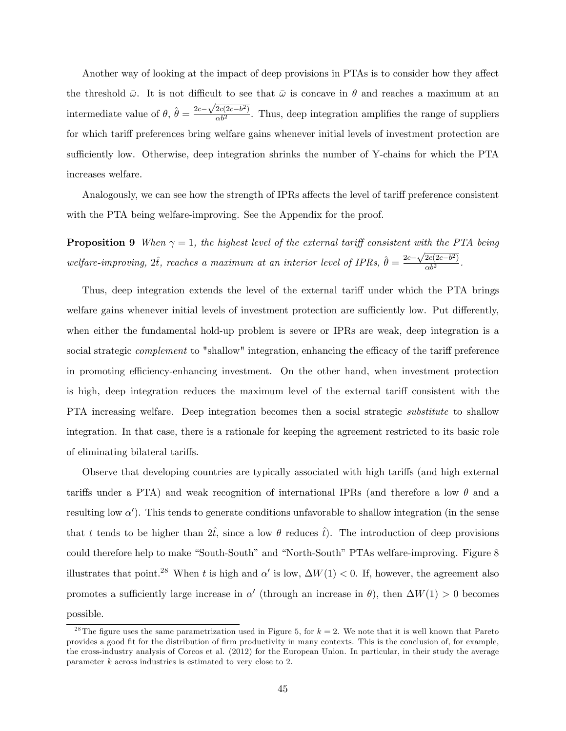Another way of looking at the impact of deep provisions in PTAs is to consider how they affect the threshold  $\bar{\omega}$ . It is not difficult to see that  $\bar{\omega}$  is concave in  $\theta$  and reaches a maximum at an intermediate value of  $\theta$ ,  $\hat{\theta} = \frac{2c - \sqrt{2c(2c-b^2)}}{\alpha b^2}$ . Thus, deep integration amplifies the range of suppliers for which tariff preferences bring welfare gains whenever initial levels of investment protection are sufficiently low. Otherwise, deep integration shrinks the number of Y-chains for which the PTA increases welfare.

Analogously, we can see how the strength of IPRs affects the level of tariff preference consistent with the PTA being welfare-improving. See the Appendix for the proof.

**Proposition 9** When  $\gamma = 1$ , the highest level of the external tariff consistent with the PTA being welfare-improving,  $2\hat{t}$ , reaches a maximum at an interior level of IPRs,  $\hat{\theta} = \frac{2c - \sqrt{2c(2c - b^2)}}{\alpha b^2}$ .

Thus, deep integration extends the level of the external tariff under which the PTA brings welfare gains whenever initial levels of investment protection are sufficiently low. Put differently, when either the fundamental hold-up problem is severe or IPRs are weak, deep integration is a social strategic *complement* to "shallow" integration, enhancing the efficacy of the tariff preference in promoting efficiency-enhancing investment. On the other hand, when investment protection is high, deep integration reduces the maximum level of the external tariff consistent with the PTA increasing welfare. Deep integration becomes then a social strategic *substitute* to shallow integration. In that case, there is a rationale for keeping the agreement restricted to its basic role of eliminating bilateral tariffs.

Observe that developing countries are typically associated with high tariffs (and high external tariffs under a PTA) and weak recognition of international IPRs (and therefore a low  $\theta$  and a resulting low  $\alpha'$ ). This tends to generate conditions unfavorable to shallow integration (in the sense that t tends to be higher than  $2t$ , since a low  $\theta$  reduces t. The introduction of deep provisions could therefore help to make "South-South" and "North-South" PTAs welfare-improving. Figure 8 illustrates that point.<sup>28</sup> When t is high and  $\alpha'$  is low,  $\Delta W(1) < 0$ . If, however, the agreement also promotes a sufficiently large increase in  $\alpha'$  (through an increase in  $\theta$ ), then  $\Delta W(1) > 0$  becomes possible.

<sup>&</sup>lt;sup>28</sup>The figure uses the same parametrization used in Figure 5, for  $k = 2$ . We note that it is well known that Pareto provides a good fit for the distribution of firm productivity in many contexts. This is the conclusion of, for example, the cross-industry analysis of Corcos et al. (2012) for the European Union. In particular, in their study the average parameter k across industries is estimated to very close to 2.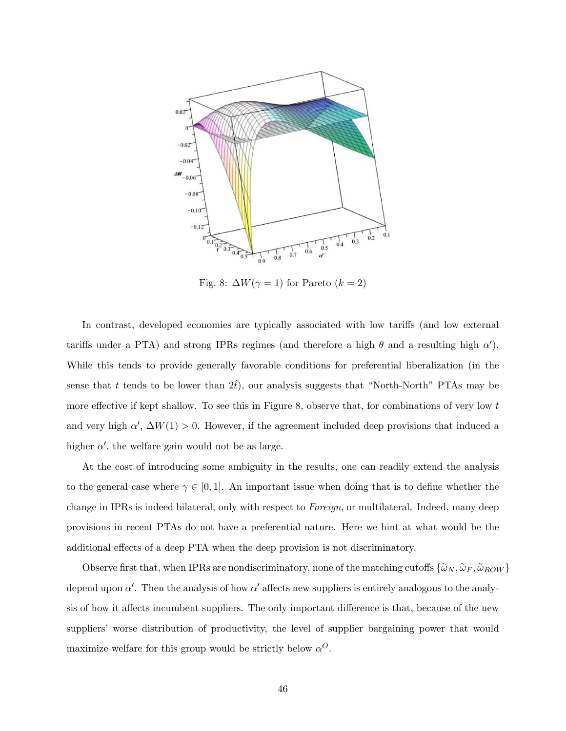

Fig. 8:  $\Delta W(\gamma = 1)$  for Pareto  $(k = 2)$ 

In contrast, developed economies are typically associated with low tariffs (and low external tariffs under a PTA) and strong IPRs regimes (and therefore a high  $\theta$  and a resulting high  $\alpha'$ ). While this tends to provide generally favorable conditions for preferential liberalization (in the sense that t tends to be lower than  $2t$ ), our analysis suggests that "North-North" PTAs may be more effective if kept shallow. To see this in Figure 8, observe that, for combinations of very low  $t$ and very high  $\alpha'$ ,  $\Delta W(1) > 0$ . However, if the agreement included deep provisions that induced a higher  $\alpha'$ , the welfare gain would not be as large.

At the cost of introducing some ambiguity in the results, one can readily extend the analysis to the general case where  $\gamma \in [0, 1]$ . An important issue when doing that is to define whether the change in IPRs is indeed bilateral, only with respect to *Foreign*, or multilateral. Indeed, many deep provisions in recent PTAs do not have a preferential nature. Here we hint at what would be the additional effects of a deep PTA when the deep provision is not discriminatory.

Observe first that, when IPRs are nondiscriminatory, none of the matching cutoffs  $\{\tilde{\omega}_N, \tilde{\omega}_F, \tilde{\omega}_{ROW}\}$ depend upon  $\alpha'$ . Then the analysis of how  $\alpha'$  affects new suppliers is entirely analogous to the analysis of how it affects incumbent suppliers. The only important difference is that, because of the new suppliers' worse distribution of productivity, the level of supplier bargaining power that would maximize welfare for this group would be strictly below  $\alpha^O$ .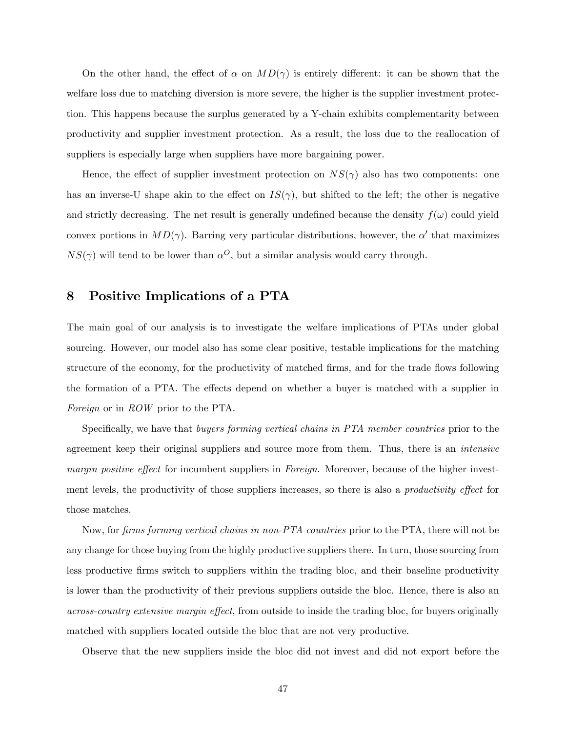On the other hand, the effect of  $\alpha$  on  $MD(\gamma)$  is entirely different: it can be shown that the welfare loss due to matching diversion is more severe, the higher is the supplier investment protection. This happens because the surplus generated by a Y-chain exhibits complementarity between productivity and supplier investment protection. As a result, the loss due to the reallocation of suppliers is especially large when suppliers have more bargaining power.

Hence, the effect of supplier investment protection on  $NS(\gamma)$  also has two components: one has an inverse-U shape akin to the effect on  $IS(\gamma)$ , but shifted to the left; the other is negative and strictly decreasing. The net result is generally undefined because the density  $f(\omega)$  could yield convex portions in  $MD(\gamma)$ . Barring very particular distributions, however, the  $\alpha'$  that maximizes  $NS(\gamma)$  will tend to be lower than  $\alpha^O$ , but a similar analysis would carry through.

## 8 Positive Implications of a PTA

The main goal of our analysis is to investigate the welfare implications of PTAs under global sourcing. However, our model also has some clear positive, testable implications for the matching structure of the economy, for the productivity of matched firms, and for the trade flows following the formation of a PTA. The effects depend on whether a buyer is matched with a supplier in Foreign or in ROW prior to the PTA.

Specifically, we have that buyers forming vertical chains in PTA member countries prior to the agreement keep their original suppliers and source more from them. Thus, there is an intensive margin positive effect for incumbent suppliers in Foreign. Moreover, because of the higher investment levels, the productivity of those suppliers increases, so there is also a *productivity effect* for those matches.

Now, for firms forming vertical chains in non-PTA countries prior to the PTA, there will not be any change for those buying from the highly productive suppliers there. In turn, those sourcing from less productive Örms switch to suppliers within the trading bloc, and their baseline productivity is lower than the productivity of their previous suppliers outside the bloc. Hence, there is also an across-country extensive margin effect, from outside to inside the trading bloc, for buyers originally matched with suppliers located outside the bloc that are not very productive.

Observe that the new suppliers inside the bloc did not invest and did not export before the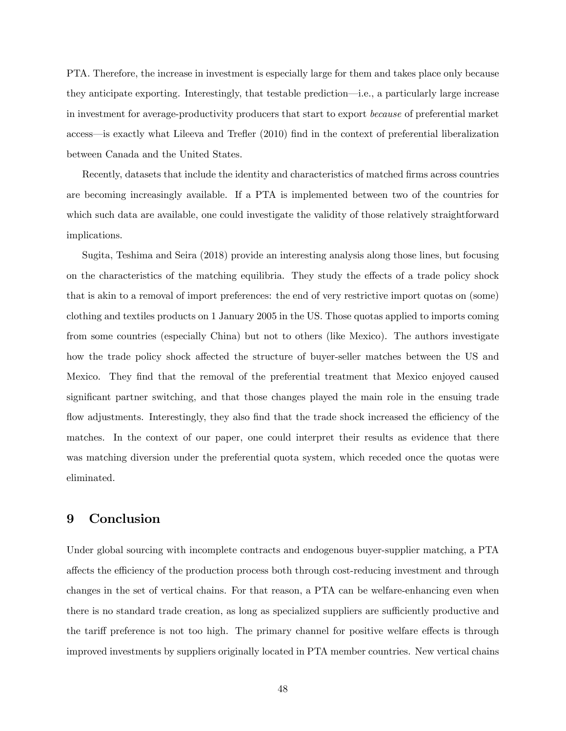PTA. Therefore, the increase in investment is especially large for them and takes place only because they anticipate exporting. Interestingly, that testable prediction—i.e., a particularly large increase in investment for average-productivity producers that start to export because of preferential market access—is exactly what Lileeva and Trefler (2010) find in the context of preferential liberalization between Canada and the United States.

Recently, datasets that include the identity and characteristics of matched firms across countries are becoming increasingly available. If a PTA is implemented between two of the countries for which such data are available, one could investigate the validity of those relatively straightforward implications.

Sugita, Teshima and Seira (2018) provide an interesting analysis along those lines, but focusing on the characteristics of the matching equilibria. They study the effects of a trade policy shock that is akin to a removal of import preferences: the end of very restrictive import quotas on (some) clothing and textiles products on 1 January 2005 in the US. Those quotas applied to imports coming from some countries (especially China) but not to others (like Mexico). The authors investigate how the trade policy shock affected the structure of buyer-seller matches between the US and Mexico. They find that the removal of the preferential treatment that Mexico enjoyed caused significant partner switching, and that those changes played the main role in the ensuing trade flow adjustments. Interestingly, they also find that the trade shock increased the efficiency of the matches. In the context of our paper, one could interpret their results as evidence that there was matching diversion under the preferential quota system, which receded once the quotas were eliminated.

## 9 Conclusion

Under global sourcing with incomplete contracts and endogenous buyer-supplier matching, a PTA affects the efficiency of the production process both through cost-reducing investment and through changes in the set of vertical chains. For that reason, a PTA can be welfare-enhancing even when there is no standard trade creation, as long as specialized suppliers are sufficiently productive and the tariff preference is not too high. The primary channel for positive welfare effects is through improved investments by suppliers originally located in PTA member countries. New vertical chains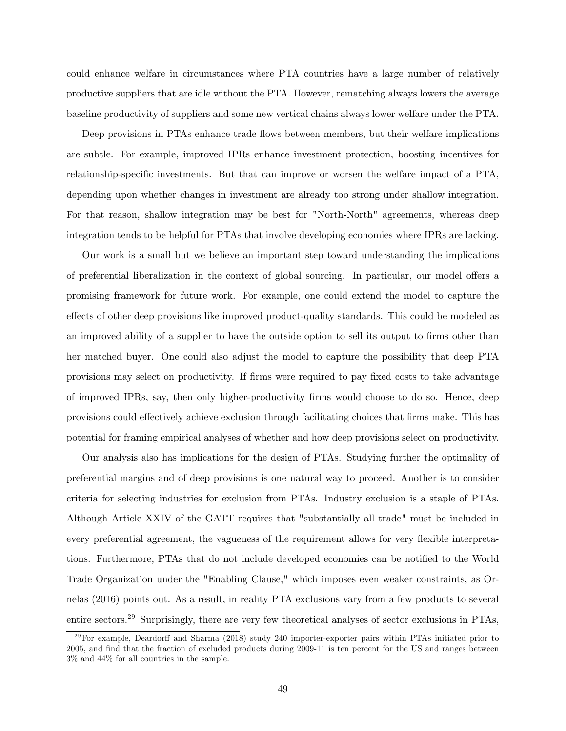could enhance welfare in circumstances where PTA countries have a large number of relatively productive suppliers that are idle without the PTA. However, rematching always lowers the average baseline productivity of suppliers and some new vertical chains always lower welfare under the PTA.

Deep provisions in PTAs enhance trade flows between members, but their welfare implications are subtle. For example, improved IPRs enhance investment protection, boosting incentives for relationship-specific investments. But that can improve or worsen the welfare impact of a PTA, depending upon whether changes in investment are already too strong under shallow integration. For that reason, shallow integration may be best for "North-North" agreements, whereas deep integration tends to be helpful for PTAs that involve developing economies where IPRs are lacking.

Our work is a small but we believe an important step toward understanding the implications of preferential liberalization in the context of global sourcing. In particular, our model offers a promising framework for future work. For example, one could extend the model to capture the effects of other deep provisions like improved product-quality standards. This could be modeled as an improved ability of a supplier to have the outside option to sell its output to firms other than her matched buyer. One could also adjust the model to capture the possibility that deep PTA provisions may select on productivity. If Örms were required to pay Öxed costs to take advantage of improved IPRs, say, then only higher-productivity Örms would choose to do so. Hence, deep provisions could effectively achieve exclusion through facilitating choices that firms make. This has potential for framing empirical analyses of whether and how deep provisions select on productivity.

Our analysis also has implications for the design of PTAs. Studying further the optimality of preferential margins and of deep provisions is one natural way to proceed. Another is to consider criteria for selecting industries for exclusion from PTAs. Industry exclusion is a staple of PTAs. Although Article XXIV of the GATT requires that "substantially all trade" must be included in every preferential agreement, the vagueness of the requirement allows for very flexible interpretations. Furthermore, PTAs that do not include developed economies can be notified to the World Trade Organization under the "Enabling Clause," which imposes even weaker constraints, as Ornelas (2016) points out. As a result, in reality PTA exclusions vary from a few products to several entire sectors.<sup>29</sup> Surprisingly, there are very few theoretical analyses of sector exclusions in PTAs,

 $^{29}$ For example, Deardorff and Sharma (2018) study 240 importer-exporter pairs within PTAs initiated prior to 2005, and Önd that the fraction of excluded products during 2009-11 is ten percent for the US and ranges between 3% and 44% for all countries in the sample.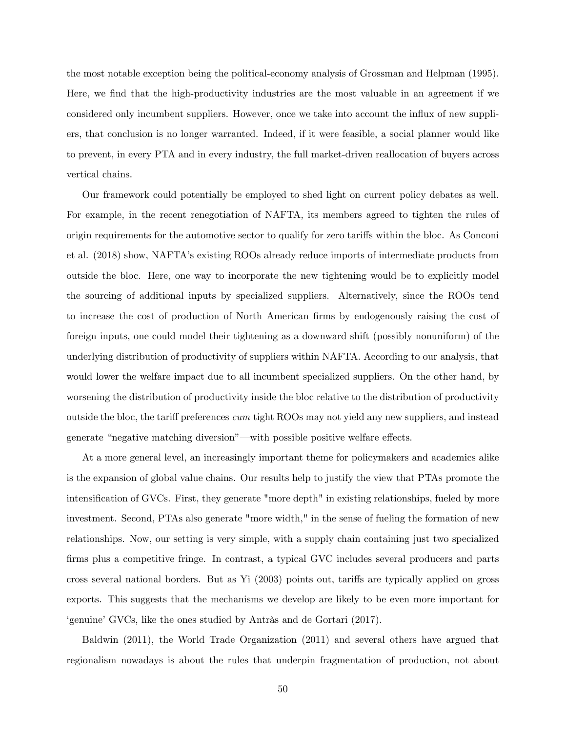the most notable exception being the political-economy analysis of Grossman and Helpman (1995). Here, we find that the high-productivity industries are the most valuable in an agreement if we considered only incumbent suppliers. However, once we take into account the ináux of new suppliers, that conclusion is no longer warranted. Indeed, if it were feasible, a social planner would like to prevent, in every PTA and in every industry, the full market-driven reallocation of buyers across vertical chains.

Our framework could potentially be employed to shed light on current policy debates as well. For example, in the recent renegotiation of NAFTA, its members agreed to tighten the rules of origin requirements for the automotive sector to qualify for zero tariffs within the bloc. As Conconi et al. (2018) show, NAFTAís existing ROOs already reduce imports of intermediate products from outside the bloc. Here, one way to incorporate the new tightening would be to explicitly model the sourcing of additional inputs by specialized suppliers. Alternatively, since the ROOs tend to increase the cost of production of North American firms by endogenously raising the cost of foreign inputs, one could model their tightening as a downward shift (possibly nonuniform) of the underlying distribution of productivity of suppliers within NAFTA. According to our analysis, that would lower the welfare impact due to all incumbent specialized suppliers. On the other hand, by worsening the distribution of productivity inside the bloc relative to the distribution of productivity outside the bloc, the tariff preferences cum tight ROOs may not yield any new suppliers, and instead generate "negative matching diversion"—with possible positive welfare effects.

At a more general level, an increasingly important theme for policymakers and academics alike is the expansion of global value chains. Our results help to justify the view that PTAs promote the intensification of GVCs. First, they generate "more depth" in existing relationships, fueled by more investment. Second, PTAs also generate "more width," in the sense of fueling the formation of new relationships. Now, our setting is very simple, with a supply chain containing just two specialized firms plus a competitive fringe. In contrast, a typical GVC includes several producers and parts cross several national borders. But as Yi (2003) points out, tariffs are typically applied on gross exports. This suggests that the mechanisms we develop are likely to be even more important for egenuine<sup>,</sup> GVCs, like the ones studied by Antràs and de Gortari (2017).

Baldwin (2011), the World Trade Organization (2011) and several others have argued that regionalism nowadays is about the rules that underpin fragmentation of production, not about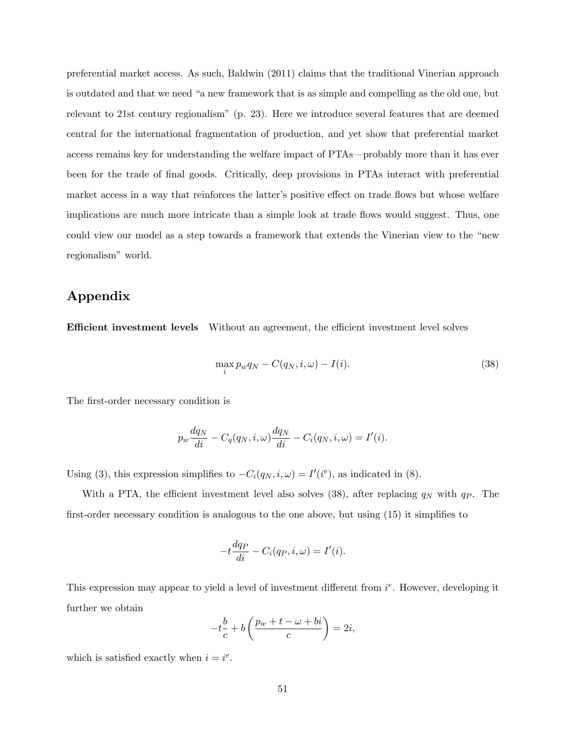preferential market access. As such, Baldwin (2011) claims that the traditional Vinerian approach is outdated and that we need "a new framework that is as simple and compelling as the old one, but relevant to 21st century regionalismî (p. 23). Here we introduce several features that are deemed central for the international fragmentation of production, and yet show that preferential market access remains key for understanding the welfare impact of PTAs—probably more than it has ever been for the trade of Önal goods. Critically, deep provisions in PTAs interact with preferential market access in a way that reinforces the latter's positive effect on trade flows but whose welfare implications are much more intricate than a simple look at trade flows would suggest. Thus, one could view our model as a step towards a framework that extends the Vinerian view to the "new regionalism" world.

## Appendix

**Efficient investment levels** Without an agreement, the efficient investment level solves

$$
\max_{i} p_w q_N - C(q_N, i, \omega) - I(i). \tag{38}
$$

The first-order necessary condition is

$$
p_w \frac{dq_N}{di} - C_q(q_N, i, \omega) \frac{dq_N}{di} - C_i(q_N, i, \omega) = I'(i).
$$

Using (3), this expression simplifies to  $-C_i(q_N, i, \omega) = I'(i^e)$ , as indicated in (8).

With a PTA, the efficient investment level also solves (38), after replacing  $q_N$  with  $q_P$ . The first-order necessary condition is analogous to the one above, but using  $(15)$  it simplifies to

$$
-t\frac{dq_P}{di} - C_i(q_P, i, \omega) = I'(i).
$$

This expression may appear to yield a level of investment different from  $i^e$ . However, developing it further we obtain

$$
-t\frac{b}{c} + b\left(\frac{p_w + t - \omega + bi}{c}\right) = 2i,
$$

which is satisfied exactly when  $i = i^e$ .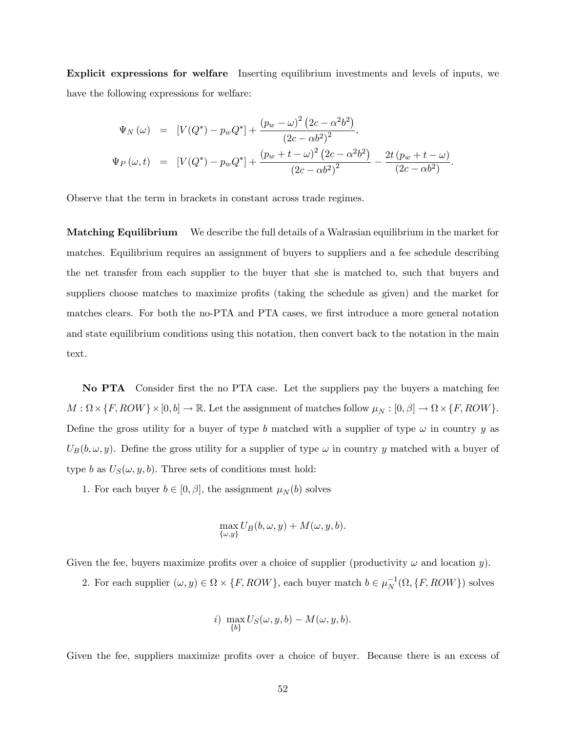Explicit expressions for welfare Inserting equilibrium investments and levels of inputs, we have the following expressions for welfare:

$$
\Psi_N(\omega) = [V(Q^*) - p_w Q^*] + \frac{(p_w - \omega)^2 (2c - \alpha^2 b^2)}{(2c - \alpha b^2)^2},
$$
  
\n
$$
\Psi_P(\omega, t) = [V(Q^*) - p_w Q^*] + \frac{(p_w + t - \omega)^2 (2c - \alpha^2 b^2)}{(2c - \alpha b^2)^2} - \frac{2t (p_w + t - \omega)}{(2c - \alpha b^2)}.
$$

Observe that the term in brackets in constant across trade regimes.

Matching Equilibrium We describe the full details of a Walrasian equilibrium in the market for matches. Equilibrium requires an assignment of buyers to suppliers and a fee schedule describing the net transfer from each supplier to the buyer that she is matched to, such that buyers and suppliers choose matches to maximize profits (taking the schedule as given) and the market for matches clears. For both the no-PTA and PTA cases, we first introduce a more general notation and state equilibrium conditions using this notation, then convert back to the notation in the main text.

No PTA Consider Örst the no PTA case. Let the suppliers pay the buyers a matching fee  $M: \Omega \times \{F, ROW\} \times [0, b] \to \mathbb{R}$ . Let the assignment of matches follow  $\mu_N: [0, \beta] \to \Omega \times \{F, ROW\}$ . Define the gross utility for a buyer of type b matched with a supplier of type  $\omega$  in country y as  $U_B(b,\omega, y)$ . Define the gross utility for a supplier of type  $\omega$  in country y matched with a buyer of type b as  $U_S(\omega, y, b)$ . Three sets of conditions must hold:

1. For each buyer  $b \in [0, \beta]$ , the assignment  $\mu_N(b)$  solves

$$
\max_{\{\omega,y\}} U_B(b,\omega,y) + M(\omega,y,b).
$$

Given the fee, buyers maximize profits over a choice of supplier (productivity  $\omega$  and location y).

2. For each supplier  $(\omega, y) \in \Omega \times \{F, ROW\}$ , each buyer match  $b \in \mu_N^{-1}(\Omega, \{F, ROW\})$  solves

i) 
$$
\max_{\{b\}} U_S(\omega, y, b) - M(\omega, y, b).
$$

Given the fee, suppliers maximize profits over a choice of buyer. Because there is an excess of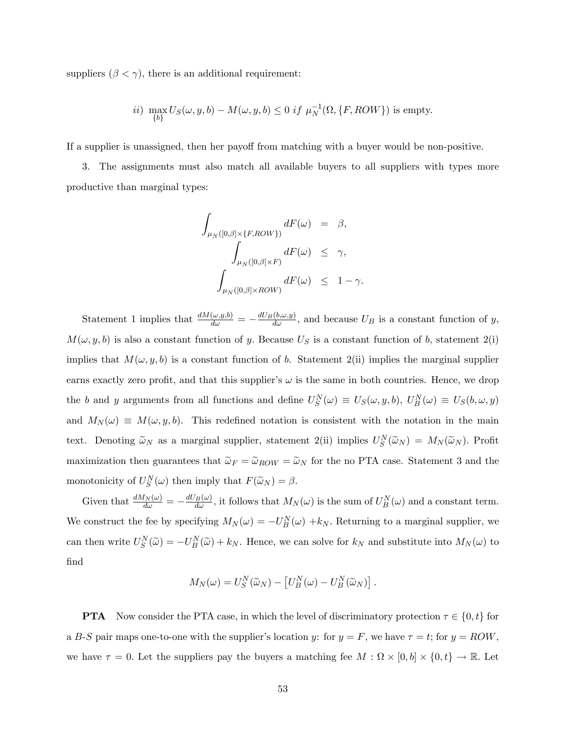suppliers  $(\beta < \gamma)$ , there is an additional requirement:

$$
ii) \max_{\{b\}} U_S(\omega, y, b) - M(\omega, y, b) \le 0 \text{ if } \mu_N^{-1}(\Omega, \{F, ROW\}) \text{ is empty.}
$$

If a supplier is unassigned, then her payoff from matching with a buyer would be non-positive.

3. The assignments must also match all available buyers to all suppliers with types more productive than marginal types:

$$
\int_{\mu_N([0,\beta]\times\{F, ROW\})} dF(\omega) = \beta,
$$
  

$$
\int_{\mu_N([0,\beta]\times F)} dF(\omega) \leq \gamma,
$$
  

$$
\int_{\mu_N([0,\beta]\times ROW)} dF(\omega) \leq 1 - \gamma.
$$

Statement 1 implies that  $\frac{dM(\omega, y, b)}{d\omega} = -\frac{dU_B(b, \omega, y)}{d\omega}$ , and because  $U_B$  is a constant function of y,  $M(\omega, y, b)$  is also a constant function of y. Because  $U<sub>S</sub>$  is a constant function of b, statement 2(i) implies that  $M(\omega, y, b)$  is a constant function of b. Statement 2(ii) implies the marginal supplier earns exactly zero profit, and that this supplier's  $\omega$  is the same in both countries. Hence, we drop the b and y arguments from all functions and define  $U_S^N(\omega) \equiv U_S(\omega, y, b)$ ,  $U_B^N(\omega) \equiv U_S(b, \omega, y)$ and  $M_N(\omega) \equiv M(\omega, y, b)$ . This redefined notation is consistent with the notation in the main text. Denoting  $\tilde{\omega}_N$  as a marginal supplier, statement 2(ii) implies  $U_S^N(\tilde{\omega}_N) = M_N(\tilde{\omega}_N)$ . Profit maximization then guarantees that  $\tilde{\omega}_F = \tilde{\omega}_{ROW} = \tilde{\omega}_N$  for the no PTA case. Statement 3 and the monotonicity of  $U_S^N(\omega)$  then imply that  $F(\widetilde{\omega}_N) = \beta$ .

Given that  $\frac{dM_N(\omega)}{d\omega} = -\frac{dU_B(\omega)}{d\omega}$ , it follows that  $M_N(\omega)$  is the sum of  $U_B^N(\omega)$  and a constant term. We construct the fee by specifying  $M_N(\omega) = -U_B^N(\omega) + k_N$ . Returning to a marginal supplier, we can then write  $U_S^N(\tilde{\omega}) = -U_B^N(\tilde{\omega}) + k_N$ . Hence, we can solve for  $k_N$  and substitute into  $M_N(\omega)$  to find

$$
M_N(\omega) = U_S^N(\widetilde{\omega}_N) - \left[ U_B^N(\omega) - U_B^N(\widetilde{\omega}_N) \right].
$$

**PTA** Now consider the PTA case, in which the level of discriminatory protection  $\tau \in \{0, t\}$  for a B-S pair maps one-to-one with the supplier's location y: for  $y = F$ , we have  $\tau = t$ ; for  $y = ROW$ , we have  $\tau = 0$ . Let the suppliers pay the buyers a matching fee  $M : \Omega \times [0, b] \times \{0, t\} \to \mathbb{R}$ . Let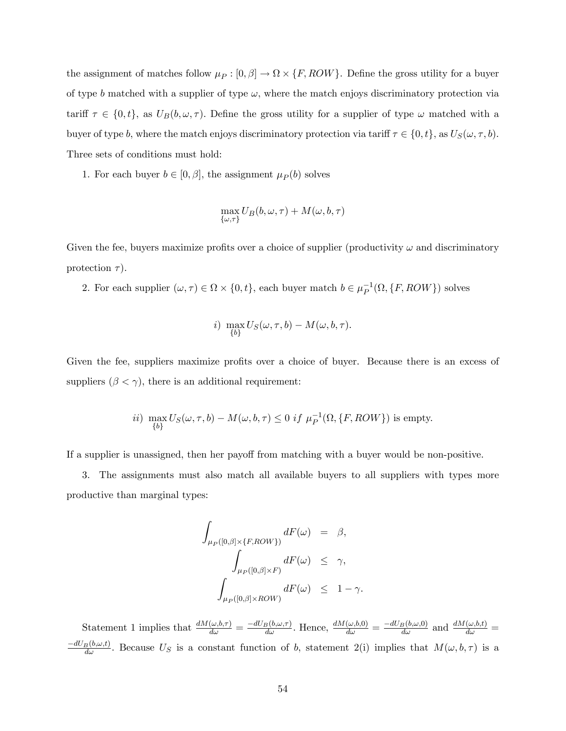the assignment of matches follow  $\mu_P : [0, \beta] \to \Omega \times \{F, ROW\}$ . Define the gross utility for a buyer of type b matched with a supplier of type  $\omega$ , where the match enjoys discriminatory protection via tariff  $\tau \in \{0, t\}$ , as  $U_B(b, \omega, \tau)$ . Define the gross utility for a supplier of type  $\omega$  matched with a buyer of type b, where the match enjoys discriminatory protection via tariff  $\tau \in \{0, t\}$ , as  $U_S(\omega, \tau, b)$ . Three sets of conditions must hold:

1. For each buyer  $b \in [0, \beta]$ , the assignment  $\mu_P(b)$  solves

$$
\max_{\{\omega,\tau\}} U_B(b,\omega,\tau) + M(\omega,b,\tau)
$$

Given the fee, buyers maximize profits over a choice of supplier (productivity  $\omega$  and discriminatory protection  $\tau$ ).

2. For each supplier  $(\omega, \tau) \in \Omega \times \{0, t\}$ , each buyer match  $b \in \mu_P^{-1}(\Omega, \{F, ROW\})$  solves

i) 
$$
\max_{\{b\}} U_S(\omega, \tau, b) - M(\omega, b, \tau).
$$

Given the fee, suppliers maximize profits over a choice of buyer. Because there is an excess of suppliers  $(\beta < \gamma)$ , there is an additional requirement:

$$
ii) \max_{\{b\}} U_S(\omega, \tau, b) - M(\omega, b, \tau) \le 0 \text{ if } \mu_P^{-1}(\Omega, \{F, ROW\}) \text{ is empty.}
$$

If a supplier is unassigned, then her payoff from matching with a buyer would be non-positive.

3. The assignments must also match all available buyers to all suppliers with types more productive than marginal types:

$$
\begin{array}{lcl} \displaystyle\int_{\mu_P([0,\beta]\times\{F,{\cal ROW}\})}dF(\omega)&=&\beta,\\ \displaystyle\int_{\mu_P([0,\beta]\times F)}dF(\omega)&\leq&\gamma,\\ \displaystyle\int_{\mu_P([0,\beta]\times{\cal ROW})}dF(\omega)&\leq&1-\gamma. \end{array}
$$

Statement 1 implies that  $\frac{dM(\omega,b,\tau)}{d\omega} = \frac{-dU_B(b,\omega,\tau)}{d\omega}$ . Hence,  $\frac{dM(\omega,b,0)}{d\omega} = \frac{-dU_B(b,\omega,0)}{d\omega}$  and  $\frac{dM(\omega,b,t)}{d\omega} =$  $\frac{-dU_B(b,\omega,t)}{d\omega}$ . Because  $U_S$  is a constant function of b, statement 2(i) implies that  $M(\omega,b,\tau)$  is a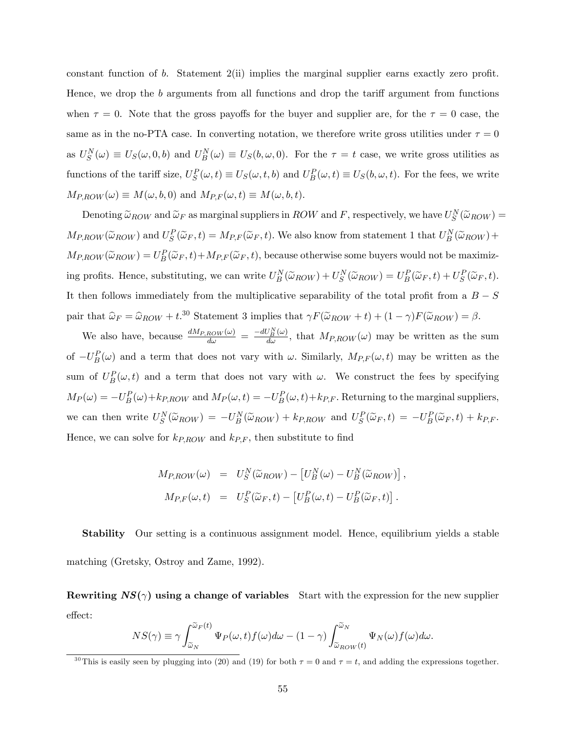constant function of b. Statement  $2(i)$  implies the marginal supplier earns exactly zero profit. Hence, we drop the  $b$  arguments from all functions and drop the tariff argument from functions when  $\tau = 0$ . Note that the gross payoffs for the buyer and supplier are, for the  $\tau = 0$  case, the same as in the no-PTA case. In converting notation, we therefore write gross utilities under  $\tau = 0$ as  $U_S^N(\omega) \equiv U_S(\omega, 0, b)$  and  $U_B^N(\omega) \equiv U_S(b, \omega, 0)$ . For the  $\tau = t$  case, we write gross utilities as functions of the tariff size,  $U_S^P(\omega, t) \equiv U_S(\omega, t, b)$  and  $U_B^P(\omega, t) \equiv U_S(b, \omega, t)$ . For the fees, we write  $M_{P,ROW}(\omega) \equiv M(\omega, b, 0)$  and  $M_{P,F}(\omega, t) \equiv M(\omega, b, t)$ .

Denoting  $\tilde{\omega}_{ROW}$  and  $\tilde{\omega}_F$  as marginal suppliers in  $ROW$  and  $F$ , respectively, we have  $U_S^N(\tilde{\omega}_{ROW}) =$  $M_{P,ROW}(\tilde{\omega}_{ROW})$  and  $U_S^P(\tilde{\omega}_F,t) = M_{P,F}(\tilde{\omega}_F,t)$ . We also know from statement 1 that  $U_B^N(\tilde{\omega}_{ROW})$  +  $M_{P,ROW}(\tilde{\omega}_{ROW}) = U_{B}^{P}(\tilde{\omega}_{F}, t) + M_{P,F}(\tilde{\omega}_{F}, t)$ , because otherwise some buyers would not be maximizing profits. Hence, substituting, we can write  $U_B^N(\tilde{\omega}_{ROW}) + U_S^N(\tilde{\omega}_{ROW}) = U_B^P(\tilde{\omega}_F, t) + U_S^P(\tilde{\omega}_F, t)$ . It then follows immediately from the multiplicative separability of the total profit from a  $B-S$ pair that  $\hat{\omega}_F = \hat{\omega}_{ROW} + t^{30}$  Statement 3 implies that  $\gamma F(\tilde{\omega}_{ROW} + t) + (1 - \gamma)F(\tilde{\omega}_{ROW}) = \beta$ .

We also have, because  $\frac{dM_{P,ROW}(\omega)}{d\omega} = \frac{-dU_N^N(\omega)}{d\omega}$ , that  $M_{P,ROW}(\omega)$  may be written as the sum of  $-U_B^P(\omega)$  and a term that does not vary with  $\omega$ . Similarly,  $M_{P,F}(\omega, t)$  may be written as the sum of  $U_B^P(\omega, t)$  and a term that does not vary with  $\omega$ . We construct the fees by specifying  $M_P(\omega) = -U_P^P(\omega) + k_{P,ROW}$  and  $M_P(\omega, t) = -U_P^P(\omega, t) + k_{P,F}$ . Returning to the marginal suppliers, we can then write  $U_S^N(\tilde{\omega}_{ROW}) = -U_B^N(\tilde{\omega}_{ROW}) + k_{P,ROW}$  and  $U_S^P(\tilde{\omega}_F, t) = -U_B^P(\tilde{\omega}_F, t) + k_{P,F}$ . Hence, we can solve for  $k_{P,ROW}$  and  $k_{P,F}$ , then substitute to find

$$
M_{P,ROW}(\omega) = U_S^N(\widetilde{\omega}_{ROW}) - [U_B^N(\omega) - U_B^N(\widetilde{\omega}_{ROW})],
$$
  

$$
M_{P,F}(\omega, t) = U_S^P(\widetilde{\omega}_F, t) - [U_B^P(\omega, t) - U_B^P(\widetilde{\omega}_F, t)].
$$

Stability Our setting is a continuous assignment model. Hence, equilibrium yields a stable matching (Gretsky, Ostroy and Zame, 1992).

Rewriting  $NS(\gamma)$  using a change of variables Start with the expression for the new supplier effect:

$$
NS(\gamma) \equiv \gamma \int_{\widetilde{\omega}_N}^{\widetilde{\omega}_F(t)} \Psi_P(\omega, t) f(\omega) d\omega - (1 - \gamma) \int_{\widetilde{\omega}_{ROW}(t)}^{\widetilde{\omega}_N} \Psi_N(\omega) f(\omega) d\omega.
$$

<sup>&</sup>lt;sup>30</sup>This is easily seen by plugging into (20) and (19) for both  $\tau = 0$  and  $\tau = t$ , and adding the expressions together.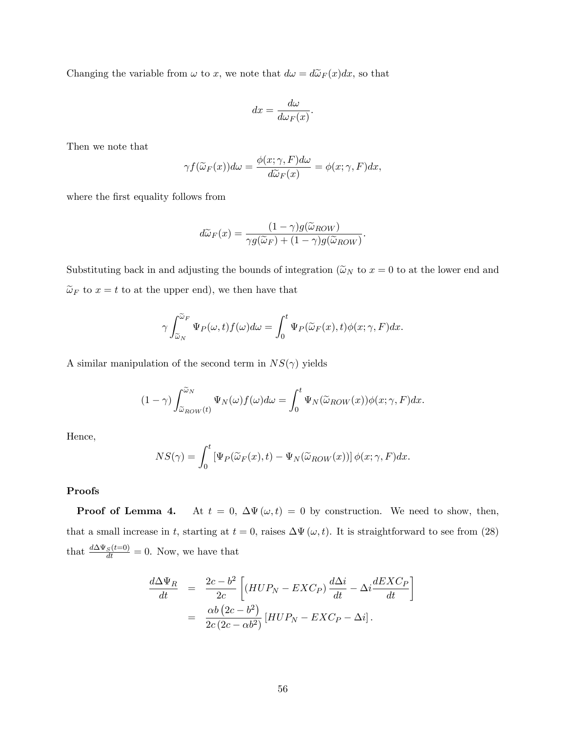Changing the variable from  $\omega$  to x, we note that  $d\omega = d\widetilde{\omega}_F(x)dx$ , so that

$$
dx = \frac{d\omega}{d\omega_F(x)}.
$$

Then we note that

$$
\gamma f(\widetilde{\omega}_F(x))d\omega = \frac{\phi(x;\gamma,F)d\omega}{d\widetilde{\omega}_F(x)} = \phi(x;\gamma,F)dx,
$$

where the first equality follows from

$$
d\widetilde{\omega}_F(x) = \frac{(1-\gamma)g(\widetilde{\omega}_{ROW})}{\gamma g(\widetilde{\omega}_F) + (1-\gamma)g(\widetilde{\omega}_{ROW})}
$$

:

Substituting back in and adjusting the bounds of integration ( $\tilde{\omega}_N$  to  $x = 0$  to at the lower end and  $\widetilde{\omega}_F$  to  $x=t$  to at the upper end), we then have that

$$
\gamma \int_{\widetilde{\omega}_N}^{\widetilde{\omega}_F} \Psi_P(\omega, t) f(\omega) d\omega = \int_0^t \Psi_P(\widetilde{\omega}_F(x), t) \phi(x; \gamma, F) dx.
$$

A similar manipulation of the second term in  $NS(\gamma)$  yields

$$
(1 - \gamma) \int_{\widetilde{\omega}_{ROW}(t)}^{\widetilde{\omega}_N} \Psi_N(\omega) f(\omega) d\omega = \int_0^t \Psi_N(\widetilde{\omega}_{ROW}(x)) \phi(x; \gamma, F) dx.
$$

Hence,

$$
NS(\gamma) = \int_0^t \left[ \Psi_P(\widetilde{\omega}_F(x), t) - \Psi_N(\widetilde{\omega}_{ROW}(x)) \right] \phi(x; \gamma, F) dx.
$$

#### Proofs

**Proof of Lemma 4.** At  $t = 0$ ,  $\Delta \Psi(\omega, t) = 0$  by construction. We need to show, then, that a small increase in t, starting at  $t = 0$ , raises  $\Delta \Psi(\omega, t)$ . It is straightforward to see from (28) that  $\frac{d\Delta\Psi_S(t=0)}{dt} = 0$ . Now, we have that

$$
\frac{d\Delta\Psi_R}{dt} = \frac{2c - b^2}{2c} \left[ (HUP_N - EXC_P) \frac{d\Delta i}{dt} - \Delta i \frac{dEXC_P}{dt} \right]
$$

$$
= \frac{\alpha b \left(2c - b^2\right)}{2c \left(2c - \alpha b^2\right)} \left[ HUP_N - EXC_P - \Delta i \right].
$$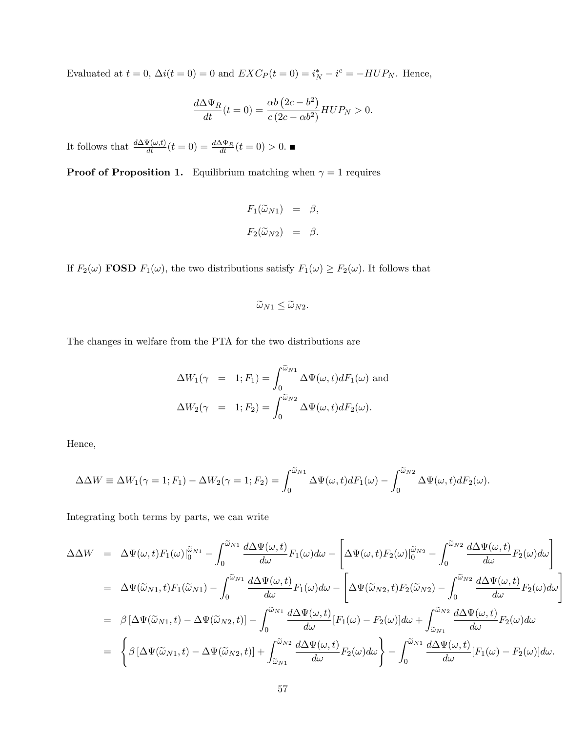Evaluated at  $t = 0$ ,  $\Delta i(t = 0) = 0$  and  $EXC_P(t = 0) = i_N^* - i^e = -HUP_N$ . Hence,

$$
\frac{d\Delta\Psi_R}{dt}(t=0) = \frac{\alpha b\left(2c - b^2\right)}{c\left(2c - \alpha b^2\right)} HUP_N > 0.
$$

It follows that  $\frac{d\Delta\Psi(\omega,t)}{dt}(t=0) = \frac{d\Delta\Psi_R}{dt}(t=0) > 0.$ 

**Proof of Proposition 1.** Equilibrium matching when  $\gamma = 1$  requires

$$
F_1(\widetilde{\omega}_{N1}) = \beta,
$$
  

$$
F_2(\widetilde{\omega}_{N2}) = \beta.
$$

If  $F_2(\omega)$  **FOSD**  $F_1(\omega)$ , the two distributions satisfy  $F_1(\omega) \ge F_2(\omega)$ . It follows that

$$
\widetilde{\omega}_{N1} \le \widetilde{\omega}_{N2}.
$$

The changes in welfare from the PTA for the two distributions are

$$
\Delta W_1(\gamma = 1; F_1) = \int_0^{\widetilde{\omega}_{N1}} \Delta \Psi(\omega, t) dF_1(\omega) \text{ and}
$$

$$
\Delta W_2(\gamma = 1; F_2) = \int_0^{\widetilde{\omega}_{N2}} \Delta \Psi(\omega, t) dF_2(\omega).
$$

Hence,

$$
\Delta \Delta W \equiv \Delta W_1(\gamma = 1; F_1) - \Delta W_2(\gamma = 1; F_2) = \int_0^{\widetilde{\omega}_{N1}} \Delta \Psi(\omega, t) dF_1(\omega) - \int_0^{\widetilde{\omega}_{N2}} \Delta \Psi(\omega, t) dF_2(\omega).
$$

Integrating both terms by parts, we can write

$$
\Delta \Delta W = \Delta \Psi(\omega, t) F_1(\omega) \Big|_0^{\tilde{\omega}_{N1}} - \int_0^{\tilde{\omega}_{N1}} \frac{d \Delta \Psi(\omega, t)}{d \omega} F_1(\omega) d \omega - \left[ \Delta \Psi(\omega, t) F_2(\omega) \Big|_0^{\tilde{\omega}_{N2}} - \int_0^{\tilde{\omega}_{N2}} \frac{d \Delta \Psi(\omega, t)}{d \omega} F_2(\omega) d \omega \right]
$$
  
\n
$$
= \Delta \Psi(\tilde{\omega}_{N1}, t) F_1(\tilde{\omega}_{N1}) - \int_0^{\tilde{\omega}_{N1}} \frac{d \Delta \Psi(\omega, t)}{d \omega} F_1(\omega) d \omega - \left[ \Delta \Psi(\tilde{\omega}_{N2}, t) F_2(\tilde{\omega}_{N2}) - \int_0^{\tilde{\omega}_{N2}} \frac{d \Delta \Psi(\omega, t)}{d \omega} F_2(\omega) d \omega \right]
$$
  
\n
$$
= \beta \left[ \Delta \Psi(\tilde{\omega}_{N1}, t) - \Delta \Psi(\tilde{\omega}_{N2}, t) \right] - \int_0^{\tilde{\omega}_{N1}} \frac{d \Delta \Psi(\omega, t)}{d \omega} [F_1(\omega) - F_2(\omega)] d \omega + \int_{\tilde{\omega}_{N1}}^{\tilde{\omega}_{N2}} \frac{d \Delta \Psi(\omega, t)}{d \omega} F_2(\omega) d \omega
$$
  
\n
$$
= \left\{ \beta \left[ \Delta \Psi(\tilde{\omega}_{N1}, t) - \Delta \Psi(\tilde{\omega}_{N2}, t) \right] + \int_{\tilde{\omega}_{N1}}^{\tilde{\omega}_{N2}} \frac{d \Delta \Psi(\omega, t)}{d \omega} F_2(\omega) d \omega \right\} - \int_0^{\tilde{\omega}_{N1}} \frac{d \Delta \Psi(\omega, t)}{d \omega} [F_1(\omega) - F_2(\omega)] d \omega.
$$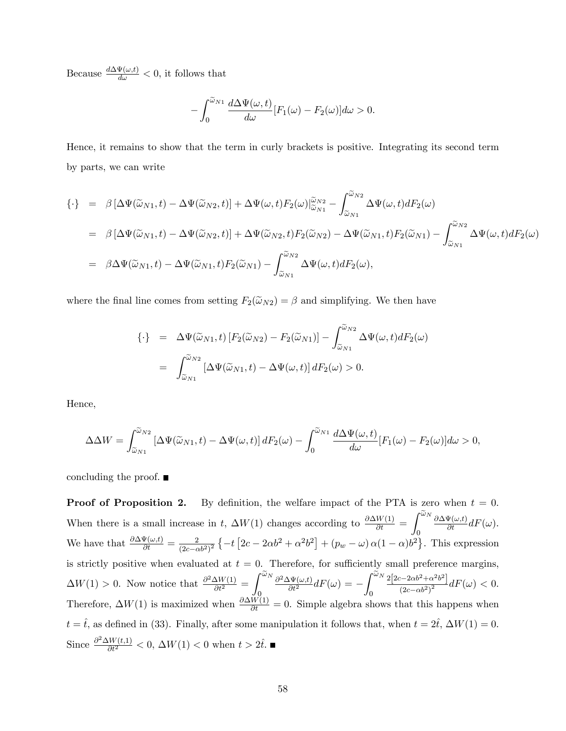Because  $\frac{d\Delta\Psi(\omega,t)}{d\omega} < 0$ , it follows that

$$
-\int_0^{\widetilde{\omega}_{N1}} \frac{d\Delta\Psi(\omega, t)}{d\omega} [F_1(\omega) - F_2(\omega)] d\omega > 0.
$$

Hence, it remains to show that the term in curly brackets is positive. Integrating its second term by parts, we can write

$$
\{\cdot\} = \beta \left[ \Delta \Psi(\widetilde{\omega}_{N1}, t) - \Delta \Psi(\widetilde{\omega}_{N2}, t) \right] + \Delta \Psi(\omega, t) F_2(\omega) \Big|_{\widetilde{\omega}_{N1}}^{\widetilde{\omega}_{N2}} - \int_{\widetilde{\omega}_{N1}}^{\widetilde{\omega}_{N2}} \Delta \Psi(\omega, t) dF_2(\omega)
$$
  
\n
$$
= \beta \left[ \Delta \Psi(\widetilde{\omega}_{N1}, t) - \Delta \Psi(\widetilde{\omega}_{N2}, t) \right] + \Delta \Psi(\widetilde{\omega}_{N2}, t) F_2(\widetilde{\omega}_{N2}) - \Delta \Psi(\widetilde{\omega}_{N1}, t) F_2(\widetilde{\omega}_{N1}) - \int_{\widetilde{\omega}_{N1}}^{\widetilde{\omega}_{N2}} \Delta \Psi(\omega, t) dF_2(\omega)
$$
  
\n
$$
= \beta \Delta \Psi(\widetilde{\omega}_{N1}, t) - \Delta \Psi(\widetilde{\omega}_{N1}, t) F_2(\widetilde{\omega}_{N1}) - \int_{\widetilde{\omega}_{N1}}^{\widetilde{\omega}_{N2}} \Delta \Psi(\omega, t) dF_2(\omega),
$$

where the final line comes from setting  $F_2(\tilde{\omega}_{N2}) = \beta$  and simplifying. We then have

$$
\{\cdot\} = \Delta\Psi(\widetilde{\omega}_{N1}, t) \left[ F_2(\widetilde{\omega}_{N2}) - F_2(\widetilde{\omega}_{N1}) \right] - \int_{\widetilde{\omega}_{N1}}^{\widetilde{\omega}_{N2}} \Delta\Psi(\omega, t) dF_2(\omega)
$$

$$
= \int_{\widetilde{\omega}_{N1}}^{\widetilde{\omega}_{N2}} \left[ \Delta\Psi(\widetilde{\omega}_{N1}, t) - \Delta\Psi(\omega, t) \right] dF_2(\omega) > 0.
$$

Hence,

$$
\Delta \Delta W = \int_{\widetilde{\omega}_{N1}}^{\widetilde{\omega}_{N2}} \left[ \Delta \Psi(\widetilde{\omega}_{N1}, t) - \Delta \Psi(\omega, t) \right] dF_2(\omega) - \int_0^{\widetilde{\omega}_{N1}} \frac{d \Delta \Psi(\omega, t)}{d \omega} [F_1(\omega) - F_2(\omega)] d \omega > 0,
$$

concluding the proof.  $\blacksquare$ 

**Proof of Proposition 2.** By definition, the welfare impact of the PTA is zero when  $t = 0$ . When there is a small increase in t,  $\Delta W(1)$  changes according to  $\frac{\partial \Delta W(1)}{\partial t}$  =  $\int^{\widetilde{\omega}_N}$ 0  $\frac{\partial \Delta \Psi(\omega, t)}{\partial t} dF(\omega).$ We have that  $\frac{\partial \Delta \Psi(\omega, t)}{\partial t} = \frac{2}{(2c-c)^2}$  $\frac{2}{(2c-\alpha b^2)^2} \left\{-t\left[2c-2\alpha b^2+\alpha^2 b^2\right]+(p_w-\omega)\alpha(1-\alpha)b^2\right\}.$  This expression is strictly positive when evaluated at  $t = 0$ . Therefore, for sufficiently small preference margins,  $\Delta W(1) > 0$ . Now notice that  $\frac{\partial^2 \Delta W(1)}{\partial t^2} =$  $\int^{\widetilde{\omega}_N}$  $\overline{0}$  $\frac{\partial^2 \Delta \Psi(\omega, t)}{\partial t^2} dF(\omega) = \int^{\widetilde{\omega}_N}$  $\boldsymbol{0}$  $2[2c - 2\alpha b^2 + \alpha^2 b^2]$  $\frac{(-2\alpha\sigma + \alpha\sigma)}{(2c - \alpha b^2)^2}dF(\omega) < 0.$ Therefore,  $\Delta W(1)$  is maximized when  $\frac{\partial \Delta W(1)}{\partial t} = 0$ . Simple algebra shows that this happens when  $t = \hat{t}$ , as defined in (33). Finally, after some manipulation it follows that, when  $t = 2\hat{t}$ ,  $\Delta W(1) = 0$ . Since  $\frac{\partial^2 \Delta W(t,1)}{\partial t^2} < 0$ ,  $\Delta W(1) < 0$  when  $t > 2t$ .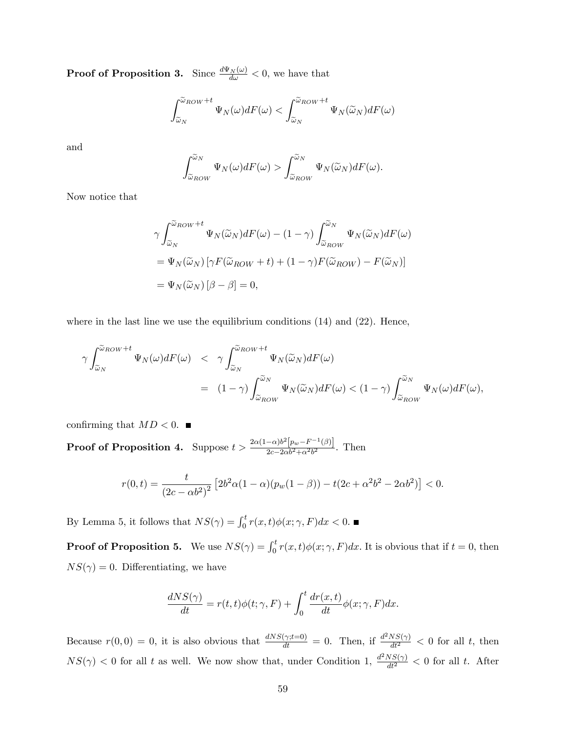**Proof of Proposition 3.** Since  $\frac{d\Psi_N(\omega)}{d\omega} < 0$ , we have that

$$
\int_{\widetilde{\omega}_N}^{\widetilde{\omega}_{ROW}+t} \Psi_N(\omega) dF(\omega) < \int_{\widetilde{\omega}_N}^{\widetilde{\omega}_{ROW}+t} \Psi_N(\widetilde{\omega}_N) dF(\omega)
$$

and

$$
\int_{\widetilde{\omega}_{ROW}}^{\widetilde{\omega}_N} \Psi_N(\omega) dF(\omega) > \int_{\widetilde{\omega}_{ROW}}^{\widetilde{\omega}_N} \Psi_N(\widetilde{\omega}_N) dF(\omega).
$$

Now notice that

$$
\gamma \int_{\widetilde{\omega}_N}^{\widetilde{\omega}_{ROW}+t} \Psi_N(\widetilde{\omega}_N) dF(\omega) - (1-\gamma) \int_{\widetilde{\omega}_{ROW}}^{\widetilde{\omega}_N} \Psi_N(\widetilde{\omega}_N) dF(\omega)
$$
  
=  $\Psi_N(\widetilde{\omega}_N) [\gamma F(\widetilde{\omega}_{ROW} + t) + (1-\gamma) F(\widetilde{\omega}_{ROW}) - F(\widetilde{\omega}_N)]$   
=  $\Psi_N(\widetilde{\omega}_N) [\beta - \beta] = 0,$ 

where in the last line we use the equilibrium conditions  $(14)$  and  $(22)$ . Hence,

$$
\gamma \int_{\widetilde{\omega}_N}^{\widetilde{\omega}_{ROW}+t} \Psi_N(\omega) dF(\omega) \leq \gamma \int_{\widetilde{\omega}_N}^{\widetilde{\omega}_{ROW}+t} \Psi_N(\widetilde{\omega}_N) dF(\omega)
$$
  
=  $(1-\gamma) \int_{\widetilde{\omega}_{ROW}}^{\widetilde{\omega}_N} \Psi_N(\widetilde{\omega}_N) dF(\omega) < (1-\gamma) \int_{\widetilde{\omega}_{ROW}}^{\widetilde{\omega}_N} \Psi_N(\omega) dF(\omega),$ 

confirming that  $MD < 0$ .

**Proof of Proposition 4.** Suppose  $t > \frac{2\alpha(1-\alpha)b^2[p_w - F^{-1}(\beta)]}{p_w - 2\alpha b^2 + \alpha^2 b^2}$  $\frac{-\alpha\rho\left[\rho w - T\right]\left(\rho\right)}{2c - 2\alpha b^2 + \alpha^2 b^2}$ . Then

$$
r(0,t) = \frac{t}{(2c - \alpha b^2)^2} \left[ 2b^2 \alpha (1 - \alpha)(p_w(1 - \beta)) - t(2c + \alpha^2 b^2 - 2\alpha b^2) \right] < 0.
$$

By Lemma 5, it follows that  $NS(\gamma) = \int_0^t r(x, t) \phi(x; \gamma, F) dx < 0$ .

**Proof of Proposition 5.** We use  $NS(\gamma) = \int_0^t r(x, t) \phi(x; \gamma, F) dx$ . It is obvious that if  $t = 0$ , then  $NS(\gamma) = 0$ . Differentiating, we have

$$
\frac{dNS(\gamma)}{dt} = r(t, t)\phi(t; \gamma, F) + \int_0^t \frac{dr(x, t)}{dt} \phi(x; \gamma, F) dx.
$$

Because  $r(0,0) = 0$ , it is also obvious that  $\frac{dNS(\gamma;t=0)}{dt} = 0$ . Then, if  $\frac{d^2NS(\gamma)}{dt^2} < 0$  for all t, then  $NS(\gamma) < 0$  for all t as well. We now show that, under Condition 1,  $\frac{d^2NS(\gamma)}{dt^2} < 0$  for all t. After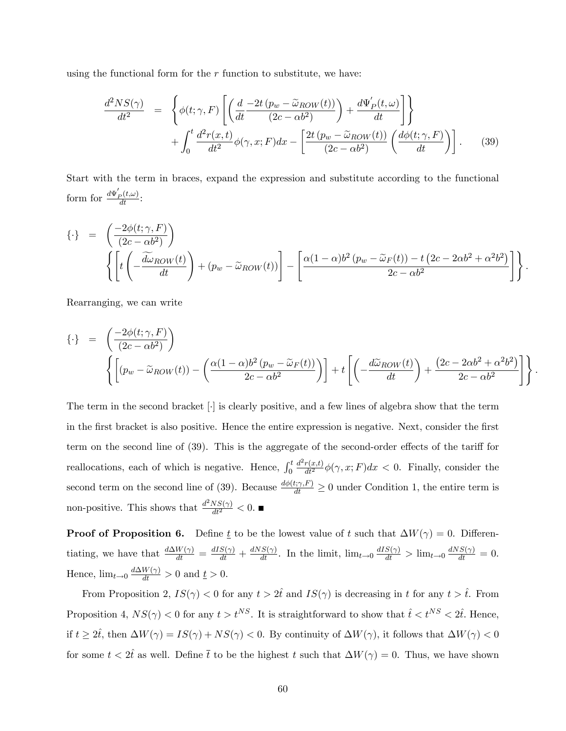using the functional form for the  $r$  function to substitute, we have:

$$
\frac{d^2NS(\gamma)}{dt^2} = \left\{ \phi(t; \gamma, F) \left[ \left( \frac{d}{dt} \frac{-2t (p_w - \tilde{\omega}_{ROW}(t))}{(2c - \alpha b^2)} \right) + \frac{d\Psi_P'(t, \omega)}{dt} \right] \right\} + \int_0^t \frac{d^2r(x, t)}{dt^2} \phi(\gamma, x; F) dx - \left[ \frac{2t (p_w - \tilde{\omega}_{ROW}(t))}{(2c - \alpha b^2)} \left( \frac{d\phi(t; \gamma, F)}{dt} \right) \right].
$$
 (39)

Start with the term in braces, expand the expression and substitute according to the functional form for  $\frac{d\Psi_P'(t,\omega)}{dt}$ :

$$
\{\cdot\} = \left( \frac{-2\phi(t;\gamma,F)}{(2c - \alpha b^2)} \right)
$$
  

$$
\left\{ \left[ t \left( -\frac{\widetilde{d}\omega_{ROW}(t)}{dt} \right) + (p_w - \widetilde{\omega}_{ROW}(t)) \right] - \left[ \frac{\alpha(1-\alpha)b^2(p_w - \widetilde{\omega}_F(t)) - t(2c - 2\alpha b^2 + \alpha^2 b^2)}{2c - \alpha b^2} \right] \right\}.
$$

Rearranging, we can write

$$
\{\cdot\} = \left( \frac{-2\phi(t;\gamma,F)}{(2c - \alpha b^2)} \right)
$$

$$
\left\{ \left[ (p_w - \tilde{\omega}_{ROW}(t)) - \left( \frac{\alpha(1-\alpha)b^2 (p_w - \tilde{\omega}_F(t))}{2c - \alpha b^2} \right) \right] + t \left[ \left( -\frac{d\tilde{\omega}_{ROW}(t)}{dt} \right) + \frac{(2c - 2\alpha b^2 + \alpha^2 b^2)}{2c - \alpha b^2} \right] \right\}.
$$

The term in the second bracket [.] is clearly positive, and a few lines of algebra show that the term in the first bracket is also positive. Hence the entire expression is negative. Next, consider the first term on the second line of  $(39)$ . This is the aggregate of the second-order effects of the tariff for reallocations, each of which is negative. Hence,  $\int_0^t$  $\frac{d^2r(x,t)}{dt^2}\phi(\gamma,x;F)dx < 0$ . Finally, consider the second term on the second line of (39). Because  $\frac{d\phi(t;\gamma,F)}{dt} \ge 0$  under Condition 1, the entire term is non-positive. This shows that  $\frac{d^2 NS(\gamma)}{dt^2} < 0$ .

**Proof of Proposition 6.** Define  $\underline{t}$  to be the lowest value of t such that  $\Delta W(\gamma) = 0$ . Differentiating, we have that  $\frac{d\Delta W(\gamma)}{dt} = \frac{dIS(\gamma)}{dt} + \frac{dNS(\gamma)}{dt}$ . In the limit,  $\lim_{t\to 0} \frac{dIS(\gamma)}{dt} > \lim_{t\to 0} \frac{dNS(\gamma)}{dt} = 0$ . Hence,  $\lim_{t \to 0} \frac{d\Delta W(\gamma)}{dt} > 0$  and  $\underline{t} > 0$ .

From Proposition 2,  $IS(\gamma) < 0$  for any  $t > 2\hat{t}$  and  $IS(\gamma)$  is decreasing in t for any  $t > \hat{t}$ . From Proposition 4,  $NS(\gamma) < 0$  for any  $t > t^{NS}$ . It is straightforward to show that  $\hat{t} < t^{NS} < 2\hat{t}$ . Hence, if  $t \ge 2\hat{t}$ , then  $\Delta W(\gamma) = IS(\gamma) + NS(\gamma) < 0$ . By continuity of  $\Delta W(\gamma)$ , it follows that  $\Delta W(\gamma) < 0$ for some  $t < 2\hat{t}$  as well. Define  $\bar{t}$  to be the highest t such that  $\Delta W(\gamma) = 0$ . Thus, we have shown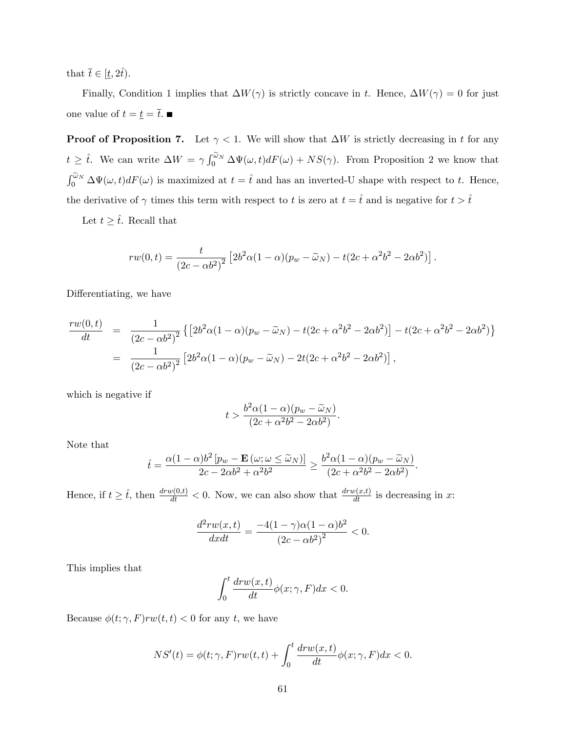that  $\bar{t} \in [\underline{t}, 2\hat{t}).$ 

Finally, Condition 1 implies that  $\Delta W(\gamma)$  is strictly concave in t. Hence,  $\Delta W(\gamma) = 0$  for just one value of  $t=\underline{t}=\overline{t}.$   $\blacksquare$ 

**Proof of Proposition 7.** Let  $\gamma < 1$ . We will show that  $\Delta W$  is strictly decreasing in t for any  $t \geq \hat{t}$ . We can write  $\Delta W = \gamma \int_0^{\tilde{\omega}_N} \Delta \Psi(\omega, t) dF(\omega) + NS(\gamma)$ . From Proposition 2 we know that  $\int_0^{\tilde{\omega}_N} \Delta \Psi(\omega, t) dF(\omega)$  is maximized at  $t = \hat{t}$  and has an inverted-U shape with respect to t. Hence, the derivative of  $\gamma$  times this term with respect to t is zero at  $t = \hat{t}$  and is negative for  $t > \hat{t}$ 

Let  $t \geq \hat{t}$ . Recall that

$$
rw(0,t) = \frac{t}{(2c - \alpha b^2)^2} \left[ 2b^2 \alpha (1 - \alpha)(p_w - \widetilde{\omega}_N) - t(2c + \alpha^2 b^2 - 2\alpha b^2) \right]
$$

:

Differentiating, we have

$$
\frac{rw(0,t)}{dt} = \frac{1}{(2c - \alpha b^2)^2} \{ [2b^2\alpha(1 - \alpha)(p_w - \tilde{\omega}_N) - t(2c + \alpha^2 b^2 - 2\alpha b^2)] - t(2c + \alpha^2 b^2 - 2\alpha b^2) \}
$$
  
= 
$$
\frac{1}{(2c - \alpha b^2)^2} [2b^2\alpha(1 - \alpha)(p_w - \tilde{\omega}_N) - 2t(2c + \alpha^2 b^2 - 2\alpha b^2)],
$$

which is negative if

$$
t > \frac{b^2 \alpha (1 - \alpha)(p_w - \widetilde{\omega}_N)}{(2c + \alpha^2 b^2 - 2\alpha b^2)}.
$$

Note that

$$
\hat{t} = \frac{\alpha(1-\alpha)b^2\left[p_w - \mathbf{E}\left(\omega; \omega \leq \widetilde{\omega}_N\right)\right]}{2c - 2\alpha b^2 + \alpha^2 b^2} \geq \frac{b^2\alpha(1-\alpha)(p_w - \widetilde{\omega}_N)}{(2c + \alpha^2 b^2 - 2\alpha b^2)}.
$$

Hence, if  $t \geq \hat{t}$ , then  $\frac{dr w(0,t)}{dt} < 0$ . Now, we can also show that  $\frac{dr w(x,t)}{dt}$  is decreasing in x:

$$
\frac{d^2rw(x,t)}{dxdt} = \frac{-4(1-\gamma)\alpha(1-\alpha)b^2}{(2c-\alpha b^2)^2} < 0.
$$

This implies that

$$
\int_0^t \frac{dr w(x,t)}{dt} \phi(x;\gamma,F) dx < 0.
$$

Because  $\phi(t; \gamma, F)rw(t, t) < 0$  for any t, we have

$$
NS'(t) = \phi(t; \gamma, F)rw(t, t) + \int_0^t \frac{drw(x, t)}{dt} \phi(x; \gamma, F) dx < 0.
$$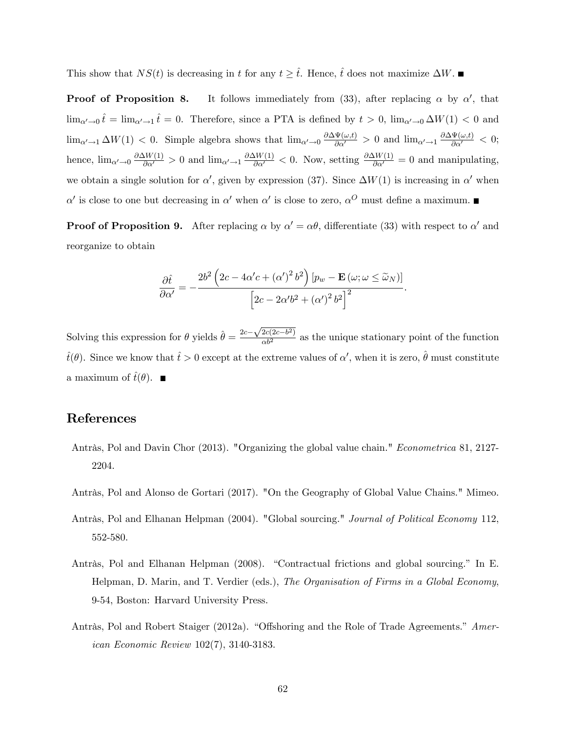This show that  $NS(t)$  is decreasing in t for any  $t \geq \hat{t}$ . Hence,  $\hat{t}$  does not maximize  $\Delta W$ .

**Proof of Proposition 8.** It follows immediately from (33), after replacing  $\alpha$  by  $\alpha'$ , that  $\lim_{\alpha' \to 0} \hat{t} = \lim_{\alpha' \to 1} \hat{t} = 0$ . Therefore, since a PTA is defined by  $t > 0$ ,  $\lim_{\alpha' \to 0} \Delta W(1) < 0$  and  $\lim_{\alpha'\to 1} \Delta W(1) < 0$ . Simple algebra shows that  $\lim_{\alpha'\to 0} \frac{\partial \Delta \Psi(\omega,t)}{\partial \alpha'} > 0$  and  $\lim_{\alpha'\to 1} \frac{\partial \Delta \Psi(\omega,t)}{\partial \alpha'} < 0$ ; hence,  $\lim_{\alpha' \to 0} \frac{\partial \Delta W(1)}{\partial \alpha'} > 0$  and  $\lim_{\alpha' \to 1} \frac{\partial \Delta W(1)}{\partial \alpha'} < 0$ . Now, setting  $\frac{\partial \Delta W(1)}{\partial \alpha'} = 0$  and manipulating, we obtain a single solution for  $\alpha'$ , given by expression (37). Since  $\Delta W(1)$  is increasing in  $\alpha'$  when  $\alpha'$  is close to one but decreasing in  $\alpha'$  when  $\alpha'$  is close to zero,  $\alpha^O$  must define a maximum.

**Proof of Proposition 9.** After replacing  $\alpha$  by  $\alpha' = \alpha\theta$ , differentiate (33) with respect to  $\alpha'$  and reorganize to obtain

$$
\frac{\partial \hat{t}}{\partial \alpha'} = -\frac{2b^2 \left(2c - 4\alpha'c + (\alpha')^2 b^2\right) \left[p_w - \mathbf{E}\left(\omega; \omega \le \widetilde{\omega}_N\right)\right]}{\left[2c - 2\alpha' b^2 + (\alpha')^2 b^2\right]^2}.
$$

Solving this expression for  $\theta$  yields  $\hat{\theta} = \frac{2c - \sqrt{2c(2c-b^2)}}{ab^2}$  as the unique stationary point of the function  $\hat{t}(\theta)$ . Since we know that  $\hat{t} > 0$  except at the extreme values of  $\alpha'$ , when it is zero,  $\hat{\theta}$  must constitute a maximum of  $\hat{t}(\theta)$ .

## References

- Antràs, Pol and Davin Chor (2013). "Organizing the global value chain." Econometrica 81, 2127-2204.
- Antràs, Pol and Alonso de Gortari (2017). "On the Geography of Global Value Chains." Mimeo.
- Antràs, Pol and Elhanan Helpman (2004). "Global sourcing." Journal of Political Economy 112, 552-580.
- Antràs, Pol and Elhanan Helpman (2008). "Contractual frictions and global sourcing." In E. Helpman, D. Marin, and T. Verdier (eds.), The Organisation of Firms in a Global Economy, 9-54, Boston: Harvard University Press.
- Antràs, Pol and Robert Staiger (2012a). "Offshoring and the Role of Trade Agreements." American Economic Review 102(7), 3140-3183.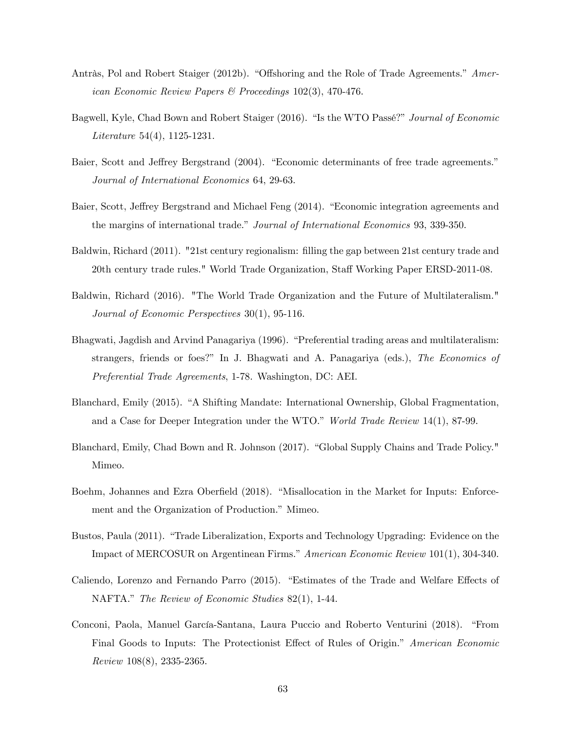- Antràs, Pol and Robert Staiger (2012b). "Offshoring and the Role of Trade Agreements." American Economic Review Papers & Proceedings 102(3), 470-476.
- Bagwell, Kyle, Chad Bown and Robert Staiger (2016). "Is the WTO Passé?" Journal of Economic Literature 54(4), 1125-1231.
- Baier, Scott and Jeffrey Bergstrand (2004). "Economic determinants of free trade agreements." Journal of International Economics 64, 29-63.
- Baier, Scott, Jeffrey Bergstrand and Michael Feng (2014). "Economic integration agreements and the margins of international trade." Journal of International Economics 93, 339-350.
- Baldwin, Richard (2011). "21st century regionalism: Ölling the gap between 21st century trade and 20th century trade rules." World Trade Organization, Staff Working Paper ERSD-2011-08.
- Baldwin, Richard (2016). "The World Trade Organization and the Future of Multilateralism." Journal of Economic Perspectives 30(1), 95-116.
- Bhagwati, Jagdish and Arvind Panagariya (1996). "Preferential trading areas and multilateralism: strangers, friends or foes?" In J. Bhagwati and A. Panagariya (eds.), The Economics of Preferential Trade Agreements, 1-78. Washington, DC: AEI.
- Blanchard, Emily (2015). "A Shifting Mandate: International Ownership, Global Fragmentation, and a Case for Deeper Integration under the WTO." World Trade Review  $14(1)$ , 87-99.
- Blanchard, Emily, Chad Bown and R. Johnson (2017). "Global Supply Chains and Trade Policy." Mimeo.
- Boehm, Johannes and Ezra Oberfield (2018). "Misallocation in the Market for Inputs: Enforcement and the Organization of Production." Mimeo.
- Bustos, Paula (2011). "Trade Liberalization, Exports and Technology Upgrading: Evidence on the Impact of MERCOSUR on Argentinean Firms." American Economic Review 101(1), 304-340.
- Caliendo, Lorenzo and Fernando Parro (2015). "Estimates of the Trade and Welfare Effects of NAFTA." The Review of Economic Studies 82(1), 1-44.
- Conconi, Paola, Manuel García-Santana, Laura Puccio and Roberto Venturini (2018). "From Final Goods to Inputs: The Protectionist Effect of Rules of Origin." American Economic Review 108(8), 2335-2365.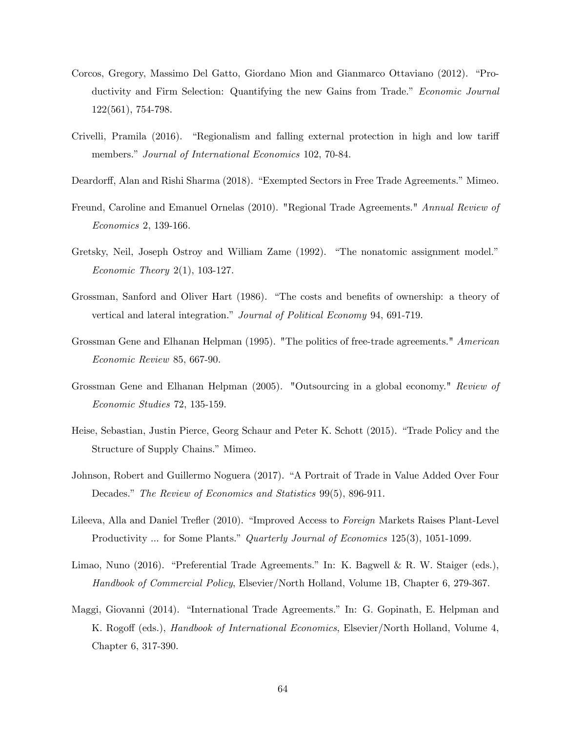- Corcos, Gregory, Massimo Del Gatto, Giordano Mion and Gianmarco Ottaviano (2012). *"Pro*ductivity and Firm Selection: Quantifying the new Gains from Trade." Economic Journal 122(561), 754-798.
- Crivelli, Pramila  $(2016)$ . "Regionalism and falling external protection in high and low tariff members." Journal of International Economics 102, 70-84.
- Deardorff, Alan and Rishi Sharma (2018). "Exempted Sectors in Free Trade Agreements." Mimeo.
- Freund, Caroline and Emanuel Ornelas (2010). "Regional Trade Agreements." Annual Review of Economics 2, 139-166.
- Gretsky, Neil, Joseph Ostroy and William Zame (1992). "The nonatomic assignment model." Economic Theory 2(1), 103-127.
- Grossman, Sanford and Oliver Hart (1986). "The costs and benefits of ownership: a theory of vertical and lateral integration." Journal of Political Economy 94, 691-719.
- Grossman Gene and Elhanan Helpman (1995). "The politics of free-trade agreements." American Economic Review 85, 667-90.
- Grossman Gene and Elhanan Helpman (2005). "Outsourcing in a global economy." Review of Economic Studies 72, 135-159.
- Heise, Sebastian, Justin Pierce, Georg Schaur and Peter K. Schott (2015). "Trade Policy and the Structure of Supply Chains." Mimeo.
- Johnson, Robert and Guillermo Noguera (2017). "A Portrait of Trade in Value Added Over Four Decades." The Review of Economics and Statistics 99(5), 896-911.
- Lileeva, Alla and Daniel Trefler (2010). "Improved Access to Foreign Markets Raises Plant-Level Productivity ... for Some Plants." Quarterly Journal of Economics 125(3), 1051-1099.
- Limao, Nuno (2016). "Preferential Trade Agreements." In: K. Bagwell & R. W. Staiger (eds.), Handbook of Commercial Policy, Elsevier/North Holland, Volume 1B, Chapter 6, 279-367.
- Maggi, Giovanni (2014). "International Trade Agreements." In: G. Gopinath, E. Helpman and K. Rogoff (eds.), *Handbook of International Economics*, Elsevier/North Holland, Volume 4, Chapter 6, 317-390.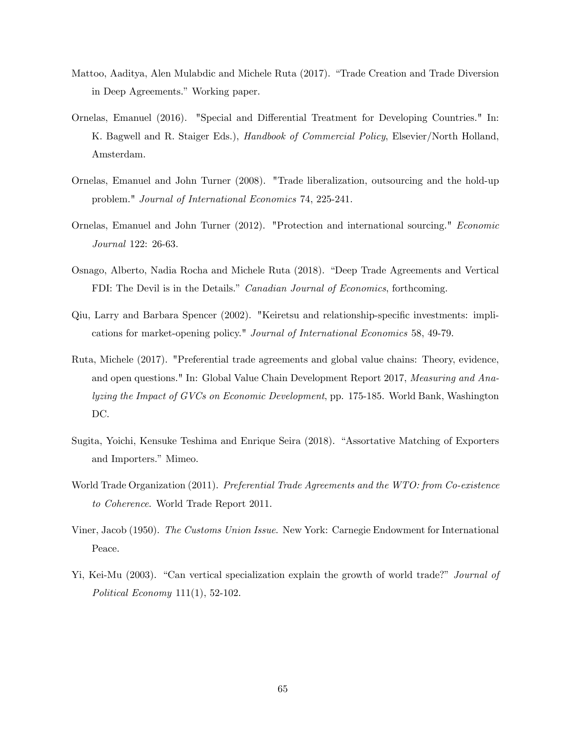- Mattoo, Aaditya, Alen Mulabdic and Michele Ruta (2017). "Trade Creation and Trade Diversion in Deep Agreements." Working paper.
- Ornelas, Emanuel (2016). "Special and Differential Treatment for Developing Countries." In: K. Bagwell and R. Staiger Eds.), Handbook of Commercial Policy, Elsevier/North Holland, Amsterdam.
- Ornelas, Emanuel and John Turner (2008). "Trade liberalization, outsourcing and the hold-up problem." Journal of International Economics 74, 225-241.
- Ornelas, Emanuel and John Turner (2012). "Protection and international sourcing." Economic Journal 122: 26-63.
- Osnago, Alberto, Nadia Rocha and Michele Ruta (2018). "Deep Trade Agreements and Vertical FDI: The Devil is in the Details." Canadian Journal of Economics, forthcoming.
- Qiu, Larry and Barbara Spencer (2002). "Keiretsu and relationship-specific investments: implications for market-opening policy." Journal of International Economics 58, 49-79.
- Ruta, Michele (2017). "Preferential trade agreements and global value chains: Theory, evidence, and open questions." In: Global Value Chain Development Report 2017, Measuring and Analyzing the Impact of GVCs on Economic Development, pp. 175-185. World Bank, Washington DC.
- Sugita, Yoichi, Kensuke Teshima and Enrique Seira (2018). "Assortative Matching of Exporters and Importers." Mimeo.
- World Trade Organization (2011). Preferential Trade Agreements and the WTO: from Co-existence to Coherence. World Trade Report 2011.
- Viner, Jacob (1950). The Customs Union Issue. New York: Carnegie Endowment for International Peace.
- Yi, Kei-Mu (2003). "Can vertical specialization explain the growth of world trade?" *Journal of* Political Economy 111(1), 52-102.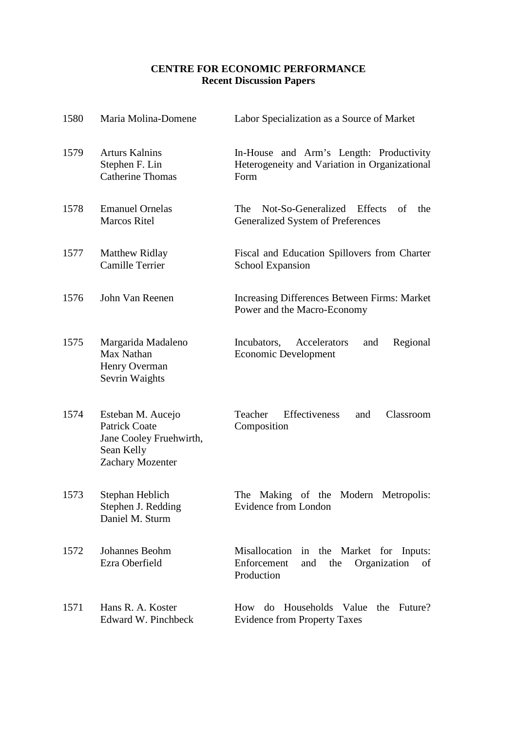## **CENTRE FOR ECONOMIC PERFORMANCE Recent Discussion Papers**

| 1580 | Maria Molina-Domene                                                                                           | Labor Specialization as a Source of Market                                                               |
|------|---------------------------------------------------------------------------------------------------------------|----------------------------------------------------------------------------------------------------------|
| 1579 | <b>Arturs Kalnins</b><br>Stephen F. Lin<br><b>Catherine Thomas</b>                                            | In-House and Arm's Length: Productivity<br>Heterogeneity and Variation in Organizational<br>Form         |
| 1578 | <b>Emanuel Ornelas</b><br><b>Marcos Ritel</b>                                                                 | Not-So-Generalized Effects<br>The<br>of<br>the<br><b>Generalized System of Preferences</b>               |
| 1577 | <b>Matthew Ridlay</b><br>Camille Terrier                                                                      | Fiscal and Education Spillovers from Charter<br><b>School Expansion</b>                                  |
| 1576 | John Van Reenen                                                                                               | Increasing Differences Between Firms: Market<br>Power and the Macro-Economy                              |
| 1575 | Margarida Madaleno<br>Max Nathan<br>Henry Overman<br>Sevrin Waights                                           | Incubators,<br>Accelerators<br>Regional<br>and<br><b>Economic Development</b>                            |
| 1574 | Esteban M. Aucejo<br><b>Patrick Coate</b><br>Jane Cooley Fruehwirth,<br>Sean Kelly<br><b>Zachary Mozenter</b> | Effectiveness<br>Teacher<br>Classroom<br>and<br>Composition                                              |
| 1573 | Stephan Heblich<br>Stephen J. Redding<br>Daniel M. Sturm                                                      | The<br>Making of the<br>Modern<br>Metropolis:<br>Evidence from London                                    |
| 1572 | Johannes Beohm<br>Ezra Oberfield                                                                              | Misallocation in the Market for Inputs:<br>Enforcement<br>Organization<br>and<br>the<br>of<br>Production |
| 1571 | Hans R. A. Koster<br>Edward W. Pinchbeck                                                                      | do Households Value the Future?<br>How<br><b>Evidence from Property Taxes</b>                            |